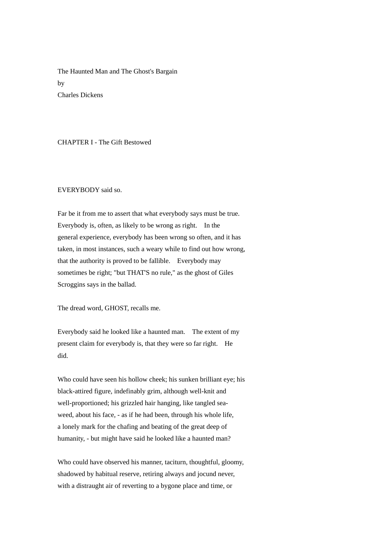The Haunted Man and The Ghost's Bargain by Charles Dickens

# CHAPTER I - The Gift Bestowed

#### EVERYBODY said so.

Far be it from me to assert that what everybody says must be true. Everybody is, often, as likely to be wrong as right. In the general experience, everybody has been wrong so often, and it has taken, in most instances, such a weary while to find out how wrong, that the authority is proved to be fallible. Everybody may sometimes be right; "but THAT'S no rule," as the ghost of Giles Scroggins says in the ballad.

The dread word, GHOST, recalls me.

Everybody said he looked like a haunted man. The extent of my present claim for everybody is, that they were so far right. He did.

Who could have seen his hollow cheek; his sunken brilliant eye; his black-attired figure, indefinably grim, although well-knit and well-proportioned; his grizzled hair hanging, like tangled seaweed, about his face, - as if he had been, through his whole life, a lonely mark for the chafing and beating of the great deep of humanity, - but might have said he looked like a haunted man?

Who could have observed his manner, taciturn, thoughtful, gloomy, shadowed by habitual reserve, retiring always and jocund never, with a distraught air of reverting to a bygone place and time, or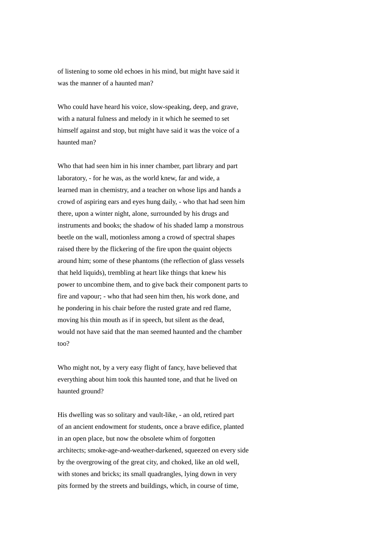of listening to some old echoes in his mind, but might have said it was the manner of a haunted man?

Who could have heard his voice, slow-speaking, deep, and grave, with a natural fulness and melody in it which he seemed to set himself against and stop, but might have said it was the voice of a haunted man?

Who that had seen him in his inner chamber, part library and part laboratory, - for he was, as the world knew, far and wide, a learned man in chemistry, and a teacher on whose lips and hands a crowd of aspiring ears and eyes hung daily, - who that had seen him there, upon a winter night, alone, surrounded by his drugs and instruments and books; the shadow of his shaded lamp a monstrous beetle on the wall, motionless among a crowd of spectral shapes raised there by the flickering of the fire upon the quaint objects around him; some of these phantoms (the reflection of glass vessels that held liquids), trembling at heart like things that knew his power to uncombine them, and to give back their component parts to fire and vapour; - who that had seen him then, his work done, and he pondering in his chair before the rusted grate and red flame, moving his thin mouth as if in speech, but silent as the dead, would not have said that the man seemed haunted and the chamber too?

Who might not, by a very easy flight of fancy, have believed that everything about him took this haunted tone, and that he lived on haunted ground?

His dwelling was so solitary and vault-like, - an old, retired part of an ancient endowment for students, once a brave edifice, planted in an open place, but now the obsolete whim of forgotten architects; smoke-age-and-weather-darkened, squeezed on every side by the overgrowing of the great city, and choked, like an old well, with stones and bricks; its small quadrangles, lying down in very pits formed by the streets and buildings, which, in course of time,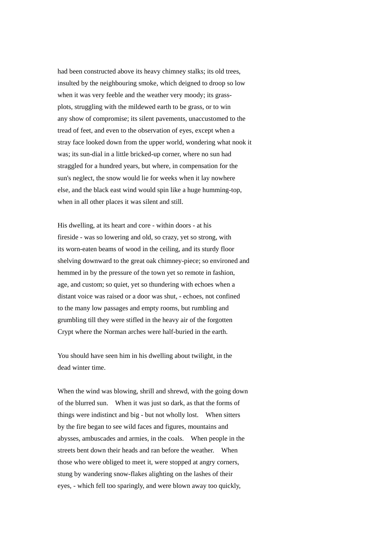had been constructed above its heavy chimney stalks; its old trees, insulted by the neighbouring smoke, which deigned to droop so low when it was very feeble and the weather very moody; its grassplots, struggling with the mildewed earth to be grass, or to win any show of compromise; its silent pavements, unaccustomed to the tread of feet, and even to the observation of eyes, except when a stray face looked down from the upper world, wondering what nook it was; its sun-dial in a little bricked-up corner, where no sun had straggled for a hundred years, but where, in compensation for the sun's neglect, the snow would lie for weeks when it lay nowhere else, and the black east wind would spin like a huge humming-top, when in all other places it was silent and still.

His dwelling, at its heart and core - within doors - at his fireside - was so lowering and old, so crazy, yet so strong, with its worn-eaten beams of wood in the ceiling, and its sturdy floor shelving downward to the great oak chimney-piece; so environed and hemmed in by the pressure of the town yet so remote in fashion, age, and custom; so quiet, yet so thundering with echoes when a distant voice was raised or a door was shut, - echoes, not confined to the many low passages and empty rooms, but rumbling and grumbling till they were stifled in the heavy air of the forgotten Crypt where the Norman arches were half-buried in the earth.

You should have seen him in his dwelling about twilight, in the dead winter time.

When the wind was blowing, shrill and shrewd, with the going down of the blurred sun. When it was just so dark, as that the forms of things were indistinct and big - but not wholly lost. When sitters by the fire began to see wild faces and figures, mountains and abysses, ambuscades and armies, in the coals. When people in the streets bent down their heads and ran before the weather. When those who were obliged to meet it, were stopped at angry corners, stung by wandering snow-flakes alighting on the lashes of their eyes, - which fell too sparingly, and were blown away too quickly,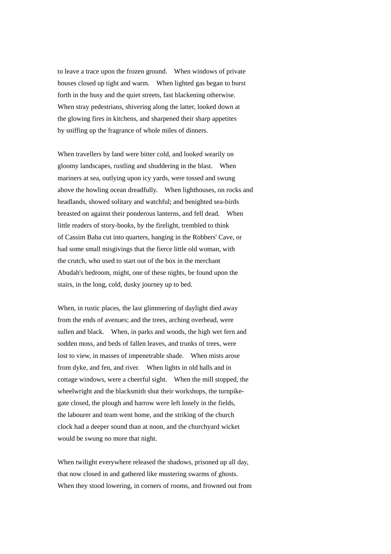to leave a trace upon the frozen ground. When windows of private houses closed up tight and warm. When lighted gas began to burst forth in the busy and the quiet streets, fast blackening otherwise. When stray pedestrians, shivering along the latter, looked down at the glowing fires in kitchens, and sharpened their sharp appetites by sniffing up the fragrance of whole miles of dinners.

When travellers by land were bitter cold, and looked wearily on gloomy landscapes, rustling and shuddering in the blast. When mariners at sea, outlying upon icy yards, were tossed and swung above the howling ocean dreadfully. When lighthouses, on rocks and headlands, showed solitary and watchful; and benighted sea-birds breasted on against their ponderous lanterns, and fell dead. When little readers of story-books, by the firelight, trembled to think of Cassim Baba cut into quarters, hanging in the Robbers' Cave, or had some small misgivings that the fierce little old woman, with the crutch, who used to start out of the box in the merchant Abudah's bedroom, might, one of these nights, be found upon the stairs, in the long, cold, dusky journey up to bed.

When, in rustic places, the last glimmering of daylight died away from the ends of avenues; and the trees, arching overhead, were sullen and black. When, in parks and woods, the high wet fern and sodden moss, and beds of fallen leaves, and trunks of trees, were lost to view, in masses of impenetrable shade. When mists arose from dyke, and fen, and river. When lights in old halls and in cottage windows, were a cheerful sight. When the mill stopped, the wheelwright and the blacksmith shut their workshops, the turnpikegate closed, the plough and harrow were left lonely in the fields, the labourer and team went home, and the striking of the church clock had a deeper sound than at noon, and the churchyard wicket would be swung no more that night.

When twilight everywhere released the shadows, prisoned up all day, that now closed in and gathered like mustering swarms of ghosts. When they stood lowering, in corners of rooms, and frowned out from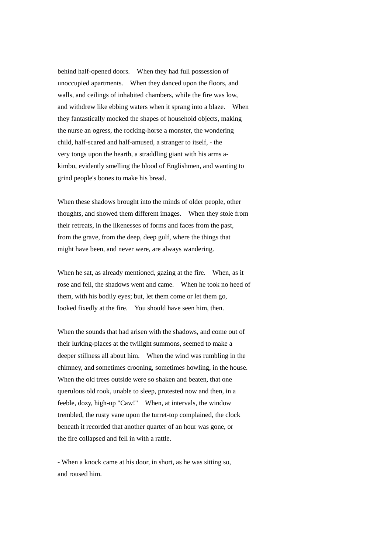behind half-opened doors. When they had full possession of unoccupied apartments. When they danced upon the floors, and walls, and ceilings of inhabited chambers, while the fire was low, and withdrew like ebbing waters when it sprang into a blaze. When they fantastically mocked the shapes of household objects, making the nurse an ogress, the rocking-horse a monster, the wondering child, half-scared and half-amused, a stranger to itself, - the very tongs upon the hearth, a straddling giant with his arms akimbo, evidently smelling the blood of Englishmen, and wanting to grind people's bones to make his bread.

When these shadows brought into the minds of older people, other thoughts, and showed them different images. When they stole from their retreats, in the likenesses of forms and faces from the past, from the grave, from the deep, deep gulf, where the things that might have been, and never were, are always wandering.

When he sat, as already mentioned, gazing at the fire. When, as it rose and fell, the shadows went and came. When he took no heed of them, with his bodily eyes; but, let them come or let them go, looked fixedly at the fire. You should have seen him, then.

When the sounds that had arisen with the shadows, and come out of their lurking-places at the twilight summons, seemed to make a deeper stillness all about him. When the wind was rumbling in the chimney, and sometimes crooning, sometimes howling, in the house. When the old trees outside were so shaken and beaten, that one querulous old rook, unable to sleep, protested now and then, in a feeble, dozy, high-up "Caw!" When, at intervals, the window trembled, the rusty vane upon the turret-top complained, the clock beneath it recorded that another quarter of an hour was gone, or the fire collapsed and fell in with a rattle.

- When a knock came at his door, in short, as he was sitting so, and roused him.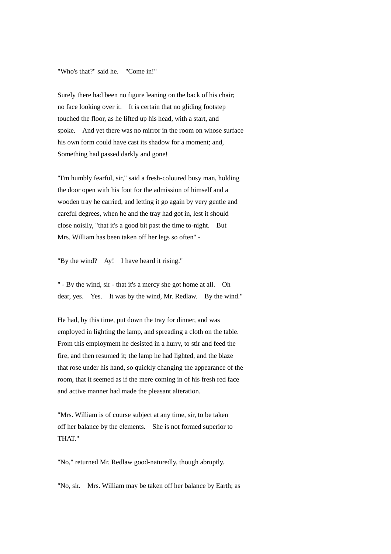"Who's that?" said he. "Come in!"

Surely there had been no figure leaning on the back of his chair; no face looking over it. It is certain that no gliding footstep touched the floor, as he lifted up his head, with a start, and spoke. And yet there was no mirror in the room on whose surface his own form could have cast its shadow for a moment; and, Something had passed darkly and gone!

"I'm humbly fearful, sir," said a fresh-coloured busy man, holding the door open with his foot for the admission of himself and a wooden tray he carried, and letting it go again by very gentle and careful degrees, when he and the tray had got in, lest it should close noisily, "that it's a good bit past the time to-night. But Mrs. William has been taken off her legs so often" -

"By the wind? Ay! I have heard it rising."

" - By the wind, sir - that it's a mercy she got home at all. Oh dear, yes. Yes. It was by the wind, Mr. Redlaw. By the wind."

He had, by this time, put down the tray for dinner, and was employed in lighting the lamp, and spreading a cloth on the table. From this employment he desisted in a hurry, to stir and feed the fire, and then resumed it; the lamp he had lighted, and the blaze that rose under his hand, so quickly changing the appearance of the room, that it seemed as if the mere coming in of his fresh red face and active manner had made the pleasant alteration.

"Mrs. William is of course subject at any time, sir, to be taken off her balance by the elements. She is not formed superior to THAT."

"No," returned Mr. Redlaw good-naturedly, though abruptly.

"No, sir. Mrs. William may be taken off her balance by Earth; as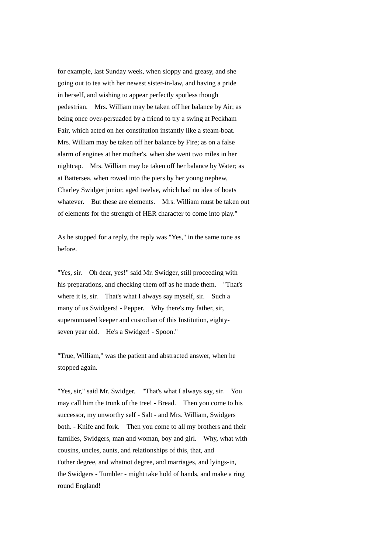for example, last Sunday week, when sloppy and greasy, and she going out to tea with her newest sister-in-law, and having a pride in herself, and wishing to appear perfectly spotless though pedestrian. Mrs. William may be taken off her balance by Air; as being once over-persuaded by a friend to try a swing at Peckham Fair, which acted on her constitution instantly like a steam-boat. Mrs. William may be taken off her balance by Fire; as on a false alarm of engines at her mother's, when she went two miles in her nightcap. Mrs. William may be taken off her balance by Water; as at Battersea, when rowed into the piers by her young nephew, Charley Swidger junior, aged twelve, which had no idea of boats whatever. But these are elements. Mrs. William must be taken out of elements for the strength of HER character to come into play."

As he stopped for a reply, the reply was "Yes," in the same tone as before.

"Yes, sir. Oh dear, yes!" said Mr. Swidger, still proceeding with his preparations, and checking them off as he made them. "That's where it is, sir. That's what I always say myself, sir. Such a many of us Swidgers! - Pepper. Why there's my father, sir, superannuated keeper and custodian of this Institution, eightyseven year old. He's a Swidger! - Spoon."

"True, William," was the patient and abstracted answer, when he stopped again.

"Yes, sir," said Mr. Swidger. "That's what I always say, sir. You may call him the trunk of the tree! - Bread. Then you come to his successor, my unworthy self - Salt - and Mrs. William, Swidgers both. - Knife and fork. Then you come to all my brothers and their families, Swidgers, man and woman, boy and girl. Why, what with cousins, uncles, aunts, and relationships of this, that, and t'other degree, and whatnot degree, and marriages, and lyings-in, the Swidgers - Tumbler - might take hold of hands, and make a ring round England!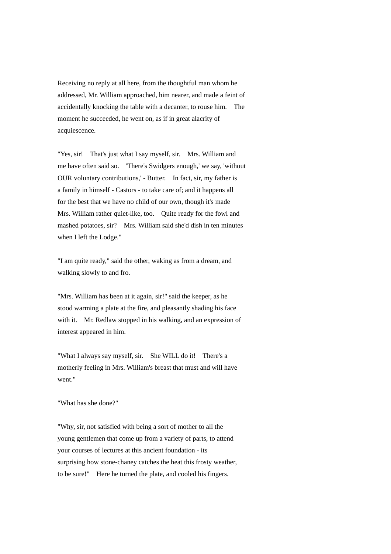Receiving no reply at all here, from the thoughtful man whom he addressed, Mr. William approached, him nearer, and made a feint of accidentally knocking the table with a decanter, to rouse him. The moment he succeeded, he went on, as if in great alacrity of acquiescence.

"Yes, sir! That's just what I say myself, sir. Mrs. William and me have often said so. 'There's Swidgers enough,' we say, 'without OUR voluntary contributions,' - Butter. In fact, sir, my father is a family in himself - Castors - to take care of; and it happens all for the best that we have no child of our own, though it's made Mrs. William rather quiet-like, too. Quite ready for the fowl and mashed potatoes, sir? Mrs. William said she'd dish in ten minutes when I left the Lodge."

"I am quite ready," said the other, waking as from a dream, and walking slowly to and fro.

"Mrs. William has been at it again, sir!" said the keeper, as he stood warming a plate at the fire, and pleasantly shading his face with it. Mr. Redlaw stopped in his walking, and an expression of interest appeared in him.

"What I always say myself, sir. She WILL do it! There's a motherly feeling in Mrs. William's breast that must and will have went."

"What has she done?"

"Why, sir, not satisfied with being a sort of mother to all the young gentlemen that come up from a variety of parts, to attend your courses of lectures at this ancient foundation - its surprising how stone-chaney catches the heat this frosty weather, to be sure!" Here he turned the plate, and cooled his fingers.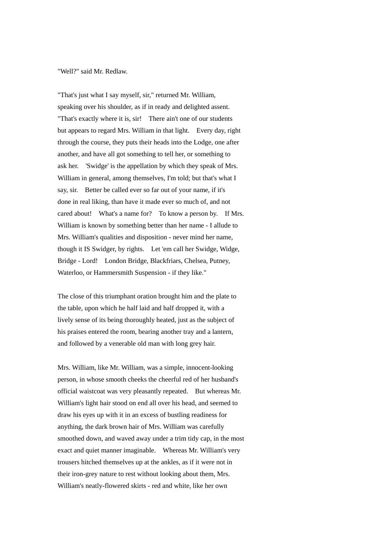## "Well?" said Mr. Redlaw.

"That's just what I say myself, sir," returned Mr. William, speaking over his shoulder, as if in ready and delighted assent. "That's exactly where it is, sir! There ain't one of our students but appears to regard Mrs. William in that light. Every day, right through the course, they puts their heads into the Lodge, one after another, and have all got something to tell her, or something to ask her. 'Swidge' is the appellation by which they speak of Mrs. William in general, among themselves, I'm told; but that's what I say, sir. Better be called ever so far out of your name, if it's done in real liking, than have it made ever so much of, and not cared about! What's a name for? To know a person by. If Mrs. William is known by something better than her name - I allude to Mrs. William's qualities and disposition - never mind her name, though it IS Swidger, by rights. Let 'em call her Swidge, Widge, Bridge - Lord! London Bridge, Blackfriars, Chelsea, Putney, Waterloo, or Hammersmith Suspension - if they like."

The close of this triumphant oration brought him and the plate to the table, upon which he half laid and half dropped it, with a lively sense of its being thoroughly heated, just as the subject of his praises entered the room, bearing another tray and a lantern, and followed by a venerable old man with long grey hair.

Mrs. William, like Mr. William, was a simple, innocent-looking person, in whose smooth cheeks the cheerful red of her husband's official waistcoat was very pleasantly repeated. But whereas Mr. William's light hair stood on end all over his head, and seemed to draw his eyes up with it in an excess of bustling readiness for anything, the dark brown hair of Mrs. William was carefully smoothed down, and waved away under a trim tidy cap, in the most exact and quiet manner imaginable. Whereas Mr. William's very trousers hitched themselves up at the ankles, as if it were not in their iron-grey nature to rest without looking about them, Mrs. William's neatly-flowered skirts - red and white, like her own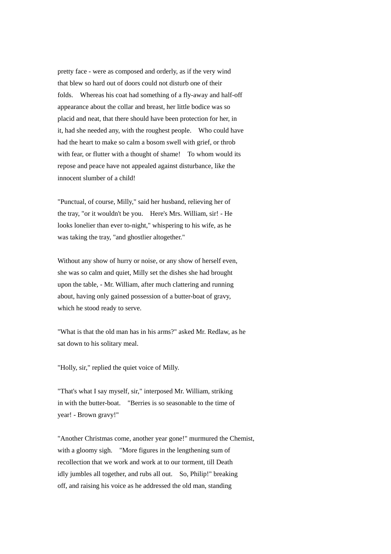pretty face - were as composed and orderly, as if the very wind that blew so hard out of doors could not disturb one of their folds. Whereas his coat had something of a fly-away and half-off appearance about the collar and breast, her little bodice was so placid and neat, that there should have been protection for her, in it, had she needed any, with the roughest people. Who could have had the heart to make so calm a bosom swell with grief, or throb with fear, or flutter with a thought of shame! To whom would its repose and peace have not appealed against disturbance, like the innocent slumber of a child!

"Punctual, of course, Milly," said her husband, relieving her of the tray, "or it wouldn't be you. Here's Mrs. William, sir! - He looks lonelier than ever to-night," whispering to his wife, as he was taking the tray, "and ghostlier altogether."

Without any show of hurry or noise, or any show of herself even, she was so calm and quiet, Milly set the dishes she had brought upon the table, - Mr. William, after much clattering and running about, having only gained possession of a butter-boat of gravy, which he stood ready to serve.

"What is that the old man has in his arms?" asked Mr. Redlaw, as he sat down to his solitary meal.

"Holly, sir," replied the quiet voice of Milly.

"That's what I say myself, sir," interposed Mr. William, striking in with the butter-boat. "Berries is so seasonable to the time of year! - Brown gravy!"

"Another Christmas come, another year gone!" murmured the Chemist, with a gloomy sigh. "More figures in the lengthening sum of recollection that we work and work at to our torment, till Death idly jumbles all together, and rubs all out. So, Philip!" breaking off, and raising his voice as he addressed the old man, standing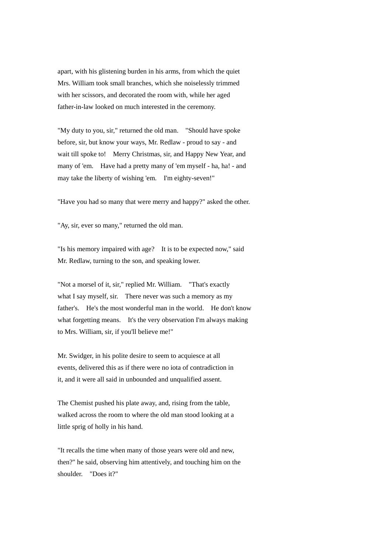apart, with his glistening burden in his arms, from which the quiet Mrs. William took small branches, which she noiselessly trimmed with her scissors, and decorated the room with, while her aged father-in-law looked on much interested in the ceremony.

"My duty to you, sir," returned the old man. "Should have spoke before, sir, but know your ways, Mr. Redlaw - proud to say - and wait till spoke to! Merry Christmas, sir, and Happy New Year, and many of 'em. Have had a pretty many of 'em myself - ha, ha! - and may take the liberty of wishing 'em. I'm eighty-seven!"

"Have you had so many that were merry and happy?" asked the other.

"Ay, sir, ever so many," returned the old man.

"Is his memory impaired with age? It is to be expected now," said Mr. Redlaw, turning to the son, and speaking lower.

"Not a morsel of it, sir," replied Mr. William. "That's exactly what I say myself, sir. There never was such a memory as my father's. He's the most wonderful man in the world. He don't know what forgetting means. It's the very observation I'm always making to Mrs. William, sir, if you'll believe me!"

Mr. Swidger, in his polite desire to seem to acquiesce at all events, delivered this as if there were no iota of contradiction in it, and it were all said in unbounded and unqualified assent.

The Chemist pushed his plate away, and, rising from the table, walked across the room to where the old man stood looking at a little sprig of holly in his hand.

"It recalls the time when many of those years were old and new, then?" he said, observing him attentively, and touching him on the shoulder. "Does it?"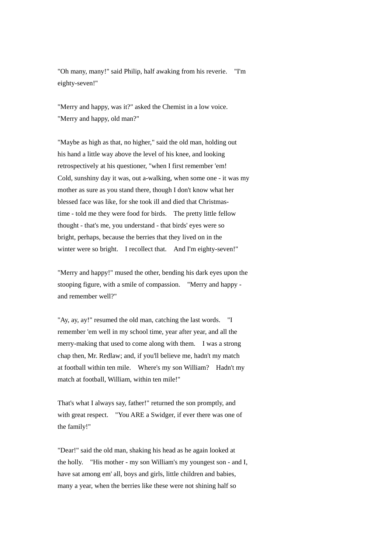"Oh many, many!" said Philip, half awaking from his reverie. "I'm eighty-seven!"

"Merry and happy, was it?" asked the Chemist in a low voice. "Merry and happy, old man?"

"Maybe as high as that, no higher," said the old man, holding out his hand a little way above the level of his knee, and looking retrospectively at his questioner, "when I first remember 'em! Cold, sunshiny day it was, out a-walking, when some one - it was my mother as sure as you stand there, though I don't know what her blessed face was like, for she took ill and died that Christmastime - told me they were food for birds. The pretty little fellow thought - that's me, you understand - that birds' eyes were so bright, perhaps, because the berries that they lived on in the winter were so bright. I recollect that. And I'm eighty-seven!"

"Merry and happy!" mused the other, bending his dark eyes upon the stooping figure, with a smile of compassion. "Merry and happy and remember well?"

"Ay, ay, ay!" resumed the old man, catching the last words. "I remember 'em well in my school time, year after year, and all the merry-making that used to come along with them. I was a strong chap then, Mr. Redlaw; and, if you'll believe me, hadn't my match at football within ten mile. Where's my son William? Hadn't my match at football, William, within ten mile!"

That's what I always say, father!" returned the son promptly, and with great respect. "You ARE a Swidger, if ever there was one of the family!"

"Dear!" said the old man, shaking his head as he again looked at the holly. "His mother - my son William's my youngest son - and I, have sat among em' all, boys and girls, little children and babies, many a year, when the berries like these were not shining half so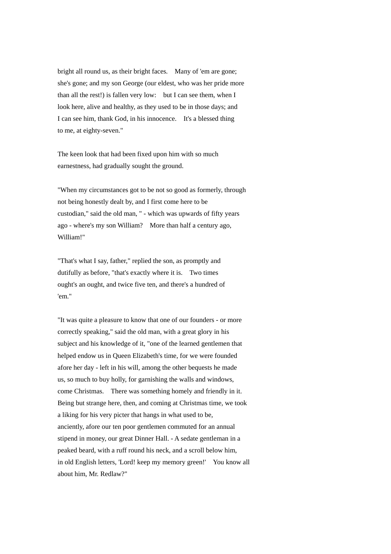bright all round us, as their bright faces. Many of 'em are gone; she's gone; and my son George (our eldest, who was her pride more than all the rest!) is fallen very low: but I can see them, when I look here, alive and healthy, as they used to be in those days; and I can see him, thank God, in his innocence. It's a blessed thing to me, at eighty-seven."

The keen look that had been fixed upon him with so much earnestness, had gradually sought the ground.

"When my circumstances got to be not so good as formerly, through not being honestly dealt by, and I first come here to be custodian," said the old man, " - which was upwards of fifty years ago - where's my son William? More than half a century ago, William!"

"That's what I say, father," replied the son, as promptly and dutifully as before, "that's exactly where it is. Two times ought's an ought, and twice five ten, and there's a hundred of 'em."

"It was quite a pleasure to know that one of our founders - or more correctly speaking," said the old man, with a great glory in his subject and his knowledge of it, "one of the learned gentlemen that helped endow us in Queen Elizabeth's time, for we were founded afore her day - left in his will, among the other bequests he made us, so much to buy holly, for garnishing the walls and windows, come Christmas. There was something homely and friendly in it. Being but strange here, then, and coming at Christmas time, we took a liking for his very picter that hangs in what used to be, anciently, afore our ten poor gentlemen commuted for an annual stipend in money, our great Dinner Hall. - A sedate gentleman in a peaked beard, with a ruff round his neck, and a scroll below him, in old English letters, 'Lord! keep my memory green!' You know all about him, Mr. Redlaw?"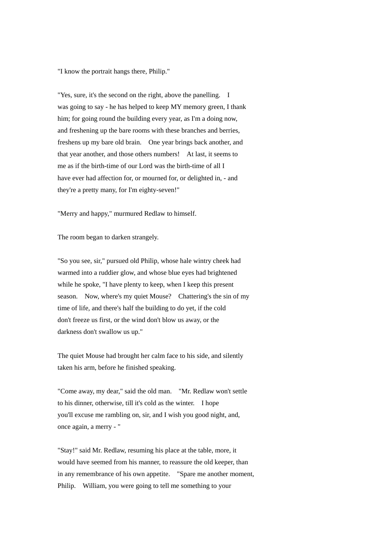"I know the portrait hangs there, Philip."

"Yes, sure, it's the second on the right, above the panelling. I was going to say - he has helped to keep MY memory green, I thank him; for going round the building every year, as I'm a doing now, and freshening up the bare rooms with these branches and berries, freshens up my bare old brain. One year brings back another, and that year another, and those others numbers! At last, it seems to me as if the birth-time of our Lord was the birth-time of all I have ever had affection for, or mourned for, or delighted in, - and they're a pretty many, for I'm eighty-seven!"

"Merry and happy," murmured Redlaw to himself.

The room began to darken strangely.

"So you see, sir," pursued old Philip, whose hale wintry cheek had warmed into a ruddier glow, and whose blue eyes had brightened while he spoke, "I have plenty to keep, when I keep this present season. Now, where's my quiet Mouse? Chattering's the sin of my time of life, and there's half the building to do yet, if the cold don't freeze us first, or the wind don't blow us away, or the darkness don't swallow us up."

The quiet Mouse had brought her calm face to his side, and silently taken his arm, before he finished speaking.

"Come away, my dear," said the old man. "Mr. Redlaw won't settle to his dinner, otherwise, till it's cold as the winter. I hope you'll excuse me rambling on, sir, and I wish you good night, and, once again, a merry - "

"Stay!" said Mr. Redlaw, resuming his place at the table, more, it would have seemed from his manner, to reassure the old keeper, than in any remembrance of his own appetite. "Spare me another moment, Philip. William, you were going to tell me something to your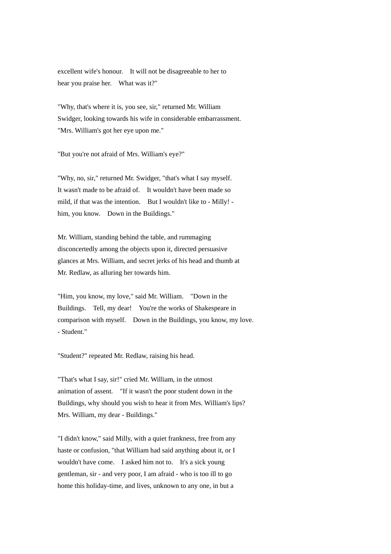excellent wife's honour. It will not be disagreeable to her to hear you praise her. What was it?"

"Why, that's where it is, you see, sir," returned Mr. William Swidger, looking towards his wife in considerable embarrassment. "Mrs. William's got her eye upon me."

"But you're not afraid of Mrs. William's eye?"

"Why, no, sir," returned Mr. Swidger, "that's what I say myself. It wasn't made to be afraid of. It wouldn't have been made so mild, if that was the intention. But I wouldn't like to - Milly! him, you know. Down in the Buildings."

Mr. William, standing behind the table, and rummaging disconcertedly among the objects upon it, directed persuasive glances at Mrs. William, and secret jerks of his head and thumb at Mr. Redlaw, as alluring her towards him.

"Him, you know, my love," said Mr. William. "Down in the Buildings. Tell, my dear! You're the works of Shakespeare in comparison with myself. Down in the Buildings, you know, my love. - Student."

"Student?" repeated Mr. Redlaw, raising his head.

"That's what I say, sir!" cried Mr. William, in the utmost animation of assent. "If it wasn't the poor student down in the Buildings, why should you wish to hear it from Mrs. William's lips? Mrs. William, my dear - Buildings."

"I didn't know," said Milly, with a quiet frankness, free from any haste or confusion, "that William had said anything about it, or I wouldn't have come. I asked him not to. It's a sick young gentleman, sir - and very poor, I am afraid - who is too ill to go home this holiday-time, and lives, unknown to any one, in but a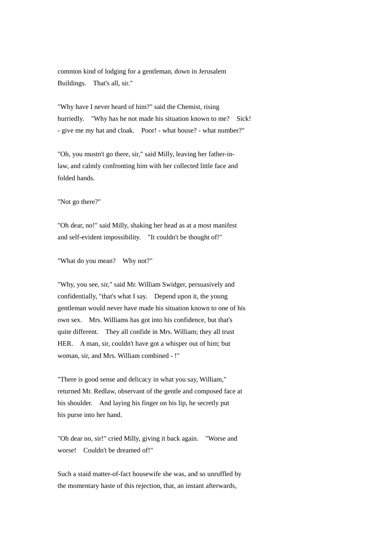common kind of lodging for a gentleman, down in Jerusalem Buildings. That's all, sir."

"Why have I never heard of him?" said the Chemist, rising hurriedly. "Why has he not made his situation known to me? Sick! - give me my hat and cloak. Poor! - what house? - what number?"

"Oh, you mustn't go there, sir," said Milly, leaving her father-inlaw, and calmly confronting him with her collected little face and folded hands.

"Not go there?"

"Oh dear, no!" said Milly, shaking her head as at a most manifest and self-evident impossibility. "It couldn't be thought of!"

"What do you mean? Why not?"

"Why, you see, sir," said Mr. William Swidger, persuasively and confidentially, "that's what I say. Depend upon it, the young gentleman would never have made his situation known to one of his own sex. Mrs. Williams has got into his confidence, but that's quite different. They all confide in Mrs. William; they all trust HER. A man, sir, couldn't have got a whisper out of him; but woman, sir, and Mrs. William combined - !"

"There is good sense and delicacy in what you say, William," returned Mr. Redlaw, observant of the gentle and composed face at his shoulder. And laying his finger on his lip, he secretly put his purse into her hand.

"Oh dear no, sir!" cried Milly, giving it back again. "Worse and worse! Couldn't be dreamed of!"

Such a staid matter-of-fact housewife she was, and so unruffled by the momentary haste of this rejection, that, an instant afterwards,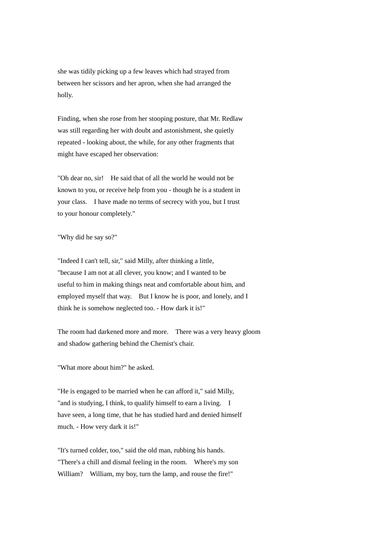she was tidily picking up a few leaves which had strayed from between her scissors and her apron, when she had arranged the holly.

Finding, when she rose from her stooping posture, that Mr. Redlaw was still regarding her with doubt and astonishment, she quietly repeated - looking about, the while, for any other fragments that might have escaped her observation:

"Oh dear no, sir! He said that of all the world he would not be known to you, or receive help from you - though he is a student in your class. I have made no terms of secrecy with you, but I trust to your honour completely."

# "Why did he say so?"

"Indeed I can't tell, sir," said Milly, after thinking a little, "because I am not at all clever, you know; and I wanted to be useful to him in making things neat and comfortable about him, and employed myself that way. But I know he is poor, and lonely, and I think he is somehow neglected too. - How dark it is!"

The room had darkened more and more. There was a very heavy gloom and shadow gathering behind the Chemist's chair.

"What more about him?" he asked.

"He is engaged to be married when he can afford it," said Milly, "and is studying, I think, to qualify himself to earn a living. I have seen, a long time, that he has studied hard and denied himself much. - How very dark it is!"

"It's turned colder, too," said the old man, rubbing his hands. "There's a chill and dismal feeling in the room. Where's my son William? William, my boy, turn the lamp, and rouse the fire!"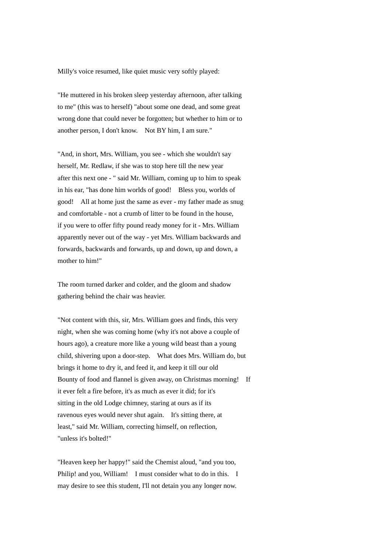Milly's voice resumed, like quiet music very softly played:

"He muttered in his broken sleep yesterday afternoon, after talking to me" (this was to herself) "about some one dead, and some great wrong done that could never be forgotten; but whether to him or to another person, I don't know. Not BY him, I am sure."

"And, in short, Mrs. William, you see - which she wouldn't say herself, Mr. Redlaw, if she was to stop here till the new year after this next one - " said Mr. William, coming up to him to speak in his ear, "has done him worlds of good! Bless you, worlds of good! All at home just the same as ever - my father made as snug and comfortable - not a crumb of litter to be found in the house, if you were to offer fifty pound ready money for it - Mrs. William apparently never out of the way - yet Mrs. William backwards and forwards, backwards and forwards, up and down, up and down, a mother to him!"

The room turned darker and colder, and the gloom and shadow gathering behind the chair was heavier.

"Not content with this, sir, Mrs. William goes and finds, this very night, when she was coming home (why it's not above a couple of hours ago), a creature more like a young wild beast than a young child, shivering upon a door-step. What does Mrs. William do, but brings it home to dry it, and feed it, and keep it till our old Bounty of food and flannel is given away, on Christmas morning! If it ever felt a fire before, it's as much as ever it did; for it's sitting in the old Lodge chimney, staring at ours as if its ravenous eyes would never shut again. It's sitting there, at least," said Mr. William, correcting himself, on reflection, "unless it's bolted!"

"Heaven keep her happy!" said the Chemist aloud, "and you too, Philip! and you, William! I must consider what to do in this. I may desire to see this student, I'll not detain you any longer now.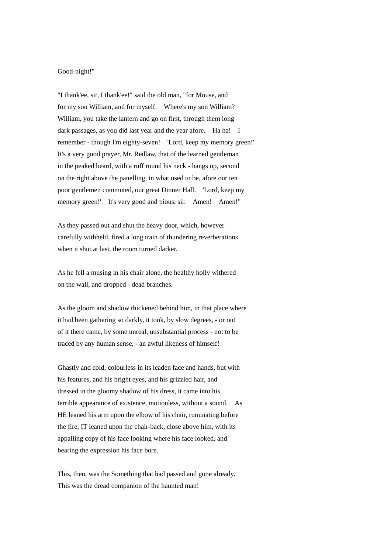#### Good-night!"

"I thank'ee, sir, I thank'ee!" said the old man, "for Mouse, and for my son William, and for myself. Where's my son William? William, you take the lantern and go on first, through them long dark passages, as you did last year and the year afore. Ha ha! I remember - though I'm eighty-seven! 'Lord, keep my memory green!' It's a very good prayer, Mr. Redlaw, that of the learned gentleman in the peaked beard, with a ruff round his neck - hangs up, second on the right above the panelling, in what used to be, afore our ten poor gentlemen commuted, our great Dinner Hall. 'Lord, keep my memory green!' It's very good and pious, sir. Amen!' Amen!''

As they passed out and shut the heavy door, which, however carefully withheld, fired a long train of thundering reverberations when it shut at last, the room turned darker.

As he fell a musing in his chair alone, the healthy holly withered on the wall, and dropped - dead branches.

As the gloom and shadow thickened behind him, in that place where it had been gathering so darkly, it took, by slow degrees, - or out of it there came, by some unreal, unsubstantial process - not to be traced by any human sense, - an awful likeness of himself!

Ghastly and cold, colourless in its leaden face and hands, but with his features, and his bright eyes, and his grizzled hair, and dressed in the gloomy shadow of his dress, it came into his terrible appearance of existence, motionless, without a sound. As HE leaned his arm upon the elbow of his chair, ruminating before the fire, IT leaned upon the chair-back, close above him, with its appalling copy of his face looking where his face looked, and bearing the expression his face bore.

This, then, was the Something that had passed and gone already. This was the dread companion of the haunted man!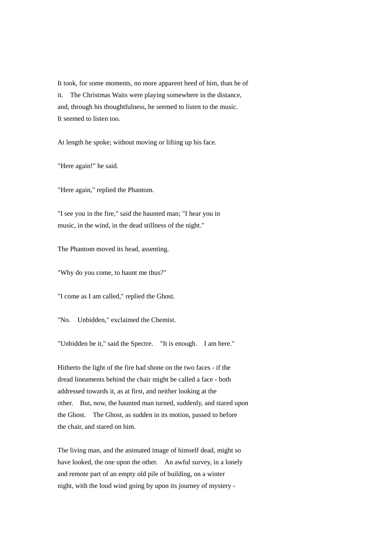It took, for some moments, no more apparent heed of him, than he of it. The Christmas Waits were playing somewhere in the distance, and, through his thoughtfulness, he seemed to listen to the music. It seemed to listen too.

At length he spoke; without moving or lifting up his face.

"Here again!" he said.

"Here again," replied the Phantom.

"I see you in the fire," said the haunted man; "I hear you in music, in the wind, in the dead stillness of the night."

The Phantom moved its head, assenting.

"Why do you come, to haunt me thus?"

"I come as I am called," replied the Ghost.

"No. Unbidden," exclaimed the Chemist.

"Unbidden be it," said the Spectre. "It is enough. I am here."

Hitherto the light of the fire had shone on the two faces - if the dread lineaments behind the chair might be called a face - both addressed towards it, as at first, and neither looking at the other. But, now, the haunted man turned, suddenly, and stared upon the Ghost. The Ghost, as sudden in its motion, passed to before the chair, and stared on him.

The living man, and the animated image of himself dead, might so have looked, the one upon the other. An awful survey, in a lonely and remote part of an empty old pile of building, on a winter night, with the loud wind going by upon its journey of mystery -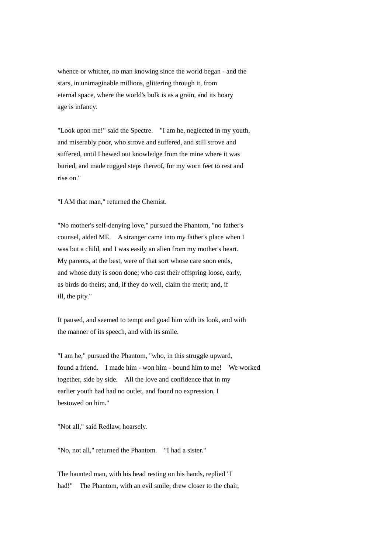whence or whither, no man knowing since the world began - and the stars, in unimaginable millions, glittering through it, from eternal space, where the world's bulk is as a grain, and its hoary age is infancy.

"Look upon me!" said the Spectre. "I am he, neglected in my youth, and miserably poor, who strove and suffered, and still strove and suffered, until I hewed out knowledge from the mine where it was buried, and made rugged steps thereof, for my worn feet to rest and rise on."

"I AM that man," returned the Chemist.

"No mother's self-denying love," pursued the Phantom, "no father's counsel, aided ME. A stranger came into my father's place when I was but a child, and I was easily an alien from my mother's heart. My parents, at the best, were of that sort whose care soon ends, and whose duty is soon done; who cast their offspring loose, early, as birds do theirs; and, if they do well, claim the merit; and, if ill, the pity."

It paused, and seemed to tempt and goad him with its look, and with the manner of its speech, and with its smile.

"I am he," pursued the Phantom, "who, in this struggle upward, found a friend. I made him - won him - bound him to me! We worked together, side by side. All the love and confidence that in my earlier youth had had no outlet, and found no expression, I bestowed on him."

"Not all," said Redlaw, hoarsely.

"No, not all," returned the Phantom. "I had a sister."

The haunted man, with his head resting on his hands, replied "I had!" The Phantom, with an evil smile, drew closer to the chair,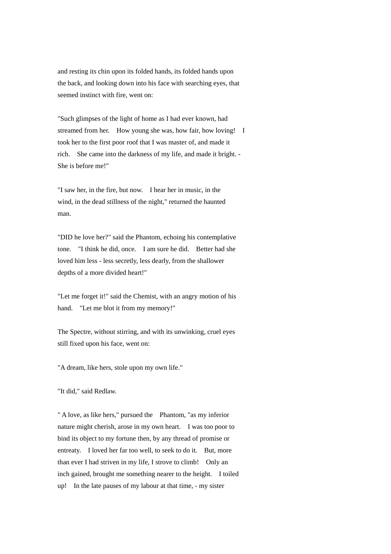and resting its chin upon its folded hands, its folded hands upon the back, and looking down into his face with searching eyes, that seemed instinct with fire, went on:

"Such glimpses of the light of home as I had ever known, had streamed from her. How young she was, how fair, how loving! I took her to the first poor roof that I was master of, and made it rich. She came into the darkness of my life, and made it bright. - She is before me!"

"I saw her, in the fire, but now. I hear her in music, in the wind, in the dead stillness of the night," returned the haunted man.

"DID he love her?" said the Phantom, echoing his contemplative tone. "I think he did, once. I am sure he did. Better had she loved him less - less secretly, less dearly, from the shallower depths of a more divided heart!"

"Let me forget it!" said the Chemist, with an angry motion of his hand. "Let me blot it from my memory!"

The Spectre, without stirring, and with its unwinking, cruel eyes still fixed upon his face, went on:

"A dream, like hers, stole upon my own life."

"It did," said Redlaw.

" A love, as like hers," pursued the Phantom, "as my inferior nature might cherish, arose in my own heart. I was too poor to bind its object to my fortune then, by any thread of promise or entreaty. I loved her far too well, to seek to do it. But, more than ever I had striven in my life, I strove to climb! Only an inch gained, brought me something nearer to the height. I toiled up! In the late pauses of my labour at that time, - my sister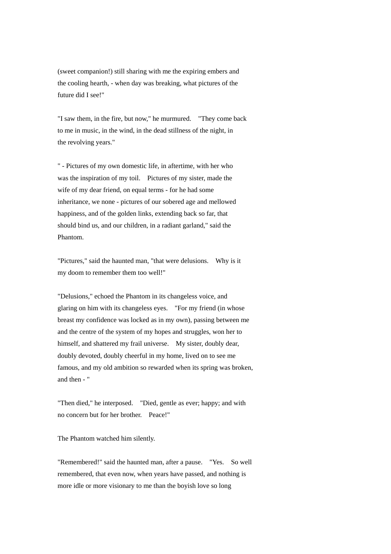(sweet companion!) still sharing with me the expiring embers and the cooling hearth, - when day was breaking, what pictures of the future did I see!"

"I saw them, in the fire, but now," he murmured. "They come back to me in music, in the wind, in the dead stillness of the night, in the revolving years."

" - Pictures of my own domestic life, in aftertime, with her who was the inspiration of my toil. Pictures of my sister, made the wife of my dear friend, on equal terms - for he had some inheritance, we none - pictures of our sobered age and mellowed happiness, and of the golden links, extending back so far, that should bind us, and our children, in a radiant garland," said the Phantom.

"Pictures," said the haunted man, "that were delusions. Why is it my doom to remember them too well!"

"Delusions," echoed the Phantom in its changeless voice, and glaring on him with its changeless eyes. "For my friend (in whose breast my confidence was locked as in my own), passing between me and the centre of the system of my hopes and struggles, won her to himself, and shattered my frail universe. My sister, doubly dear, doubly devoted, doubly cheerful in my home, lived on to see me famous, and my old ambition so rewarded when its spring was broken, and then - "

"Then died," he interposed. "Died, gentle as ever; happy; and with no concern but for her brother. Peace!"

The Phantom watched him silently.

"Remembered!" said the haunted man, after a pause. "Yes. So well remembered, that even now, when years have passed, and nothing is more idle or more visionary to me than the boyish love so long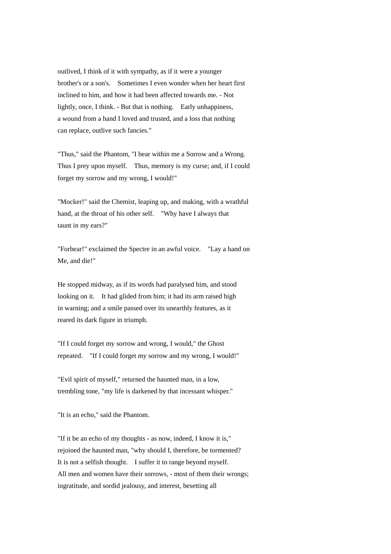outlived, I think of it with sympathy, as if it were a younger brother's or a son's. Sometimes I even wonder when her heart first inclined to him, and how it had been affected towards me. - Not lightly, once, I think. - But that is nothing. Early unhappiness, a wound from a hand I loved and trusted, and a loss that nothing can replace, outlive such fancies."

"Thus," said the Phantom, "I bear within me a Sorrow and a Wrong. Thus I prey upon myself. Thus, memory is my curse; and, if I could forget my sorrow and my wrong, I would!"

"Mocker!" said the Chemist, leaping up, and making, with a wrathful hand, at the throat of his other self. "Why have I always that taunt in my ears?"

"Forbear!" exclaimed the Spectre in an awful voice. "Lay a hand on Me, and die!"

He stopped midway, as if its words had paralysed him, and stood looking on it. It had glided from him; it had its arm raised high in warning; and a smile passed over its unearthly features, as it reared its dark figure in triumph.

"If I could forget my sorrow and wrong, I would," the Ghost repeated. "If I could forget my sorrow and my wrong, I would!"

"Evil spirit of myself," returned the haunted man, in a low, trembling tone, "my life is darkened by that incessant whisper."

"It is an echo," said the Phantom.

"If it be an echo of my thoughts - as now, indeed, I know it is," rejoined the haunted man, "why should I, therefore, be tormented? It is not a selfish thought. I suffer it to range beyond myself. All men and women have their sorrows, - most of them their wrongs; ingratitude, and sordid jealousy, and interest, besetting all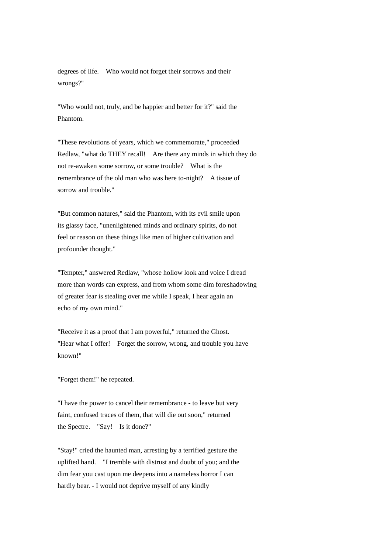degrees of life. Who would not forget their sorrows and their wrongs?"

"Who would not, truly, and be happier and better for it?" said the Phantom.

"These revolutions of years, which we commemorate," proceeded Redlaw, "what do THEY recall! Are there any minds in which they do not re-awaken some sorrow, or some trouble? What is the remembrance of the old man who was here to-night? A tissue of sorrow and trouble."

"But common natures," said the Phantom, with its evil smile upon its glassy face, "unenlightened minds and ordinary spirits, do not feel or reason on these things like men of higher cultivation and profounder thought."

"Tempter," answered Redlaw, "whose hollow look and voice I dread more than words can express, and from whom some dim foreshadowing of greater fear is stealing over me while I speak, I hear again an echo of my own mind."

"Receive it as a proof that I am powerful," returned the Ghost. "Hear what I offer! Forget the sorrow, wrong, and trouble you have known!"

# "Forget them!" he repeated.

"I have the power to cancel their remembrance - to leave but very faint, confused traces of them, that will die out soon," returned the Spectre. "Say! Is it done?"

"Stay!" cried the haunted man, arresting by a terrified gesture the uplifted hand. "I tremble with distrust and doubt of you; and the dim fear you cast upon me deepens into a nameless horror I can hardly bear. - I would not deprive myself of any kindly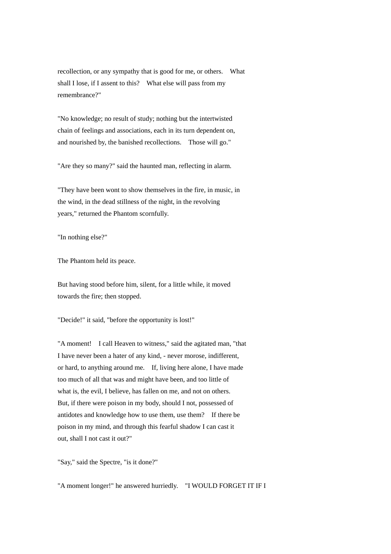recollection, or any sympathy that is good for me, or others. What shall I lose, if I assent to this? What else will pass from my remembrance?"

"No knowledge; no result of study; nothing but the intertwisted chain of feelings and associations, each in its turn dependent on, and nourished by, the banished recollections. Those will go."

"Are they so many?" said the haunted man, reflecting in alarm.

"They have been wont to show themselves in the fire, in music, in the wind, in the dead stillness of the night, in the revolving years," returned the Phantom scornfully.

"In nothing else?"

The Phantom held its peace.

But having stood before him, silent, for a little while, it moved towards the fire; then stopped.

"Decide!" it said, "before the opportunity is lost!"

"A moment! I call Heaven to witness," said the agitated man, "that I have never been a hater of any kind, - never morose, indifferent, or hard, to anything around me. If, living here alone, I have made too much of all that was and might have been, and too little of what is, the evil, I believe, has fallen on me, and not on others. But, if there were poison in my body, should I not, possessed of antidotes and knowledge how to use them, use them? If there be poison in my mind, and through this fearful shadow I can cast it out, shall I not cast it out?"

"Say," said the Spectre, "is it done?"

"A moment longer!" he answered hurriedly. "I WOULD FORGET IT IF I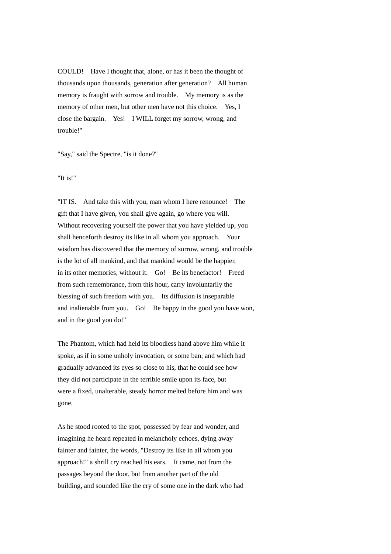COULD! Have I thought that, alone, or has it been the thought of thousands upon thousands, generation after generation? All human memory is fraught with sorrow and trouble. My memory is as the memory of other men, but other men have not this choice. Yes, I close the bargain. Yes! I WILL forget my sorrow, wrong, and trouble!"

"Say," said the Spectre, "is it done?"

"It is!"

"IT IS. And take this with you, man whom I here renounce! The gift that I have given, you shall give again, go where you will. Without recovering yourself the power that you have yielded up, you shall henceforth destroy its like in all whom you approach. Your wisdom has discovered that the memory of sorrow, wrong, and trouble is the lot of all mankind, and that mankind would be the happier, in its other memories, without it. Go! Be its benefactor! Freed from such remembrance, from this hour, carry involuntarily the blessing of such freedom with you. Its diffusion is inseparable and inalienable from you. Go! Be happy in the good you have won, and in the good you do!"

The Phantom, which had held its bloodless hand above him while it spoke, as if in some unholy invocation, or some ban; and which had gradually advanced its eyes so close to his, that he could see how they did not participate in the terrible smile upon its face, but were a fixed, unalterable, steady horror melted before him and was gone.

As he stood rooted to the spot, possessed by fear and wonder, and imagining he heard repeated in melancholy echoes, dying away fainter and fainter, the words, "Destroy its like in all whom you approach!" a shrill cry reached his ears. It came, not from the passages beyond the door, but from another part of the old building, and sounded like the cry of some one in the dark who had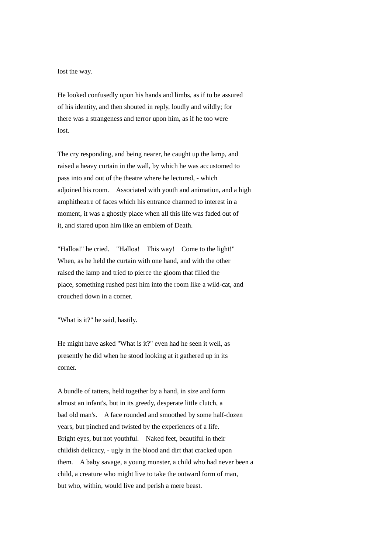lost the way.

He looked confusedly upon his hands and limbs, as if to be assured of his identity, and then shouted in reply, loudly and wildly; for there was a strangeness and terror upon him, as if he too were lost.

The cry responding, and being nearer, he caught up the lamp, and raised a heavy curtain in the wall, by which he was accustomed to pass into and out of the theatre where he lectured, - which adjoined his room. Associated with youth and animation, and a high amphitheatre of faces which his entrance charmed to interest in a moment, it was a ghostly place when all this life was faded out of it, and stared upon him like an emblem of Death.

"Halloa!" he cried. "Halloa! This way! Come to the light!" When, as he held the curtain with one hand, and with the other raised the lamp and tried to pierce the gloom that filled the place, something rushed past him into the room like a wild-cat, and crouched down in a corner.

"What is it?" he said, hastily.

He might have asked "What is it?" even had he seen it well, as presently he did when he stood looking at it gathered up in its corner.

A bundle of tatters, held together by a hand, in size and form almost an infant's, but in its greedy, desperate little clutch, a bad old man's. A face rounded and smoothed by some half-dozen years, but pinched and twisted by the experiences of a life. Bright eyes, but not youthful. Naked feet, beautiful in their childish delicacy, - ugly in the blood and dirt that cracked upon them. A baby savage, a young monster, a child who had never been a child, a creature who might live to take the outward form of man, but who, within, would live and perish a mere beast.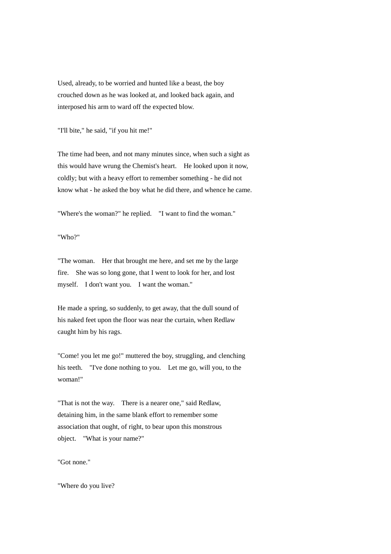Used, already, to be worried and hunted like a beast, the boy crouched down as he was looked at, and looked back again, and interposed his arm to ward off the expected blow.

"I'll bite," he said, "if you hit me!"

The time had been, and not many minutes since, when such a sight as this would have wrung the Chemist's heart. He looked upon it now, coldly; but with a heavy effort to remember something - he did not know what - he asked the boy what he did there, and whence he came.

"Where's the woman?" he replied. "I want to find the woman."

"Who?"

"The woman. Her that brought me here, and set me by the large fire. She was so long gone, that I went to look for her, and lost myself. I don't want you. I want the woman."

He made a spring, so suddenly, to get away, that the dull sound of his naked feet upon the floor was near the curtain, when Redlaw caught him by his rags.

"Come! you let me go!" muttered the boy, struggling, and clenching his teeth. "I've done nothing to you. Let me go, will you, to the woman!"

"That is not the way. There is a nearer one," said Redlaw, detaining him, in the same blank effort to remember some association that ought, of right, to bear upon this monstrous object. "What is your name?"

"Got none."

"Where do you live?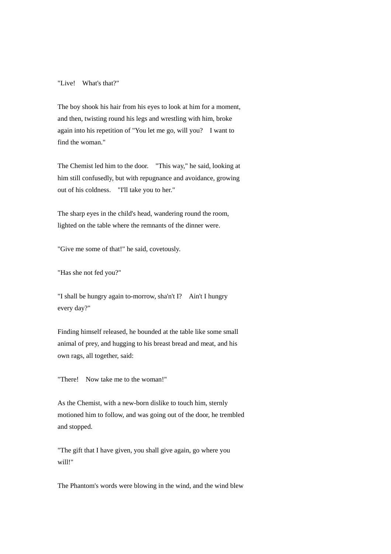### "Live! What's that?"

The boy shook his hair from his eyes to look at him for a moment, and then, twisting round his legs and wrestling with him, broke again into his repetition of "You let me go, will you? I want to find the woman."

The Chemist led him to the door. "This way," he said, looking at him still confusedly, but with repugnance and avoidance, growing out of his coldness. "I'll take you to her."

The sharp eyes in the child's head, wandering round the room, lighted on the table where the remnants of the dinner were.

"Give me some of that!" he said, covetously.

"Has she not fed you?"

"I shall be hungry again to-morrow, sha'n't I? Ain't I hungry every day?"

Finding himself released, he bounded at the table like some small animal of prey, and hugging to his breast bread and meat, and his own rags, all together, said:

"There! Now take me to the woman!"

As the Chemist, with a new-born dislike to touch him, sternly motioned him to follow, and was going out of the door, he trembled and stopped.

"The gift that I have given, you shall give again, go where you will!"

The Phantom's words were blowing in the wind, and the wind blew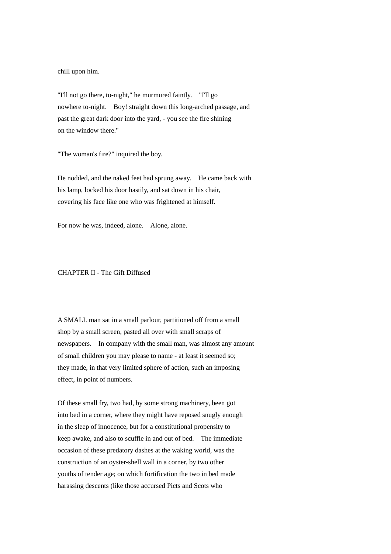chill upon him.

"I'll not go there, to-night," he murmured faintly. "I'll go nowhere to-night. Boy! straight down this long-arched passage, and past the great dark door into the yard, - you see the fire shining on the window there."

"The woman's fire?" inquired the boy.

He nodded, and the naked feet had sprung away. He came back with his lamp, locked his door hastily, and sat down in his chair, covering his face like one who was frightened at himself.

For now he was, indeed, alone. Alone, alone.

## CHAPTER II - The Gift Diffused

A SMALL man sat in a small parlour, partitioned off from a small shop by a small screen, pasted all over with small scraps of newspapers. In company with the small man, was almost any amount of small children you may please to name - at least it seemed so; they made, in that very limited sphere of action, such an imposing effect, in point of numbers.

Of these small fry, two had, by some strong machinery, been got into bed in a corner, where they might have reposed snugly enough in the sleep of innocence, but for a constitutional propensity to keep awake, and also to scuffle in and out of bed. The immediate occasion of these predatory dashes at the waking world, was the construction of an oyster-shell wall in a corner, by two other youths of tender age; on which fortification the two in bed made harassing descents (like those accursed Picts and Scots who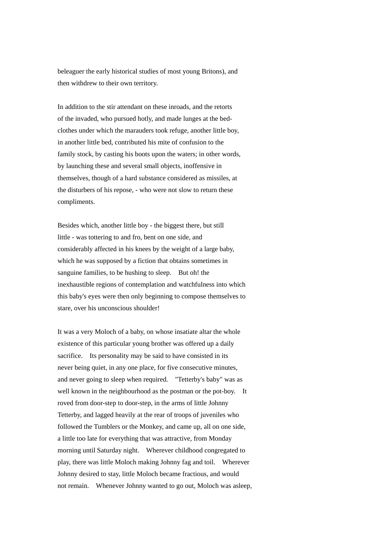beleaguer the early historical studies of most young Britons), and then withdrew to their own territory.

In addition to the stir attendant on these inroads, and the retorts of the invaded, who pursued hotly, and made lunges at the bedclothes under which the marauders took refuge, another little boy, in another little bed, contributed his mite of confusion to the family stock, by casting his boots upon the waters; in other words, by launching these and several small objects, inoffensive in themselves, though of a hard substance considered as missiles, at the disturbers of his repose, - who were not slow to return these compliments.

Besides which, another little boy - the biggest there, but still little - was tottering to and fro, bent on one side, and considerably affected in his knees by the weight of a large baby, which he was supposed by a fiction that obtains sometimes in sanguine families, to be hushing to sleep. But oh! the inexhaustible regions of contemplation and watchfulness into which this baby's eyes were then only beginning to compose themselves to stare, over his unconscious shoulder!

It was a very Moloch of a baby, on whose insatiate altar the whole existence of this particular young brother was offered up a daily sacrifice. Its personality may be said to have consisted in its never being quiet, in any one place, for five consecutive minutes, and never going to sleep when required. "Tetterby's baby" was as well known in the neighbourhood as the postman or the pot-boy. It roved from door-step to door-step, in the arms of little Johnny Tetterby, and lagged heavily at the rear of troops of juveniles who followed the Tumblers or the Monkey, and came up, all on one side, a little too late for everything that was attractive, from Monday morning until Saturday night. Wherever childhood congregated to play, there was little Moloch making Johnny fag and toil. Wherever Johnny desired to stay, little Moloch became fractious, and would not remain. Whenever Johnny wanted to go out, Moloch was asleep,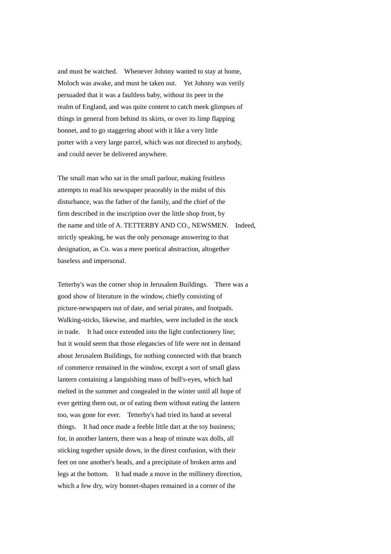and must be watched. Whenever Johnny wanted to stay at home, Moloch was awake, and must be taken out. Yet Johnny was verily persuaded that it was a faultless baby, without its peer in the realm of England, and was quite content to catch meek glimpses of things in general from behind its skirts, or over its limp flapping bonnet, and to go staggering about with it like a very little porter with a very large parcel, which was not directed to anybody, and could never be delivered anywhere.

The small man who sat in the small parlour, making fruitless attempts to read his newspaper peaceably in the midst of this disturbance, was the father of the family, and the chief of the firm described in the inscription over the little shop front, by the name and title of A. TETTERBY AND CO., NEWSMEN. Indeed, strictly speaking, he was the only personage answering to that designation, as Co. was a mere poetical abstraction, altogether baseless and impersonal.

Tetterby's was the corner shop in Jerusalem Buildings. There was a good show of literature in the window, chiefly consisting of picture-newspapers out of date, and serial pirates, and footpads. Walking-sticks, likewise, and marbles, were included in the stock in trade. It had once extended into the light confectionery line; but it would seem that those elegancies of life were not in demand about Jerusalem Buildings, for nothing connected with that branch of commerce remained in the window, except a sort of small glass lantern containing a languishing mass of bull's-eyes, which had melted in the summer and congealed in the winter until all hope of ever getting them out, or of eating them without eating the lantern too, was gone for ever. Tetterby's had tried its hand at several things. It had once made a feeble little dart at the toy business; for, in another lantern, there was a heap of minute wax dolls, all sticking together upside down, in the direst confusion, with their feet on one another's heads, and a precipitate of broken arms and legs at the bottom. It had made a move in the millinery direction, which a few dry, wiry bonnet-shapes remained in a corner of the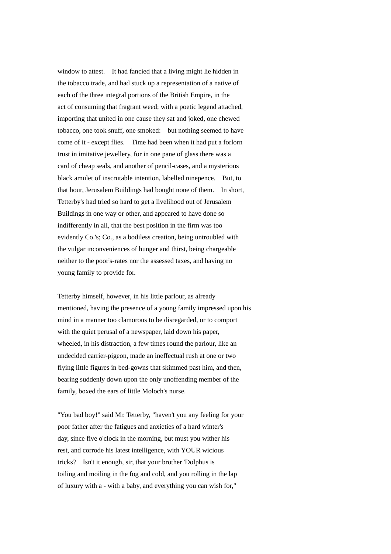window to attest. It had fancied that a living might lie hidden in the tobacco trade, and had stuck up a representation of a native of each of the three integral portions of the British Empire, in the act of consuming that fragrant weed; with a poetic legend attached, importing that united in one cause they sat and joked, one chewed tobacco, one took snuff, one smoked: but nothing seemed to have come of it - except flies. Time had been when it had put a forlorn trust in imitative jewellery, for in one pane of glass there was a card of cheap seals, and another of pencil-cases, and a mysterious black amulet of inscrutable intention, labelled ninepence. But, to that hour, Jerusalem Buildings had bought none of them. In short, Tetterby's had tried so hard to get a livelihood out of Jerusalem Buildings in one way or other, and appeared to have done so indifferently in all, that the best position in the firm was too evidently Co.'s; Co., as a bodiless creation, being untroubled with the vulgar inconveniences of hunger and thirst, being chargeable neither to the poor's-rates nor the assessed taxes, and having no young family to provide for.

Tetterby himself, however, in his little parlour, as already mentioned, having the presence of a young family impressed upon his mind in a manner too clamorous to be disregarded, or to comport with the quiet perusal of a newspaper, laid down his paper, wheeled, in his distraction, a few times round the parlour, like an undecided carrier-pigeon, made an ineffectual rush at one or two flying little figures in bed-gowns that skimmed past him, and then, bearing suddenly down upon the only unoffending member of the family, boxed the ears of little Moloch's nurse.

"You bad boy!" said Mr. Tetterby, "haven't you any feeling for your poor father after the fatigues and anxieties of a hard winter's day, since five o'clock in the morning, but must you wither his rest, and corrode his latest intelligence, with YOUR wicious tricks? Isn't it enough, sir, that your brother 'Dolphus is toiling and moiling in the fog and cold, and you rolling in the lap of luxury with a - with a baby, and everything you can wish for,"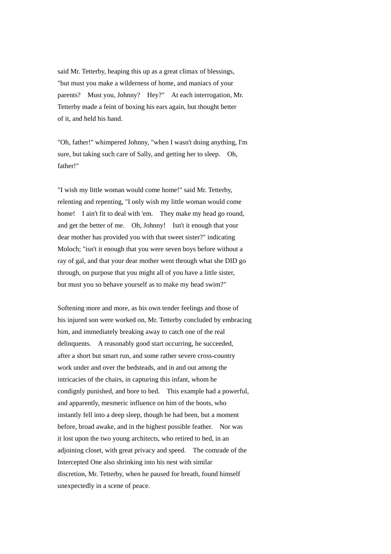said Mr. Tetterby, heaping this up as a great climax of blessings, "but must you make a wilderness of home, and maniacs of your parents? Must you, Johnny? Hey?" At each interrogation, Mr. Tetterby made a feint of boxing his ears again, but thought better of it, and held his hand.

"Oh, father!" whimpered Johnny, "when I wasn't doing anything, I'm sure, but taking such care of Sally, and getting her to sleep. Oh, father!"

"I wish my little woman would come home!" said Mr. Tetterby, relenting and repenting, "I only wish my little woman would come home! I ain't fit to deal with 'em. They make my head go round, and get the better of me. Oh, Johnny! Isn't it enough that your dear mother has provided you with that sweet sister?" indicating Moloch; "isn't it enough that you were seven boys before without a ray of gal, and that your dear mother went through what she DID go through, on purpose that you might all of you have a little sister, but must you so behave yourself as to make my head swim?"

Softening more and more, as his own tender feelings and those of his injured son were worked on, Mr. Tetterby concluded by embracing him, and immediately breaking away to catch one of the real delinquents. A reasonably good start occurring, he succeeded, after a short but smart run, and some rather severe cross-country work under and over the bedsteads, and in and out among the intricacies of the chairs, in capturing this infant, whom he condignly punished, and bore to bed. This example had a powerful, and apparently, mesmeric influence on him of the boots, who instantly fell into a deep sleep, though he had been, but a moment before, broad awake, and in the highest possible feather. Nor was it lost upon the two young architects, who retired to bed, in an adjoining closet, with great privacy and speed. The comrade of the Intercepted One also shrinking into his nest with similar discretion, Mr. Tetterby, when he paused for breath, found himself unexpectedly in a scene of peace.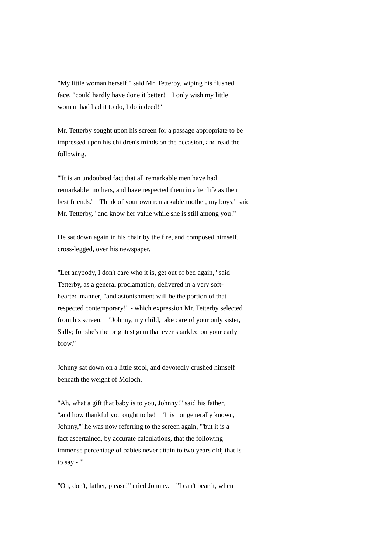"My little woman herself," said Mr. Tetterby, wiping his flushed face, "could hardly have done it better! I only wish my little woman had had it to do, I do indeed!"

Mr. Tetterby sought upon his screen for a passage appropriate to be impressed upon his children's minds on the occasion, and read the following.

"'It is an undoubted fact that all remarkable men have had remarkable mothers, and have respected them in after life as their best friends.' Think of your own remarkable mother, my boys," said Mr. Tetterby, "and know her value while she is still among you!"

He sat down again in his chair by the fire, and composed himself, cross-legged, over his newspaper.

"Let anybody, I don't care who it is, get out of bed again," said Tetterby, as a general proclamation, delivered in a very softhearted manner, "and astonishment will be the portion of that respected contemporary!" - which expression Mr. Tetterby selected from his screen. "Johnny, my child, take care of your only sister, Sally; for she's the brightest gem that ever sparkled on your early brow."

Johnny sat down on a little stool, and devotedly crushed himself beneath the weight of Moloch.

"Ah, what a gift that baby is to you, Johnny!" said his father, "and how thankful you ought to be! 'It is not generally known, Johnny,'" he was now referring to the screen again, "'but it is a fact ascertained, by accurate calculations, that the following immense percentage of babies never attain to two years old; that is to say - '"

"Oh, don't, father, please!" cried Johnny. "I can't bear it, when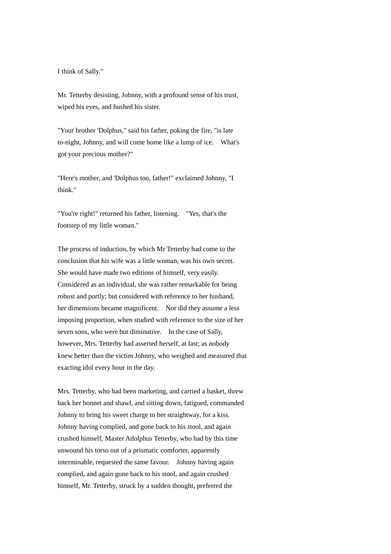I think of Sally."

Mr. Tetterby desisting, Johnny, with a profound sense of his trust, wiped his eyes, and hushed his sister.

"Your brother 'Dolphus," said his father, poking the fire, "is late to-night, Johnny, and will come home like a lump of ice. What's got your precious mother?"

"Here's mother, and 'Dolphus too, father!" exclaimed Johnny, "I think."

"You're right!" returned his father, listening. "Yes, that's the footstep of my little woman."

The process of induction, by which Mr Tetterby had come to the conclusion that his wife was a little woman, was his own secret. She would have made two editions of himself, very easily. Considered as an individual, she was rather remarkable for being robust and portly; but considered with reference to her husband, her dimensions became magnificent. Nor did they assume a less imposing proportion, when studied with reference to the size of her seven sons, who were but diminutive. In the case of Sally, however, Mrs. Tetterby had asserted herself, at last; as nobody knew better than the victim Johnny, who weighed and measured that exacting idol every hour in the day.

Mrs. Tetterby, who had been marketing, and carried a basket, threw back her bonnet and shawl, and sitting down, fatigued, commanded Johnny to bring his sweet charge to her straightway, for a kiss. Johnny having complied, and gone back to his stool, and again crushed himself, Master Adolphus Tetterby, who had by this time unwound his torso out of a prismatic comforter, apparently interminable, requested the same favour. Johnny having again complied, and again gone back to his stool, and again crushed himself, Mr. Tetterby, struck by a sudden thought, preferred the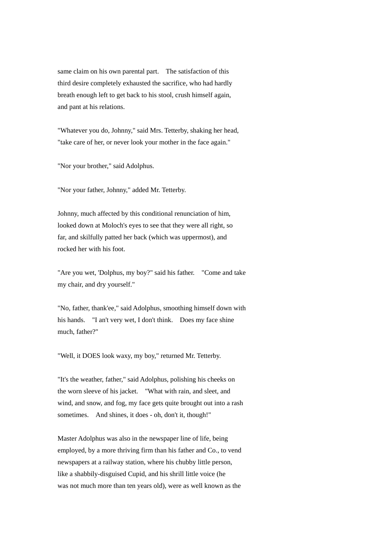same claim on his own parental part. The satisfaction of this third desire completely exhausted the sacrifice, who had hardly breath enough left to get back to his stool, crush himself again, and pant at his relations.

"Whatever you do, Johnny," said Mrs. Tetterby, shaking her head, "take care of her, or never look your mother in the face again."

"Nor your brother," said Adolphus.

"Nor your father, Johnny," added Mr. Tetterby.

Johnny, much affected by this conditional renunciation of him, looked down at Moloch's eyes to see that they were all right, so far, and skilfully patted her back (which was uppermost), and rocked her with his foot.

"Are you wet, 'Dolphus, my boy?" said his father. "Come and take my chair, and dry yourself."

"No, father, thank'ee," said Adolphus, smoothing himself down with his hands. "I an't very wet, I don't think. Does my face shine much, father?"

"Well, it DOES look waxy, my boy," returned Mr. Tetterby.

"It's the weather, father," said Adolphus, polishing his cheeks on the worn sleeve of his jacket. "What with rain, and sleet, and wind, and snow, and fog, my face gets quite brought out into a rash sometimes. And shines, it does - oh, don't it, though!"

Master Adolphus was also in the newspaper line of life, being employed, by a more thriving firm than his father and Co., to vend newspapers at a railway station, where his chubby little person, like a shabbily-disguised Cupid, and his shrill little voice (he was not much more than ten years old), were as well known as the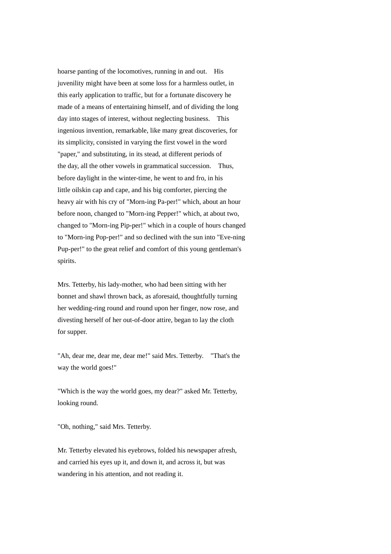hoarse panting of the locomotives, running in and out. His juvenility might have been at some loss for a harmless outlet, in this early application to traffic, but for a fortunate discovery he made of a means of entertaining himself, and of dividing the long day into stages of interest, without neglecting business. This ingenious invention, remarkable, like many great discoveries, for its simplicity, consisted in varying the first vowel in the word "paper," and substituting, in its stead, at different periods of the day, all the other vowels in grammatical succession. Thus, before daylight in the winter-time, he went to and fro, in his little oilskin cap and cape, and his big comforter, piercing the heavy air with his cry of "Morn-ing Pa-per!" which, about an hour before noon, changed to "Morn-ing Pepper!" which, at about two, changed to "Morn-ing Pip-per!" which in a couple of hours changed to "Morn-ing Pop-per!" and so declined with the sun into "Eve-ning Pup-per!" to the great relief and comfort of this young gentleman's spirits.

Mrs. Tetterby, his lady-mother, who had been sitting with her bonnet and shawl thrown back, as aforesaid, thoughtfully turning her wedding-ring round and round upon her finger, now rose, and divesting herself of her out-of-door attire, began to lay the cloth for supper.

"Ah, dear me, dear me, dear me!" said Mrs. Tetterby. "That's the way the world goes!"

"Which is the way the world goes, my dear?" asked Mr. Tetterby, looking round.

"Oh, nothing," said Mrs. Tetterby.

Mr. Tetterby elevated his eyebrows, folded his newspaper afresh, and carried his eyes up it, and down it, and across it, but was wandering in his attention, and not reading it.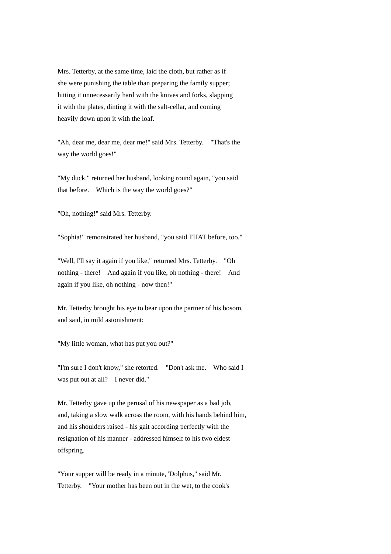Mrs. Tetterby, at the same time, laid the cloth, but rather as if she were punishing the table than preparing the family supper; hitting it unnecessarily hard with the knives and forks, slapping it with the plates, dinting it with the salt-cellar, and coming heavily down upon it with the loaf.

"Ah, dear me, dear me, dear me!" said Mrs. Tetterby. "That's the way the world goes!"

"My duck," returned her husband, looking round again, "you said that before. Which is the way the world goes?"

"Oh, nothing!" said Mrs. Tetterby.

"Sophia!" remonstrated her husband, "you said THAT before, too."

"Well, I'll say it again if you like," returned Mrs. Tetterby. "Oh nothing - there! And again if you like, oh nothing - there! And again if you like, oh nothing - now then!"

Mr. Tetterby brought his eye to bear upon the partner of his bosom, and said, in mild astonishment:

"My little woman, what has put you out?"

"I'm sure I don't know," she retorted. "Don't ask me. Who said I was put out at all? I never did."

Mr. Tetterby gave up the perusal of his newspaper as a bad job, and, taking a slow walk across the room, with his hands behind him, and his shoulders raised - his gait according perfectly with the resignation of his manner - addressed himself to his two eldest offspring.

"Your supper will be ready in a minute, 'Dolphus," said Mr. Tetterby. "Your mother has been out in the wet, to the cook's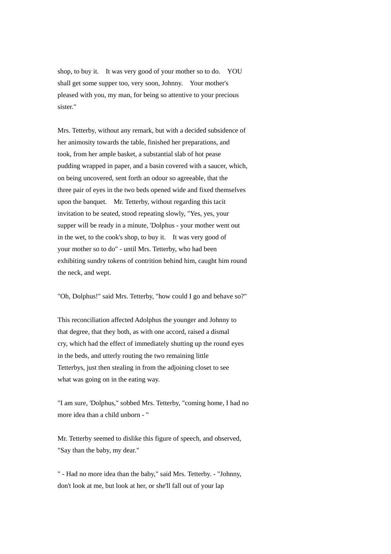shop, to buy it. It was very good of your mother so to do. YOU shall get some supper too, very soon, Johnny. Your mother's pleased with you, my man, for being so attentive to your precious sister."

Mrs. Tetterby, without any remark, but with a decided subsidence of her animosity towards the table, finished her preparations, and took, from her ample basket, a substantial slab of hot pease pudding wrapped in paper, and a basin covered with a saucer, which, on being uncovered, sent forth an odour so agreeable, that the three pair of eyes in the two beds opened wide and fixed themselves upon the banquet. Mr. Tetterby, without regarding this tacit invitation to be seated, stood repeating slowly, "Yes, yes, your supper will be ready in a minute, 'Dolphus - your mother went out in the wet, to the cook's shop, to buy it. It was very good of your mother so to do" - until Mrs. Tetterby, who had been exhibiting sundry tokens of contrition behind him, caught him round the neck, and wept.

"Oh, Dolphus!" said Mrs. Tetterby, "how could I go and behave so?"

This reconciliation affected Adolphus the younger and Johnny to that degree, that they both, as with one accord, raised a dismal cry, which had the effect of immediately shutting up the round eyes in the beds, and utterly routing the two remaining little Tetterbys, just then stealing in from the adjoining closet to see what was going on in the eating way.

"I am sure, 'Dolphus," sobbed Mrs. Tetterby, "coming home, I had no more idea than a child unborn - "

Mr. Tetterby seemed to dislike this figure of speech, and observed, "Say than the baby, my dear."

" - Had no more idea than the baby," said Mrs. Tetterby. - "Johnny, don't look at me, but look at her, or she'll fall out of your lap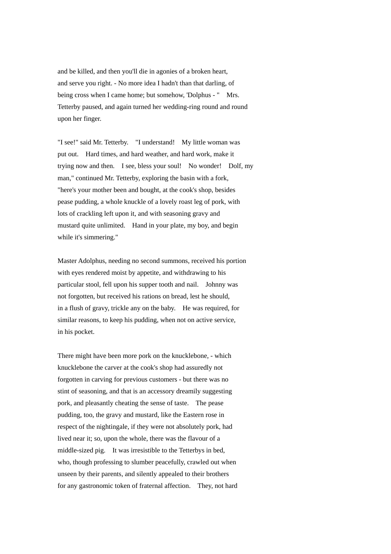and be killed, and then you'll die in agonies of a broken heart, and serve you right. - No more idea I hadn't than that darling, of being cross when I came home; but somehow, 'Dolphus - " Mrs. Tetterby paused, and again turned her wedding-ring round and round upon her finger.

"I see!" said Mr. Tetterby. "I understand! My little woman was put out. Hard times, and hard weather, and hard work, make it trying now and then. I see, bless your soul! No wonder! Dolf, my man," continued Mr. Tetterby, exploring the basin with a fork, "here's your mother been and bought, at the cook's shop, besides pease pudding, a whole knuckle of a lovely roast leg of pork, with lots of crackling left upon it, and with seasoning gravy and mustard quite unlimited. Hand in your plate, my boy, and begin while it's simmering."

Master Adolphus, needing no second summons, received his portion with eyes rendered moist by appetite, and withdrawing to his particular stool, fell upon his supper tooth and nail. Johnny was not forgotten, but received his rations on bread, lest he should, in a flush of gravy, trickle any on the baby. He was required, for similar reasons, to keep his pudding, when not on active service, in his pocket.

There might have been more pork on the knucklebone, - which knucklebone the carver at the cook's shop had assuredly not forgotten in carving for previous customers - but there was no stint of seasoning, and that is an accessory dreamily suggesting pork, and pleasantly cheating the sense of taste. The pease pudding, too, the gravy and mustard, like the Eastern rose in respect of the nightingale, if they were not absolutely pork, had lived near it; so, upon the whole, there was the flavour of a middle-sized pig. It was irresistible to the Tetterbys in bed, who, though professing to slumber peacefully, crawled out when unseen by their parents, and silently appealed to their brothers for any gastronomic token of fraternal affection. They, not hard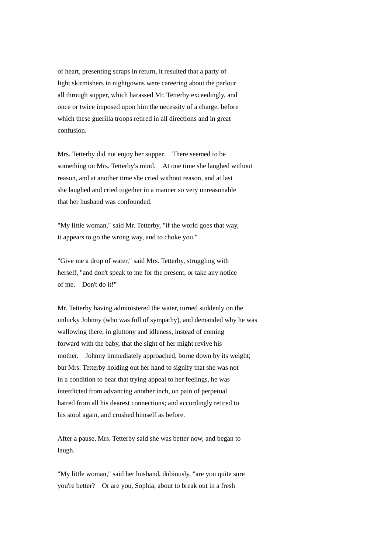of heart, presenting scraps in return, it resulted that a party of light skirmishers in nightgowns were careering about the parlour all through supper, which harassed Mr. Tetterby exceedingly, and once or twice imposed upon him the necessity of a charge, before which these guerilla troops retired in all directions and in great confusion.

Mrs. Tetterby did not enjoy her supper. There seemed to be something on Mrs. Tetterby's mind. At one time she laughed without reason, and at another time she cried without reason, and at last she laughed and cried together in a manner so very unreasonable that her husband was confounded.

"My little woman," said Mr. Tetterby, "if the world goes that way, it appears to go the wrong way, and to choke you."

"Give me a drop of water," said Mrs. Tetterby, struggling with herself, "and don't speak to me for the present, or take any notice of me. Don't do it!"

Mr. Tetterby having administered the water, turned suddenly on the unlucky Johnny (who was full of sympathy), and demanded why he was wallowing there, in gluttony and idleness, instead of coming forward with the baby, that the sight of her might revive his mother. Johnny immediately approached, borne down by its weight; but Mrs. Tetterby holding out her hand to signify that she was not in a condition to bear that trying appeal to her feelings, he was interdicted from advancing another inch, on pain of perpetual hatred from all his dearest connections; and accordingly retired to his stool again, and crushed himself as before.

After a pause, Mrs. Tetterby said she was better now, and began to laugh.

"My little woman," said her husband, dubiously, "are you quite sure you're better? Or are you, Sophia, about to break out in a fresh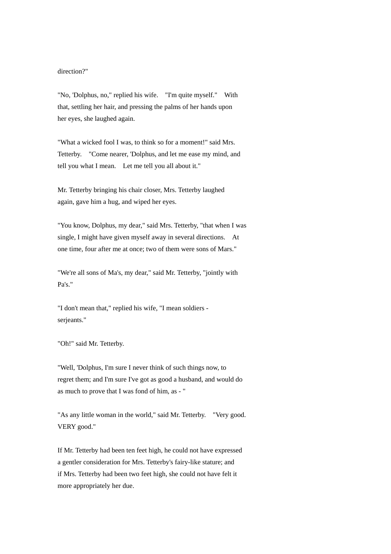## direction?"

"No, 'Dolphus, no," replied his wife. "I'm quite myself." With that, settling her hair, and pressing the palms of her hands upon her eyes, she laughed again.

"What a wicked fool I was, to think so for a moment!" said Mrs. Tetterby. "Come nearer, 'Dolphus, and let me ease my mind, and tell you what I mean. Let me tell you all about it."

Mr. Tetterby bringing his chair closer, Mrs. Tetterby laughed again, gave him a hug, and wiped her eyes.

"You know, Dolphus, my dear," said Mrs. Tetterby, "that when I was single, I might have given myself away in several directions. At one time, four after me at once; two of them were sons of Mars."

"We're all sons of Ma's, my dear," said Mr. Tetterby, "jointly with Pa's."

"I don't mean that," replied his wife, "I mean soldiers serjeants."

"Oh!" said Mr. Tetterby.

"Well, 'Dolphus, I'm sure I never think of such things now, to regret them; and I'm sure I've got as good a husband, and would do as much to prove that I was fond of him, as - "

"As any little woman in the world," said Mr. Tetterby. "Very good. VERY good."

If Mr. Tetterby had been ten feet high, he could not have expressed a gentler consideration for Mrs. Tetterby's fairy-like stature; and if Mrs. Tetterby had been two feet high, she could not have felt it more appropriately her due.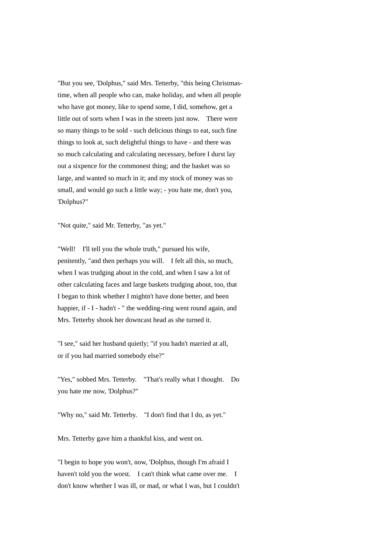"But you see, 'Dolphus," said Mrs. Tetterby, "this being Christmastime, when all people who can, make holiday, and when all people who have got money, like to spend some, I did, somehow, get a little out of sorts when I was in the streets just now. There were so many things to be sold - such delicious things to eat, such fine things to look at, such delightful things to have - and there was so much calculating and calculating necessary, before I durst lay out a sixpence for the commonest thing; and the basket was so large, and wanted so much in it; and my stock of money was so small, and would go such a little way; - you hate me, don't you, 'Dolphus?"

"Not quite," said Mr. Tetterby, "as yet."

"Well! I'll tell you the whole truth," pursued his wife. penitently, "and then perhaps you will. I felt all this, so much, when I was trudging about in the cold, and when I saw a lot of other calculating faces and large baskets trudging about, too, that I began to think whether I mightn't have done better, and been happier, if - I - hadn't - " the wedding-ring went round again, and Mrs. Tetterby shook her downcast head as she turned it.

"I see," said her husband quietly; "if you hadn't married at all, or if you had married somebody else?"

"Yes," sobbed Mrs. Tetterby. "That's really what I thought. Do you hate me now, 'Dolphus?"

"Why no," said Mr. Tetterby. "I don't find that I do, as yet."

Mrs. Tetterby gave him a thankful kiss, and went on.

"I begin to hope you won't, now, 'Dolphus, though I'm afraid I haven't told you the worst. I can't think what came over me. I don't know whether I was ill, or mad, or what I was, but I couldn't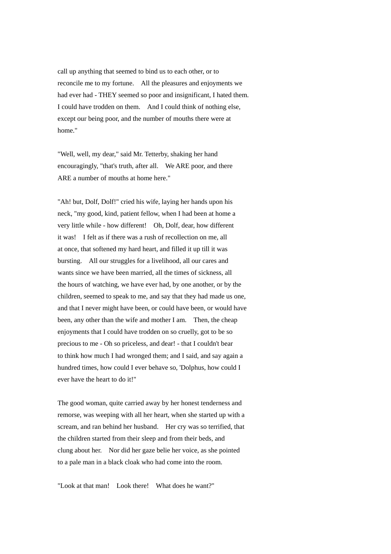call up anything that seemed to bind us to each other, or to reconcile me to my fortune. All the pleasures and enjoyments we had ever had - THEY seemed so poor and insignificant, I hated them. I could have trodden on them. And I could think of nothing else, except our being poor, and the number of mouths there were at home."

"Well, well, my dear," said Mr. Tetterby, shaking her hand encouragingly, "that's truth, after all. We ARE poor, and there ARE a number of mouths at home here."

"Ah! but, Dolf, Dolf!" cried his wife, laying her hands upon his neck, "my good, kind, patient fellow, when I had been at home a very little while - how different! Oh, Dolf, dear, how different it was! I felt as if there was a rush of recollection on me, all at once, that softened my hard heart, and filled it up till it was bursting. All our struggles for a livelihood, all our cares and wants since we have been married, all the times of sickness, all the hours of watching, we have ever had, by one another, or by the children, seemed to speak to me, and say that they had made us one, and that I never might have been, or could have been, or would have been, any other than the wife and mother I am. Then, the cheap enjoyments that I could have trodden on so cruelly, got to be so precious to me - Oh so priceless, and dear! - that I couldn't bear to think how much I had wronged them; and I said, and say again a hundred times, how could I ever behave so, 'Dolphus, how could I ever have the heart to do it!"

The good woman, quite carried away by her honest tenderness and remorse, was weeping with all her heart, when she started up with a scream, and ran behind her husband. Her cry was so terrified, that the children started from their sleep and from their beds, and clung about her. Nor did her gaze belie her voice, as she pointed to a pale man in a black cloak who had come into the room.

"Look at that man! Look there! What does he want?"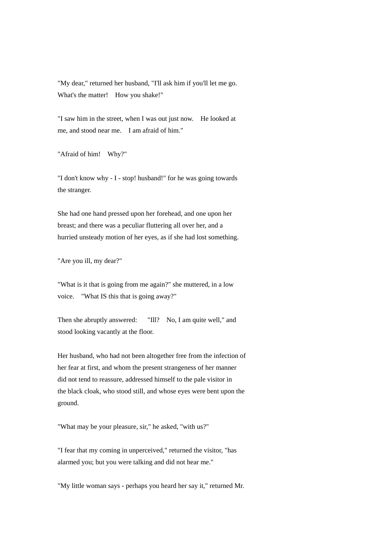"My dear," returned her husband, "I'll ask him if you'll let me go. What's the matter! How you shake!"

"I saw him in the street, when I was out just now. He looked at me, and stood near me. I am afraid of him."

"Afraid of him! Why?"

"I don't know why - I - stop! husband!" for he was going towards the stranger.

She had one hand pressed upon her forehead, and one upon her breast; and there was a peculiar fluttering all over her, and a hurried unsteady motion of her eyes, as if she had lost something.

"Are you ill, my dear?"

"What is it that is going from me again?" she muttered, in a low voice. "What IS this that is going away?"

Then she abruptly answered: "Ill? No, I am quite well," and stood looking vacantly at the floor.

Her husband, who had not been altogether free from the infection of her fear at first, and whom the present strangeness of her manner did not tend to reassure, addressed himself to the pale visitor in the black cloak, who stood still, and whose eyes were bent upon the ground.

"What may be your pleasure, sir," he asked, "with us?"

"I fear that my coming in unperceived," returned the visitor, "has alarmed you; but you were talking and did not hear me."

"My little woman says - perhaps you heard her say it," returned Mr.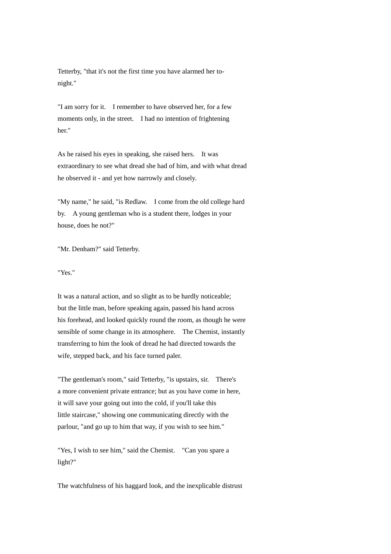Tetterby, "that it's not the first time you have alarmed her tonight."

"I am sorry for it. I remember to have observed her, for a few moments only, in the street. I had no intention of frightening her."

As he raised his eyes in speaking, she raised hers. It was extraordinary to see what dread she had of him, and with what dread he observed it - and yet how narrowly and closely.

"My name," he said, "is Redlaw. I come from the old college hard by. A young gentleman who is a student there, lodges in your house, does he not?"

"Mr. Denham?" said Tetterby.

"Yes."

It was a natural action, and so slight as to be hardly noticeable; but the little man, before speaking again, passed his hand across his forehead, and looked quickly round the room, as though he were sensible of some change in its atmosphere. The Chemist, instantly transferring to him the look of dread he had directed towards the wife, stepped back, and his face turned paler.

"The gentleman's room," said Tetterby, "is upstairs, sir. There's a more convenient private entrance; but as you have come in here, it will save your going out into the cold, if you'll take this little staircase," showing one communicating directly with the parlour, "and go up to him that way, if you wish to see him."

"Yes, I wish to see him," said the Chemist. "Can you spare a light?"

The watchfulness of his haggard look, and the inexplicable distrust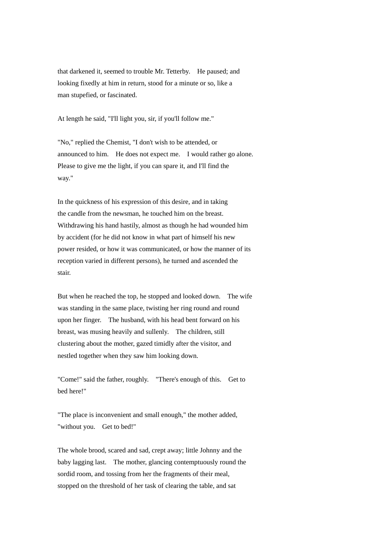that darkened it, seemed to trouble Mr. Tetterby. He paused; and looking fixedly at him in return, stood for a minute or so, like a man stupefied, or fascinated.

At length he said, "I'll light you, sir, if you'll follow me."

"No," replied the Chemist, "I don't wish to be attended, or announced to him. He does not expect me. I would rather go alone. Please to give me the light, if you can spare it, and I'll find the way."

In the quickness of his expression of this desire, and in taking the candle from the newsman, he touched him on the breast. Withdrawing his hand hastily, almost as though he had wounded him by accident (for he did not know in what part of himself his new power resided, or how it was communicated, or how the manner of its reception varied in different persons), he turned and ascended the stair.

But when he reached the top, he stopped and looked down. The wife was standing in the same place, twisting her ring round and round upon her finger. The husband, with his head bent forward on his breast, was musing heavily and sullenly. The children, still clustering about the mother, gazed timidly after the visitor, and nestled together when they saw him looking down.

"Come!" said the father, roughly. "There's enough of this. Get to bed here!"

"The place is inconvenient and small enough," the mother added, "without you. Get to bed!"

The whole brood, scared and sad, crept away; little Johnny and the baby lagging last. The mother, glancing contemptuously round the sordid room, and tossing from her the fragments of their meal, stopped on the threshold of her task of clearing the table, and sat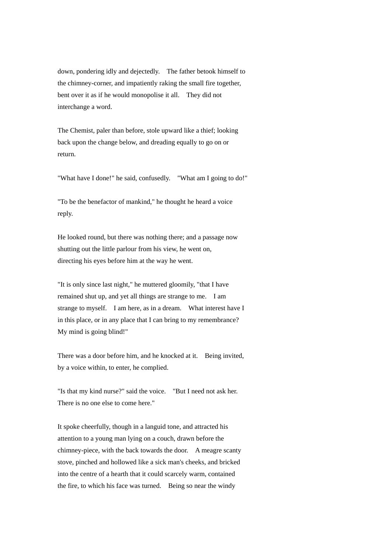down, pondering idly and dejectedly. The father betook himself to the chimney-corner, and impatiently raking the small fire together, bent over it as if he would monopolise it all. They did not interchange a word.

The Chemist, paler than before, stole upward like a thief; looking back upon the change below, and dreading equally to go on or return.

"What have I done!" he said, confusedly. "What am I going to do!"

"To be the benefactor of mankind," he thought he heard a voice reply.

He looked round, but there was nothing there; and a passage now shutting out the little parlour from his view, he went on, directing his eyes before him at the way he went.

"It is only since last night," he muttered gloomily, "that I have remained shut up, and yet all things are strange to me. I am strange to myself. I am here, as in a dream. What interest have I in this place, or in any place that I can bring to my remembrance? My mind is going blind!"

There was a door before him, and he knocked at it. Being invited, by a voice within, to enter, he complied.

"Is that my kind nurse?" said the voice. "But I need not ask her. There is no one else to come here."

It spoke cheerfully, though in a languid tone, and attracted his attention to a young man lying on a couch, drawn before the chimney-piece, with the back towards the door. A meagre scanty stove, pinched and hollowed like a sick man's cheeks, and bricked into the centre of a hearth that it could scarcely warm, contained the fire, to which his face was turned. Being so near the windy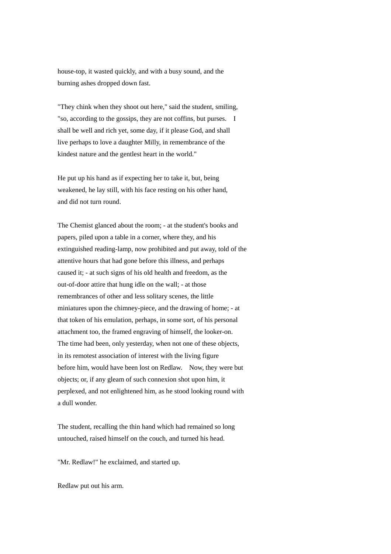house-top, it wasted quickly, and with a busy sound, and the burning ashes dropped down fast.

"They chink when they shoot out here," said the student, smiling, "so, according to the gossips, they are not coffins, but purses. I shall be well and rich yet, some day, if it please God, and shall live perhaps to love a daughter Milly, in remembrance of the kindest nature and the gentlest heart in the world."

He put up his hand as if expecting her to take it, but, being weakened, he lay still, with his face resting on his other hand, and did not turn round.

The Chemist glanced about the room; - at the student's books and papers, piled upon a table in a corner, where they, and his extinguished reading-lamp, now prohibited and put away, told of the attentive hours that had gone before this illness, and perhaps caused it; - at such signs of his old health and freedom, as the out-of-door attire that hung idle on the wall; - at those remembrances of other and less solitary scenes, the little miniatures upon the chimney-piece, and the drawing of home; - at that token of his emulation, perhaps, in some sort, of his personal attachment too, the framed engraving of himself, the looker-on. The time had been, only yesterday, when not one of these objects, in its remotest association of interest with the living figure before him, would have been lost on Redlaw. Now, they were but objects; or, if any gleam of such connexion shot upon him, it perplexed, and not enlightened him, as he stood looking round with a dull wonder.

The student, recalling the thin hand which had remained so long untouched, raised himself on the couch, and turned his head.

"Mr. Redlaw!" he exclaimed, and started up.

Redlaw put out his arm.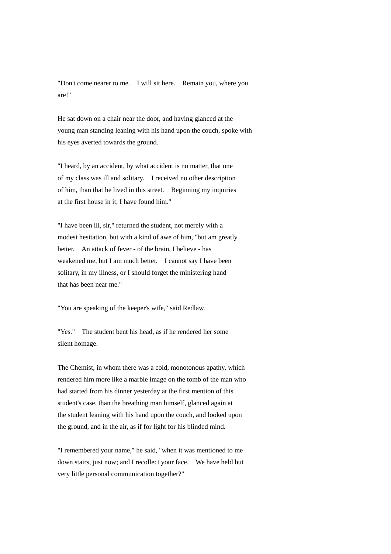"Don't come nearer to me. I will sit here. Remain you, where you are!"

He sat down on a chair near the door, and having glanced at the young man standing leaning with his hand upon the couch, spoke with his eyes averted towards the ground.

"I heard, by an accident, by what accident is no matter, that one of my class was ill and solitary. I received no other description of him, than that he lived in this street. Beginning my inquiries at the first house in it, I have found him."

"I have been ill, sir," returned the student, not merely with a modest hesitation, but with a kind of awe of him, "but am greatly better. An attack of fever - of the brain, I believe - has weakened me, but I am much better. I cannot say I have been solitary, in my illness, or I should forget the ministering hand that has been near me."

"You are speaking of the keeper's wife," said Redlaw.

"Yes." The student bent his head, as if he rendered her some silent homage.

The Chemist, in whom there was a cold, monotonous apathy, which rendered him more like a marble image on the tomb of the man who had started from his dinner yesterday at the first mention of this student's case, than the breathing man himself, glanced again at the student leaning with his hand upon the couch, and looked upon the ground, and in the air, as if for light for his blinded mind.

"I remembered your name," he said, "when it was mentioned to me down stairs, just now; and I recollect your face. We have held but very little personal communication together?"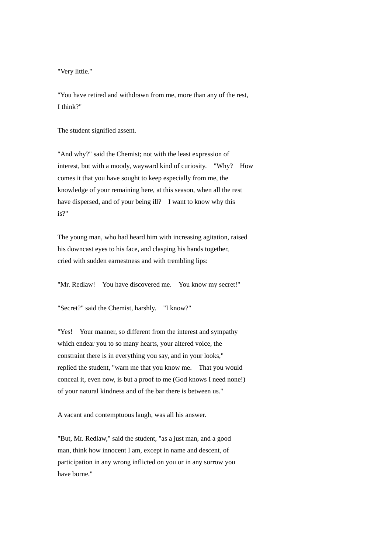"Very little."

"You have retired and withdrawn from me, more than any of the rest, I think?"

The student signified assent.

"And why?" said the Chemist; not with the least expression of interest, but with a moody, wayward kind of curiosity. "Why? How comes it that you have sought to keep especially from me, the knowledge of your remaining here, at this season, when all the rest have dispersed, and of your being ill? I want to know why this is?"

The young man, who had heard him with increasing agitation, raised his downcast eyes to his face, and clasping his hands together, cried with sudden earnestness and with trembling lips:

"Mr. Redlaw! You have discovered me. You know my secret!"

"Secret?" said the Chemist, harshly. "I know?"

"Yes! Your manner, so different from the interest and sympathy which endear you to so many hearts, your altered voice, the constraint there is in everything you say, and in your looks," replied the student, "warn me that you know me. That you would conceal it, even now, is but a proof to me (God knows I need none!) of your natural kindness and of the bar there is between us."

A vacant and contemptuous laugh, was all his answer.

"But, Mr. Redlaw," said the student, "as a just man, and a good man, think how innocent I am, except in name and descent, of participation in any wrong inflicted on you or in any sorrow you have borne."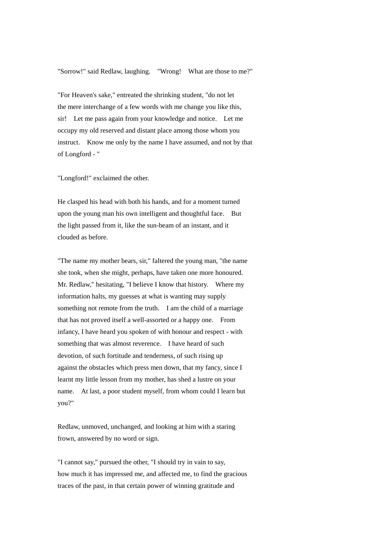"Sorrow!" said Redlaw, laughing. "Wrong! What are those to me?"

"For Heaven's sake," entreated the shrinking student, "do not let the mere interchange of a few words with me change you like this, sir! Let me pass again from your knowledge and notice. Let me occupy my old reserved and distant place among those whom you instruct. Know me only by the name I have assumed, and not by that of Longford - "

"Longford!" exclaimed the other.

He clasped his head with both his hands, and for a moment turned upon the young man his own intelligent and thoughtful face. But the light passed from it, like the sun-beam of an instant, and it clouded as before.

"The name my mother bears, sir," faltered the young man, "the name she took, when she might, perhaps, have taken one more honoured. Mr. Redlaw," hesitating, "I believe I know that history. Where my information halts, my guesses at what is wanting may supply something not remote from the truth. I am the child of a marriage that has not proved itself a well-assorted or a happy one. From infancy, I have heard you spoken of with honour and respect - with something that was almost reverence. I have heard of such devotion, of such fortitude and tenderness, of such rising up against the obstacles which press men down, that my fancy, since I learnt my little lesson from my mother, has shed a lustre on your name. At last, a poor student myself, from whom could I learn but you?"

Redlaw, unmoved, unchanged, and looking at him with a staring frown, answered by no word or sign.

"I cannot say," pursued the other, "I should try in vain to say, how much it has impressed me, and affected me, to find the gracious traces of the past, in that certain power of winning gratitude and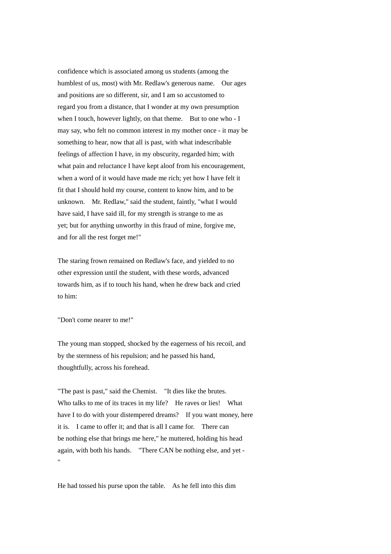confidence which is associated among us students (among the humblest of us, most) with Mr. Redlaw's generous name. Our ages and positions are so different, sir, and I am so accustomed to regard you from a distance, that I wonder at my own presumption when I touch, however lightly, on that theme. But to one who - I may say, who felt no common interest in my mother once - it may be something to hear, now that all is past, with what indescribable feelings of affection I have, in my obscurity, regarded him; with what pain and reluctance I have kept aloof from his encouragement, when a word of it would have made me rich; yet how I have felt it fit that I should hold my course, content to know him, and to be unknown. Mr. Redlaw," said the student, faintly, "what I would have said, I have said ill, for my strength is strange to me as yet; but for anything unworthy in this fraud of mine, forgive me, and for all the rest forget me!"

The staring frown remained on Redlaw's face, and yielded to no other expression until the student, with these words, advanced towards him, as if to touch his hand, when he drew back and cried to him:

"Don't come nearer to me!"

The young man stopped, shocked by the eagerness of his recoil, and by the sternness of his repulsion; and he passed his hand, thoughtfully, across his forehead.

"The past is past," said the Chemist. "It dies like the brutes. Who talks to me of its traces in my life? He raves or lies! What have I to do with your distempered dreams? If you want money, here it is. I came to offer it; and that is all I came for. There can be nothing else that brings me here," he muttered, holding his head again, with both his hands. "There CAN be nothing else, and yet - "

He had tossed his purse upon the table. As he fell into this dim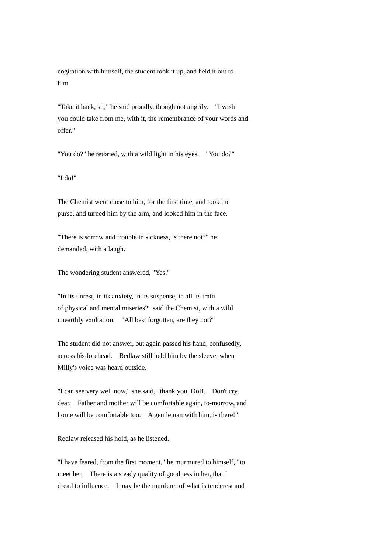cogitation with himself, the student took it up, and held it out to him.

"Take it back, sir," he said proudly, though not angrily. "I wish you could take from me, with it, the remembrance of your words and offer."

"You do?" he retorted, with a wild light in his eyes. "You do?"

"I do!"

The Chemist went close to him, for the first time, and took the purse, and turned him by the arm, and looked him in the face.

"There is sorrow and trouble in sickness, is there not?" he demanded, with a laugh.

The wondering student answered, "Yes."

"In its unrest, in its anxiety, in its suspense, in all its train of physical and mental miseries?" said the Chemist, with a wild unearthly exultation. "All best forgotten, are they not?"

The student did not answer, but again passed his hand, confusedly, across his forehead. Redlaw still held him by the sleeve, when Milly's voice was heard outside.

"I can see very well now," she said, "thank you, Dolf. Don't cry, dear. Father and mother will be comfortable again, to-morrow, and home will be comfortable too. A gentleman with him, is there!"

Redlaw released his hold, as he listened.

"I have feared, from the first moment," he murmured to himself, "to meet her. There is a steady quality of goodness in her, that I dread to influence. I may be the murderer of what is tenderest and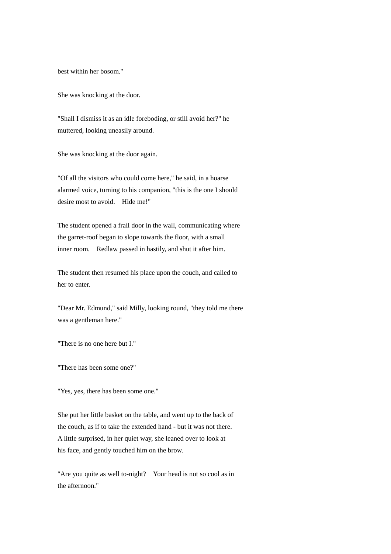best within her bosom."

She was knocking at the door.

"Shall I dismiss it as an idle foreboding, or still avoid her?" he muttered, looking uneasily around.

She was knocking at the door again.

"Of all the visitors who could come here," he said, in a hoarse alarmed voice, turning to his companion, "this is the one I should desire most to avoid. Hide me!"

The student opened a frail door in the wall, communicating where the garret-roof began to slope towards the floor, with a small inner room. Redlaw passed in hastily, and shut it after him.

The student then resumed his place upon the couch, and called to her to enter.

"Dear Mr. Edmund," said Milly, looking round, "they told me there was a gentleman here."

"There is no one here but I."

"There has been some one?"

"Yes, yes, there has been some one."

She put her little basket on the table, and went up to the back of the couch, as if to take the extended hand - but it was not there. A little surprised, in her quiet way, she leaned over to look at his face, and gently touched him on the brow.

"Are you quite as well to-night? Your head is not so cool as in the afternoon."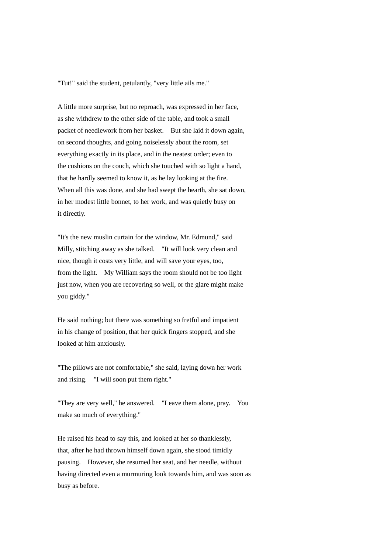"Tut!" said the student, petulantly, "very little ails me."

A little more surprise, but no reproach, was expressed in her face, as she withdrew to the other side of the table, and took a small packet of needlework from her basket. But she laid it down again, on second thoughts, and going noiselessly about the room, set everything exactly in its place, and in the neatest order; even to the cushions on the couch, which she touched with so light a hand, that he hardly seemed to know it, as he lay looking at the fire. When all this was done, and she had swept the hearth, she sat down, in her modest little bonnet, to her work, and was quietly busy on it directly.

"It's the new muslin curtain for the window, Mr. Edmund," said Milly, stitching away as she talked. "It will look very clean and nice, though it costs very little, and will save your eyes, too, from the light. My William says the room should not be too light just now, when you are recovering so well, or the glare might make you giddy."

He said nothing; but there was something so fretful and impatient in his change of position, that her quick fingers stopped, and she looked at him anxiously.

"The pillows are not comfortable," she said, laying down her work and rising. "I will soon put them right."

"They are very well," he answered. "Leave them alone, pray. You make so much of everything."

He raised his head to say this, and looked at her so thanklessly, that, after he had thrown himself down again, she stood timidly pausing. However, she resumed her seat, and her needle, without having directed even a murmuring look towards him, and was soon as busy as before.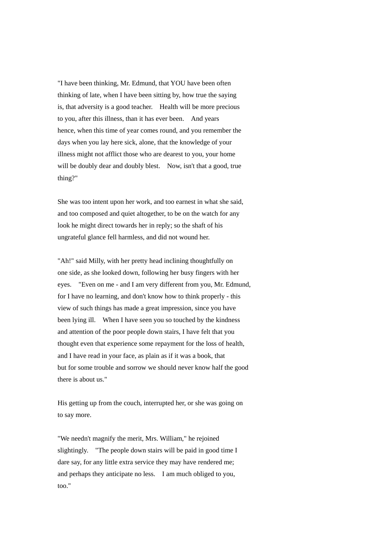"I have been thinking, Mr. Edmund, that YOU have been often thinking of late, when I have been sitting by, how true the saying is, that adversity is a good teacher. Health will be more precious to you, after this illness, than it has ever been. And years hence, when this time of year comes round, and you remember the days when you lay here sick, alone, that the knowledge of your illness might not afflict those who are dearest to you, your home will be doubly dear and doubly blest. Now, isn't that a good, true thing?"

She was too intent upon her work, and too earnest in what she said, and too composed and quiet altogether, to be on the watch for any look he might direct towards her in reply; so the shaft of his ungrateful glance fell harmless, and did not wound her.

"Ah!" said Milly, with her pretty head inclining thoughtfully on one side, as she looked down, following her busy fingers with her eyes. "Even on me - and I am very different from you, Mr. Edmund, for I have no learning, and don't know how to think properly - this view of such things has made a great impression, since you have been lying ill. When I have seen you so touched by the kindness and attention of the poor people down stairs, I have felt that you thought even that experience some repayment for the loss of health, and I have read in your face, as plain as if it was a book, that but for some trouble and sorrow we should never know half the good there is about us."

His getting up from the couch, interrupted her, or she was going on to say more.

"We needn't magnify the merit, Mrs. William," he rejoined slightingly. "The people down stairs will be paid in good time I dare say, for any little extra service they may have rendered me; and perhaps they anticipate no less. I am much obliged to you, too."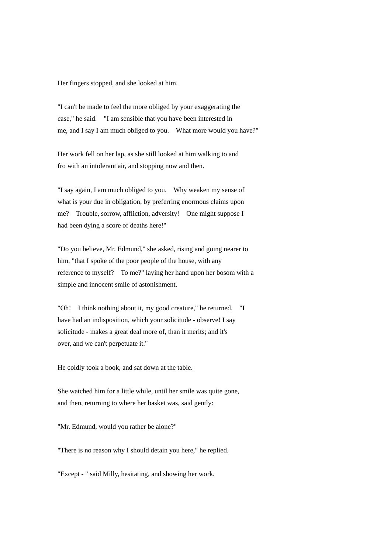Her fingers stopped, and she looked at him.

"I can't be made to feel the more obliged by your exaggerating the case," he said. "I am sensible that you have been interested in me, and I say I am much obliged to you. What more would you have?"

Her work fell on her lap, as she still looked at him walking to and fro with an intolerant air, and stopping now and then.

"I say again, I am much obliged to you. Why weaken my sense of what is your due in obligation, by preferring enormous claims upon me? Trouble, sorrow, affliction, adversity! One might suppose I had been dying a score of deaths here!"

"Do you believe, Mr. Edmund," she asked, rising and going nearer to him, "that I spoke of the poor people of the house, with any reference to myself? To me?" laying her hand upon her bosom with a simple and innocent smile of astonishment.

"Oh! I think nothing about it, my good creature," he returned. "I have had an indisposition, which your solicitude - observe! I say solicitude - makes a great deal more of, than it merits; and it's over, and we can't perpetuate it."

He coldly took a book, and sat down at the table.

She watched him for a little while, until her smile was quite gone, and then, returning to where her basket was, said gently:

"Mr. Edmund, would you rather be alone?"

"There is no reason why I should detain you here," he replied.

"Except - " said Milly, hesitating, and showing her work.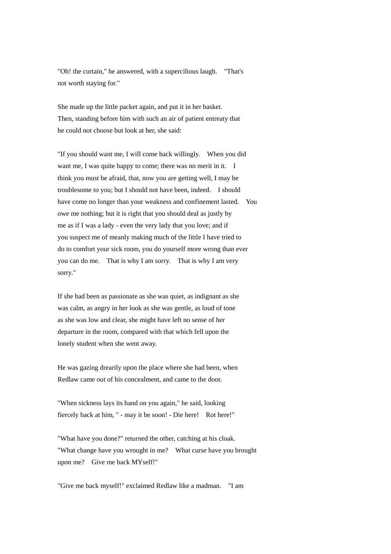"Oh! the curtain," he answered, with a supercilious laugh. "That's not worth staying for."

She made up the little packet again, and put it in her basket. Then, standing before him with such an air of patient entreaty that he could not choose but look at her, she said:

"If you should want me, I will come back willingly. When you did want me, I was quite happy to come; there was no merit in it. I think you must be afraid, that, now you are getting well, I may be troublesome to you; but I should not have been, indeed. I should have come no longer than your weakness and confinement lasted. You owe me nothing; but it is right that you should deal as justly by me as if I was a lady - even the very lady that you love; and if you suspect me of meanly making much of the little I have tried to do to comfort your sick room, you do yourself more wrong than ever you can do me. That is why I am sorry. That is why I am very sorry."

If she had been as passionate as she was quiet, as indignant as she was calm, as angry in her look as she was gentle, as loud of tone as she was low and clear, she might have left no sense of her departure in the room, compared with that which fell upon the lonely student when she went away.

He was gazing drearily upon the place where she had been, when Redlaw came out of his concealment, and came to the door.

"When sickness lays its hand on you again," he said, looking fiercely back at him, " - may it be soon! - Die here! Rot here!"

"What have you done?" returned the other, catching at his cloak. "What change have you wrought in me? What curse have you brought upon me? Give me back MYself!"

"Give me back myself!" exclaimed Redlaw like a madman. "I am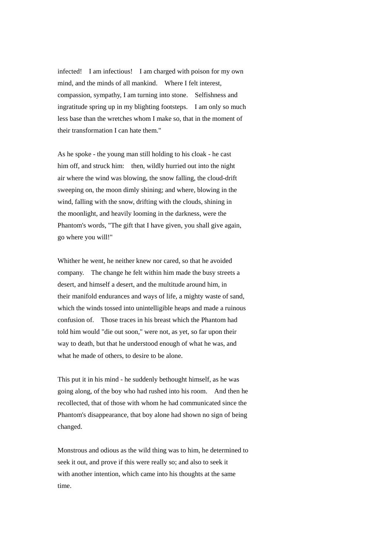infected! I am infectious! I am charged with poison for my own mind, and the minds of all mankind. Where I felt interest, compassion, sympathy, I am turning into stone. Selfishness and ingratitude spring up in my blighting footsteps. I am only so much less base than the wretches whom I make so, that in the moment of their transformation I can hate them."

As he spoke - the young man still holding to his cloak - he cast him off, and struck him: then, wildly hurried out into the night air where the wind was blowing, the snow falling, the cloud-drift sweeping on, the moon dimly shining; and where, blowing in the wind, falling with the snow, drifting with the clouds, shining in the moonlight, and heavily looming in the darkness, were the Phantom's words, "The gift that I have given, you shall give again, go where you will!"

Whither he went, he neither knew nor cared, so that he avoided company. The change he felt within him made the busy streets a desert, and himself a desert, and the multitude around him, in their manifold endurances and ways of life, a mighty waste of sand, which the winds tossed into unintelligible heaps and made a ruinous confusion of. Those traces in his breast which the Phantom had told him would "die out soon," were not, as yet, so far upon their way to death, but that he understood enough of what he was, and what he made of others, to desire to be alone.

This put it in his mind - he suddenly bethought himself, as he was going along, of the boy who had rushed into his room. And then he recollected, that of those with whom he had communicated since the Phantom's disappearance, that boy alone had shown no sign of being changed.

Monstrous and odious as the wild thing was to him, he determined to seek it out, and prove if this were really so; and also to seek it with another intention, which came into his thoughts at the same time.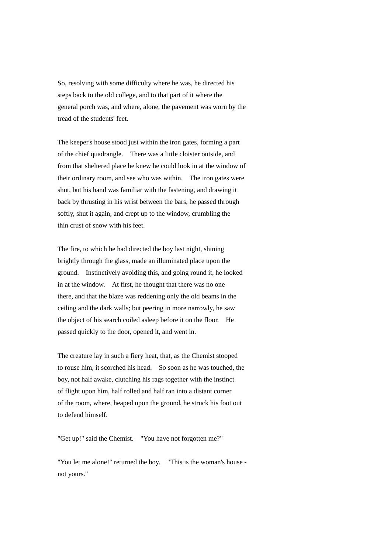So, resolving with some difficulty where he was, he directed his steps back to the old college, and to that part of it where the general porch was, and where, alone, the pavement was worn by the tread of the students' feet.

The keeper's house stood just within the iron gates, forming a part of the chief quadrangle. There was a little cloister outside, and from that sheltered place he knew he could look in at the window of their ordinary room, and see who was within. The iron gates were shut, but his hand was familiar with the fastening, and drawing it back by thrusting in his wrist between the bars, he passed through softly, shut it again, and crept up to the window, crumbling the thin crust of snow with his feet.

The fire, to which he had directed the boy last night, shining brightly through the glass, made an illuminated place upon the ground. Instinctively avoiding this, and going round it, he looked in at the window. At first, he thought that there was no one there, and that the blaze was reddening only the old beams in the ceiling and the dark walls; but peering in more narrowly, he saw the object of his search coiled asleep before it on the floor. He passed quickly to the door, opened it, and went in.

The creature lay in such a fiery heat, that, as the Chemist stooped to rouse him, it scorched his head. So soon as he was touched, the boy, not half awake, clutching his rags together with the instinct of flight upon him, half rolled and half ran into a distant corner of the room, where, heaped upon the ground, he struck his foot out to defend himself.

"Get up!" said the Chemist. "You have not forgotten me?"

"You let me alone!" returned the boy. "This is the woman's house not yours."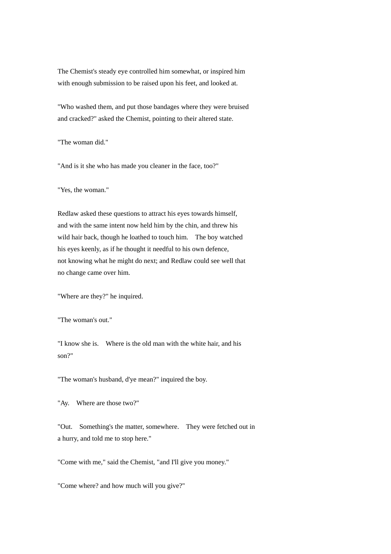The Chemist's steady eye controlled him somewhat, or inspired him with enough submission to be raised upon his feet, and looked at.

"Who washed them, and put those bandages where they were bruised and cracked?" asked the Chemist, pointing to their altered state.

"The woman did."

"And is it she who has made you cleaner in the face, too?"

"Yes, the woman."

Redlaw asked these questions to attract his eyes towards himself, and with the same intent now held him by the chin, and threw his wild hair back, though he loathed to touch him. The boy watched his eyes keenly, as if he thought it needful to his own defence, not knowing what he might do next; and Redlaw could see well that no change came over him.

"Where are they?" he inquired.

"The woman's out."

"I know she is. Where is the old man with the white hair, and his son?"

"The woman's husband, d'ye mean?" inquired the boy.

"Ay. Where are those two?"

"Out. Something's the matter, somewhere. They were fetched out in a hurry, and told me to stop here."

"Come with me," said the Chemist, "and I'll give you money."

"Come where? and how much will you give?"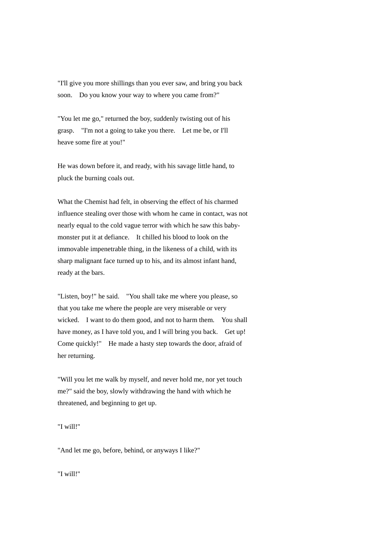"I'll give you more shillings than you ever saw, and bring you back soon. Do you know your way to where you came from?"

"You let me go," returned the boy, suddenly twisting out of his grasp. "I'm not a going to take you there. Let me be, or I'll heave some fire at you!"

He was down before it, and ready, with his savage little hand, to pluck the burning coals out.

What the Chemist had felt, in observing the effect of his charmed influence stealing over those with whom he came in contact, was not nearly equal to the cold vague terror with which he saw this babymonster put it at defiance. It chilled his blood to look on the immovable impenetrable thing, in the likeness of a child, with its sharp malignant face turned up to his, and its almost infant hand, ready at the bars.

"Listen, boy!" he said. "You shall take me where you please, so that you take me where the people are very miserable or very wicked. I want to do them good, and not to harm them. You shall have money, as I have told you, and I will bring you back. Get up! Come quickly!" He made a hasty step towards the door, afraid of her returning.

"Will you let me walk by myself, and never hold me, nor yet touch me?" said the boy, slowly withdrawing the hand with which he threatened, and beginning to get up.

"I will!"

"And let me go, before, behind, or anyways I like?"

"I will!"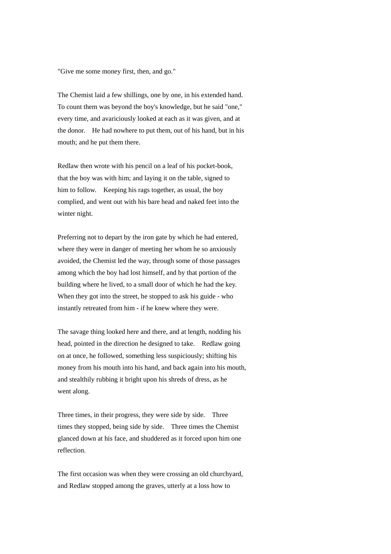"Give me some money first, then, and go."

The Chemist laid a few shillings, one by one, in his extended hand. To count them was beyond the boy's knowledge, but he said "one," every time, and avariciously looked at each as it was given, and at the donor. He had nowhere to put them, out of his hand, but in his mouth; and he put them there.

Redlaw then wrote with his pencil on a leaf of his pocket-book, that the boy was with him; and laying it on the table, signed to him to follow. Keeping his rags together, as usual, the boy complied, and went out with his bare head and naked feet into the winter night.

Preferring not to depart by the iron gate by which he had entered, where they were in danger of meeting her whom he so anxiously avoided, the Chemist led the way, through some of those passages among which the boy had lost himself, and by that portion of the building where he lived, to a small door of which he had the key. When they got into the street, he stopped to ask his guide - who instantly retreated from him - if he knew where they were.

The savage thing looked here and there, and at length, nodding his head, pointed in the direction he designed to take. Redlaw going on at once, he followed, something less suspiciously; shifting his money from his mouth into his hand, and back again into his mouth, and stealthily rubbing it bright upon his shreds of dress, as he went along.

Three times, in their progress, they were side by side. Three times they stopped, being side by side. Three times the Chemist glanced down at his face, and shuddered as it forced upon him one reflection.

The first occasion was when they were crossing an old churchyard, and Redlaw stopped among the graves, utterly at a loss how to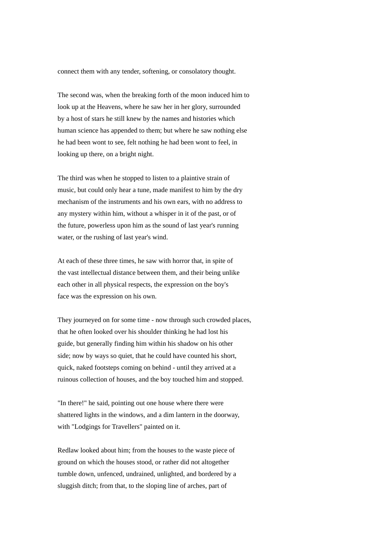connect them with any tender, softening, or consolatory thought.

The second was, when the breaking forth of the moon induced him to look up at the Heavens, where he saw her in her glory, surrounded by a host of stars he still knew by the names and histories which human science has appended to them; but where he saw nothing else he had been wont to see, felt nothing he had been wont to feel, in looking up there, on a bright night.

The third was when he stopped to listen to a plaintive strain of music, but could only hear a tune, made manifest to him by the dry mechanism of the instruments and his own ears, with no address to any mystery within him, without a whisper in it of the past, or of the future, powerless upon him as the sound of last year's running water, or the rushing of last year's wind.

At each of these three times, he saw with horror that, in spite of the vast intellectual distance between them, and their being unlike each other in all physical respects, the expression on the boy's face was the expression on his own.

They journeyed on for some time - now through such crowded places, that he often looked over his shoulder thinking he had lost his guide, but generally finding him within his shadow on his other side; now by ways so quiet, that he could have counted his short, quick, naked footsteps coming on behind - until they arrived at a ruinous collection of houses, and the boy touched him and stopped.

"In there!" he said, pointing out one house where there were shattered lights in the windows, and a dim lantern in the doorway, with "Lodgings for Travellers" painted on it.

Redlaw looked about him; from the houses to the waste piece of ground on which the houses stood, or rather did not altogether tumble down, unfenced, undrained, unlighted, and bordered by a sluggish ditch; from that, to the sloping line of arches, part of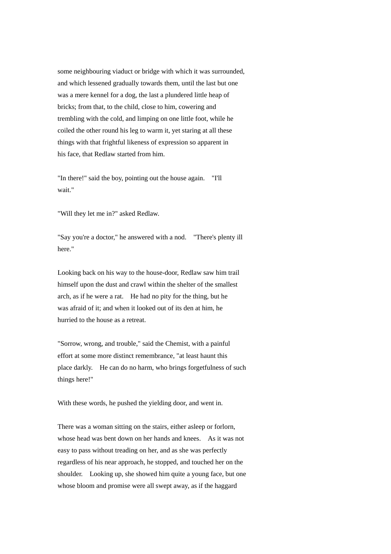some neighbouring viaduct or bridge with which it was surrounded, and which lessened gradually towards them, until the last but one was a mere kennel for a dog, the last a plundered little heap of bricks; from that, to the child, close to him, cowering and trembling with the cold, and limping on one little foot, while he coiled the other round his leg to warm it, yet staring at all these things with that frightful likeness of expression so apparent in his face, that Redlaw started from him.

"In there!" said the boy, pointing out the house again. "I'll wait."

"Will they let me in?" asked Redlaw.

"Say you're a doctor," he answered with a nod. "There's plenty ill here."

Looking back on his way to the house-door, Redlaw saw him trail himself upon the dust and crawl within the shelter of the smallest arch, as if he were a rat. He had no pity for the thing, but he was afraid of it; and when it looked out of its den at him, he hurried to the house as a retreat.

"Sorrow, wrong, and trouble," said the Chemist, with a painful effort at some more distinct remembrance, "at least haunt this place darkly. He can do no harm, who brings forgetfulness of such things here!"

With these words, he pushed the yielding door, and went in.

There was a woman sitting on the stairs, either asleep or forlorn, whose head was bent down on her hands and knees. As it was not easy to pass without treading on her, and as she was perfectly regardless of his near approach, he stopped, and touched her on the shoulder. Looking up, she showed him quite a young face, but one whose bloom and promise were all swept away, as if the haggard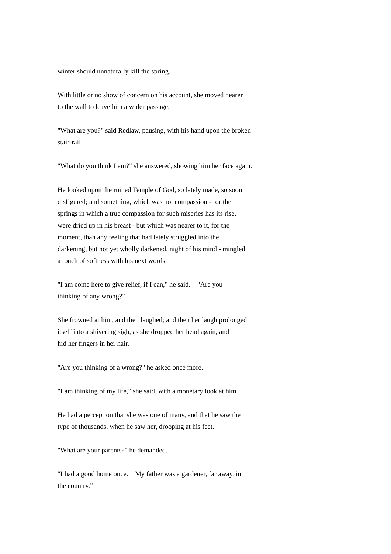winter should unnaturally kill the spring.

With little or no show of concern on his account, she moved nearer to the wall to leave him a wider passage.

"What are you?" said Redlaw, pausing, with his hand upon the broken stair-rail.

"What do you think I am?" she answered, showing him her face again.

He looked upon the ruined Temple of God, so lately made, so soon disfigured; and something, which was not compassion - for the springs in which a true compassion for such miseries has its rise, were dried up in his breast - but which was nearer to it, for the moment, than any feeling that had lately struggled into the darkening, but not yet wholly darkened, night of his mind - mingled a touch of softness with his next words.

"I am come here to give relief, if I can," he said. "Are you thinking of any wrong?"

She frowned at him, and then laughed; and then her laugh prolonged itself into a shivering sigh, as she dropped her head again, and hid her fingers in her hair.

"Are you thinking of a wrong?" he asked once more.

"I am thinking of my life," she said, with a monetary look at him.

He had a perception that she was one of many, and that he saw the type of thousands, when he saw her, drooping at his feet.

"What are your parents?" he demanded.

"I had a good home once. My father was a gardener, far away, in the country."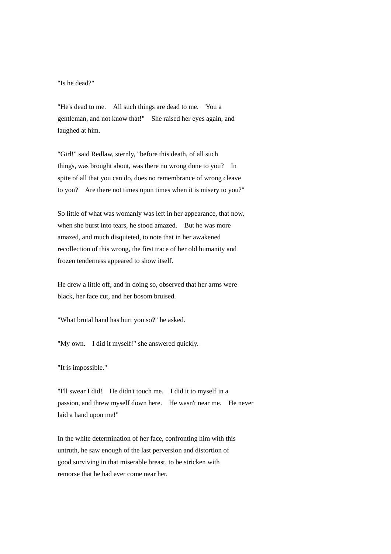"Is he dead?"

"He's dead to me. All such things are dead to me. You a gentleman, and not know that!" She raised her eyes again, and laughed at him.

"Girl!" said Redlaw, sternly, "before this death, of all such things, was brought about, was there no wrong done to you? In spite of all that you can do, does no remembrance of wrong cleave to you? Are there not times upon times when it is misery to you?"

So little of what was womanly was left in her appearance, that now, when she burst into tears, he stood amazed. But he was more amazed, and much disquieted, to note that in her awakened recollection of this wrong, the first trace of her old humanity and frozen tenderness appeared to show itself.

He drew a little off, and in doing so, observed that her arms were black, her face cut, and her bosom bruised.

"What brutal hand has hurt you so?" he asked.

"My own. I did it myself!" she answered quickly.

"It is impossible."

"I'll swear I did! He didn't touch me. I did it to myself in a passion, and threw myself down here. He wasn't near me. He never laid a hand upon me!"

In the white determination of her face, confronting him with this untruth, he saw enough of the last perversion and distortion of good surviving in that miserable breast, to be stricken with remorse that he had ever come near her.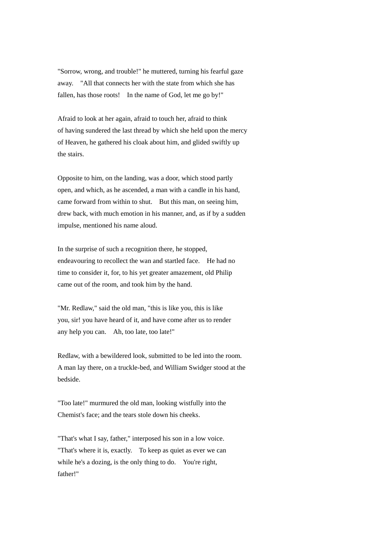"Sorrow, wrong, and trouble!" he muttered, turning his fearful gaze away. "All that connects her with the state from which she has fallen, has those roots! In the name of God, let me go by!"

Afraid to look at her again, afraid to touch her, afraid to think of having sundered the last thread by which she held upon the mercy of Heaven, he gathered his cloak about him, and glided swiftly up the stairs.

Opposite to him, on the landing, was a door, which stood partly open, and which, as he ascended, a man with a candle in his hand, came forward from within to shut. But this man, on seeing him, drew back, with much emotion in his manner, and, as if by a sudden impulse, mentioned his name aloud.

In the surprise of such a recognition there, he stopped, endeavouring to recollect the wan and startled face. He had no time to consider it, for, to his yet greater amazement, old Philip came out of the room, and took him by the hand.

"Mr. Redlaw," said the old man, "this is like you, this is like you, sir! you have heard of it, and have come after us to render any help you can. Ah, too late, too late!"

Redlaw, with a bewildered look, submitted to be led into the room. A man lay there, on a truckle-bed, and William Swidger stood at the bedside.

"Too late!" murmured the old man, looking wistfully into the Chemist's face; and the tears stole down his cheeks.

"That's what I say, father," interposed his son in a low voice. "That's where it is, exactly. To keep as quiet as ever we can while he's a dozing, is the only thing to do. You're right, father!"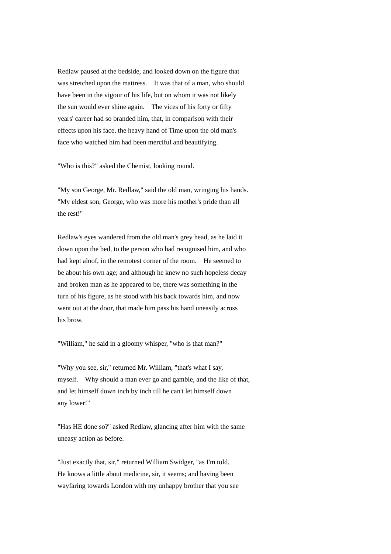Redlaw paused at the bedside, and looked down on the figure that was stretched upon the mattress. It was that of a man, who should have been in the vigour of his life, but on whom it was not likely the sun would ever shine again. The vices of his forty or fifty years' career had so branded him, that, in comparison with their effects upon his face, the heavy hand of Time upon the old man's face who watched him had been merciful and beautifying.

"Who is this?" asked the Chemist, looking round.

"My son George, Mr. Redlaw," said the old man, wringing his hands. "My eldest son, George, who was more his mother's pride than all the rest!"

Redlaw's eyes wandered from the old man's grey head, as he laid it down upon the bed, to the person who had recognised him, and who had kept aloof, in the remotest corner of the room. He seemed to be about his own age; and although he knew no such hopeless decay and broken man as he appeared to be, there was something in the turn of his figure, as he stood with his back towards him, and now went out at the door, that made him pass his hand uneasily across his brow.

"William," he said in a gloomy whisper, "who is that man?"

"Why you see, sir," returned Mr. William, "that's what I say, myself. Why should a man ever go and gamble, and the like of that, and let himself down inch by inch till he can't let himself down any lower!"

"Has HE done so?" asked Redlaw, glancing after him with the same uneasy action as before.

"Just exactly that, sir," returned William Swidger, "as I'm told. He knows a little about medicine, sir, it seems; and having been wayfaring towards London with my unhappy brother that you see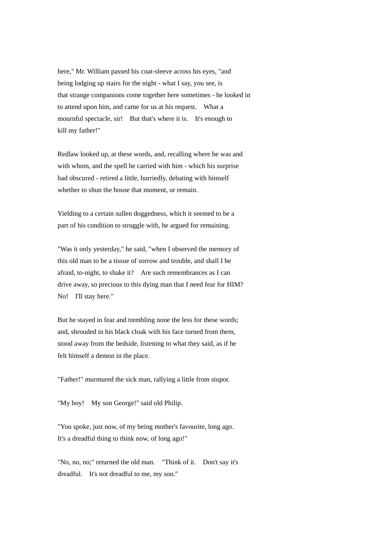here," Mr. William passed his coat-sleeve across his eyes, "and being lodging up stairs for the night - what I say, you see, is that strange companions come together here sometimes - he looked in to attend upon him, and came for us at his request. What a mournful spectacle, sir! But that's where it is. It's enough to kill my father!"

Redlaw looked up, at these words, and, recalling where he was and with whom, and the spell he carried with him - which his surprise had obscured - retired a little, hurriedly, debating with himself whether to shun the house that moment, or remain.

Yielding to a certain sullen doggedness, which it seemed to be a part of his condition to struggle with, he argued for remaining.

"Was it only yesterday," he said, "when I observed the memory of this old man to be a tissue of sorrow and trouble, and shall I be afraid, to-night, to shake it? Are such remembrances as I can drive away, so precious to this dying man that I need fear for HIM? No! I'll stay here."

But he stayed in fear and trembling none the less for these words; and, shrouded in his black cloak with his face turned from them, stood away from the bedside, listening to what they said, as if he felt himself a demon in the place.

"Father!" murmured the sick man, rallying a little from stupor.

"My boy! My son George!" said old Philip.

"You spoke, just now, of my being mother's favourite, long ago. It's a dreadful thing to think now, of long ago!"

"No, no, no;" returned the old man. "Think of it. Don't say it's dreadful. It's not dreadful to me, my son."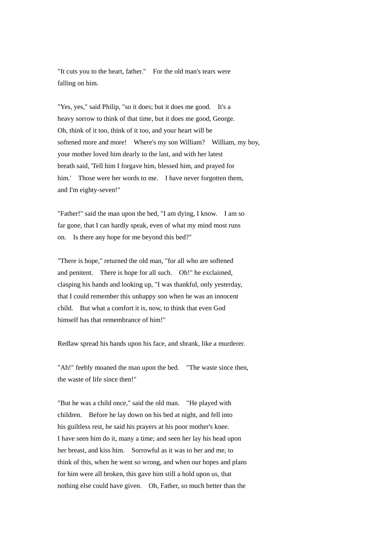"It cuts you to the heart, father." For the old man's tears were falling on him.

"Yes, yes," said Philip, "so it does; but it does me good. It's a heavy sorrow to think of that time, but it does me good, George. Oh, think of it too, think of it too, and your heart will be softened more and more! Where's my son William? William, my boy, your mother loved him dearly to the last, and with her latest breath said, 'Tell him I forgave him, blessed him, and prayed for him.' Those were her words to me. I have never forgotten them, and I'm eighty-seven!"

"Father!" said the man upon the bed, "I am dying, I know. I am so far gone, that I can hardly speak, even of what my mind most runs on. Is there any hope for me beyond this bed?"

"There is hope," returned the old man, "for all who are softened and penitent. There is hope for all such. Oh!" he exclaimed, clasping his hands and looking up, "I was thankful, only yesterday, that I could remember this unhappy son when he was an innocent child. But what a comfort it is, now, to think that even God himself has that remembrance of him!"

Redlaw spread his hands upon his face, and shrank, like a murderer.

"Ah!" feebly moaned the man upon the bed. "The waste since then, the waste of life since then!"

"But he was a child once," said the old man. "He played with children. Before he lay down on his bed at night, and fell into his guiltless rest, he said his prayers at his poor mother's knee. I have seen him do it, many a time; and seen her lay his head upon her breast, and kiss him. Sorrowful as it was to her and me, to think of this, when he went so wrong, and when our hopes and plans for him were all broken, this gave him still a hold upon us, that nothing else could have given. Oh, Father, so much better than the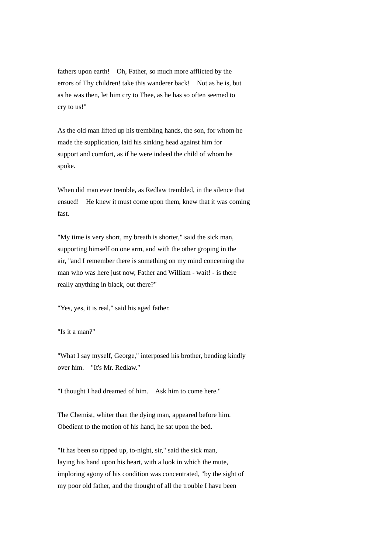fathers upon earth! Oh, Father, so much more afflicted by the errors of Thy children! take this wanderer back! Not as he is, but as he was then, let him cry to Thee, as he has so often seemed to cry to us!"

As the old man lifted up his trembling hands, the son, for whom he made the supplication, laid his sinking head against him for support and comfort, as if he were indeed the child of whom he spoke.

When did man ever tremble, as Redlaw trembled, in the silence that ensued! He knew it must come upon them, knew that it was coming fast.

"My time is very short, my breath is shorter," said the sick man, supporting himself on one arm, and with the other groping in the air, "and I remember there is something on my mind concerning the man who was here just now, Father and William - wait! - is there really anything in black, out there?"

"Yes, yes, it is real," said his aged father.

"Is it a man?"

"What I say myself, George," interposed his brother, bending kindly over him. "It's Mr. Redlaw."

"I thought I had dreamed of him. Ask him to come here."

The Chemist, whiter than the dying man, appeared before him. Obedient to the motion of his hand, he sat upon the bed.

"It has been so ripped up, to-night, sir," said the sick man, laying his hand upon his heart, with a look in which the mute, imploring agony of his condition was concentrated, "by the sight of my poor old father, and the thought of all the trouble I have been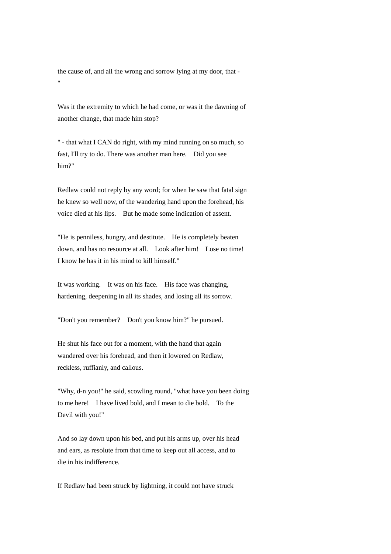the cause of, and all the wrong and sorrow lying at my door, that - ""

Was it the extremity to which he had come, or was it the dawning of another change, that made him stop?

" - that what I CAN do right, with my mind running on so much, so fast, I'll try to do. There was another man here. Did you see him?"

Redlaw could not reply by any word; for when he saw that fatal sign he knew so well now, of the wandering hand upon the forehead, his voice died at his lips. But he made some indication of assent.

"He is penniless, hungry, and destitute. He is completely beaten down, and has no resource at all. Look after him! Lose no time! I know he has it in his mind to kill himself."

It was working. It was on his face. His face was changing, hardening, deepening in all its shades, and losing all its sorrow.

"Don't you remember? Don't you know him?" he pursued.

He shut his face out for a moment, with the hand that again wandered over his forehead, and then it lowered on Redlaw, reckless, ruffianly, and callous.

"Why, d-n you!" he said, scowling round, "what have you been doing to me here! I have lived bold, and I mean to die bold. To the Devil with you!"

And so lay down upon his bed, and put his arms up, over his head and ears, as resolute from that time to keep out all access, and to die in his indifference.

If Redlaw had been struck by lightning, it could not have struck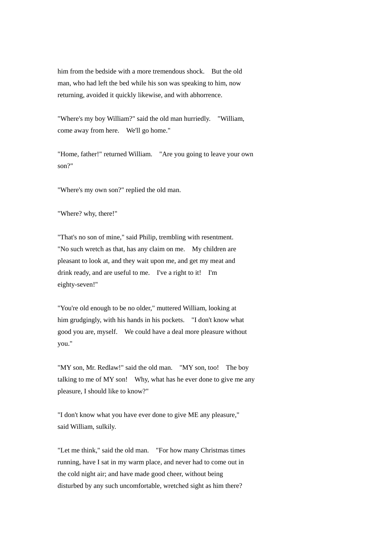him from the bedside with a more tremendous shock. But the old man, who had left the bed while his son was speaking to him, now returning, avoided it quickly likewise, and with abhorrence.

"Where's my boy William?" said the old man hurriedly. "William, come away from here. We'll go home."

"Home, father!" returned William. "Are you going to leave your own son?"

"Where's my own son?" replied the old man.

"Where? why, there!"

"That's no son of mine," said Philip, trembling with resentment. "No such wretch as that, has any claim on me. My children are pleasant to look at, and they wait upon me, and get my meat and drink ready, and are useful to me. I've a right to it! I'm eighty-seven!"

"You're old enough to be no older," muttered William, looking at him grudgingly, with his hands in his pockets. "I don't know what good you are, myself. We could have a deal more pleasure without you."

"MY son, Mr. Redlaw!" said the old man. "MY son, too! The boy talking to me of MY son! Why, what has he ever done to give me any pleasure, I should like to know?"

"I don't know what you have ever done to give ME any pleasure," said William, sulkily.

"Let me think," said the old man. "For how many Christmas times running, have I sat in my warm place, and never had to come out in the cold night air; and have made good cheer, without being disturbed by any such uncomfortable, wretched sight as him there?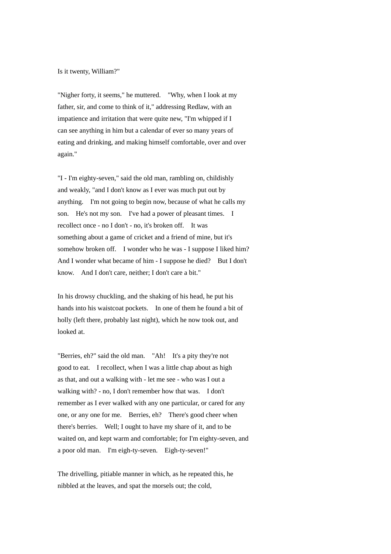Is it twenty, William?"

"Nigher forty, it seems," he muttered. "Why, when I look at my father, sir, and come to think of it," addressing Redlaw, with an impatience and irritation that were quite new, "I'm whipped if I can see anything in him but a calendar of ever so many years of eating and drinking, and making himself comfortable, over and over again."

"I - I'm eighty-seven," said the old man, rambling on, childishly and weakly, "and I don't know as I ever was much put out by anything. I'm not going to begin now, because of what he calls my son. He's not my son. I've had a power of pleasant times. I recollect once - no I don't - no, it's broken off. It was something about a game of cricket and a friend of mine, but it's somehow broken off. I wonder who he was - I suppose I liked him? And I wonder what became of him - I suppose he died? But I don't know. And I don't care, neither; I don't care a bit."

In his drowsy chuckling, and the shaking of his head, he put his hands into his waistcoat pockets. In one of them he found a bit of holly (left there, probably last night), which he now took out, and looked at.

"Berries, eh?" said the old man. "Ah! It's a pity they're not good to eat. I recollect, when I was a little chap about as high as that, and out a walking with - let me see - who was I out a walking with? - no, I don't remember how that was. I don't remember as I ever walked with any one particular, or cared for any one, or any one for me. Berries, eh? There's good cheer when there's berries. Well; I ought to have my share of it, and to be waited on, and kept warm and comfortable; for I'm eighty-seven, and a poor old man. I'm eigh-ty-seven. Eigh-ty-seven!"

The drivelling, pitiable manner in which, as he repeated this, he nibbled at the leaves, and spat the morsels out; the cold,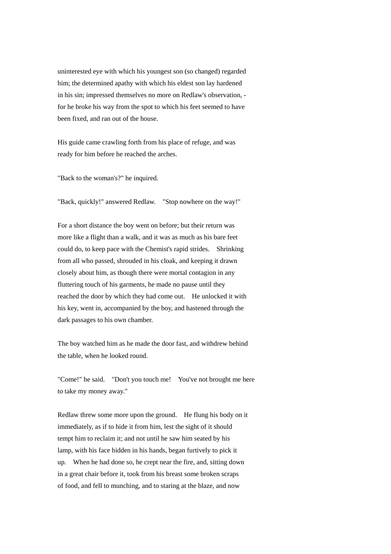uninterested eye with which his youngest son (so changed) regarded him; the determined apathy with which his eldest son lay hardened in his sin; impressed themselves no more on Redlaw's observation, for he broke his way from the spot to which his feet seemed to have been fixed, and ran out of the house.

His guide came crawling forth from his place of refuge, and was ready for him before he reached the arches.

"Back to the woman's?" he inquired.

"Back, quickly!" answered Redlaw. "Stop nowhere on the way!"

For a short distance the boy went on before; but their return was more like a flight than a walk, and it was as much as his bare feet could do, to keep pace with the Chemist's rapid strides. Shrinking from all who passed, shrouded in his cloak, and keeping it drawn closely about him, as though there were mortal contagion in any fluttering touch of his garments, he made no pause until they reached the door by which they had come out. He unlocked it with his key, went in, accompanied by the boy, and hastened through the dark passages to his own chamber.

The boy watched him as he made the door fast, and withdrew behind the table, when he looked round.

"Come!" he said. "Don't you touch me! You've not brought me here to take my money away."

Redlaw threw some more upon the ground. He flung his body on it immediately, as if to hide it from him, lest the sight of it should tempt him to reclaim it; and not until he saw him seated by his lamp, with his face hidden in his hands, began furtively to pick it up. When he had done so, he crept near the fire, and, sitting down in a great chair before it, took from his breast some broken scraps of food, and fell to munching, and to staring at the blaze, and now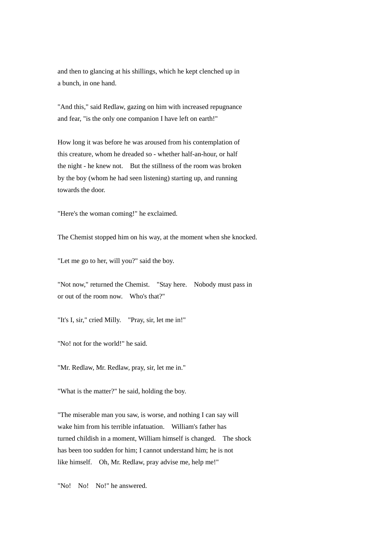and then to glancing at his shillings, which he kept clenched up in a bunch, in one hand.

"And this," said Redlaw, gazing on him with increased repugnance and fear, "is the only one companion I have left on earth!"

How long it was before he was aroused from his contemplation of this creature, whom he dreaded so - whether half-an-hour, or half the night - he knew not. But the stillness of the room was broken by the boy (whom he had seen listening) starting up, and running towards the door.

"Here's the woman coming!" he exclaimed.

The Chemist stopped him on his way, at the moment when she knocked.

"Let me go to her, will you?" said the boy.

"Not now," returned the Chemist. "Stay here. Nobody must pass in or out of the room now. Who's that?"

"It's I, sir," cried Milly. "Pray, sir, let me in!"

"No! not for the world!" he said.

"Mr. Redlaw, Mr. Redlaw, pray, sir, let me in."

"What is the matter?" he said, holding the boy.

"The miserable man you saw, is worse, and nothing I can say will wake him from his terrible infatuation. William's father has turned childish in a moment, William himself is changed. The shock has been too sudden for him; I cannot understand him; he is not like himself. Oh, Mr. Redlaw, pray advise me, help me!"

"No! No! No!" he answered.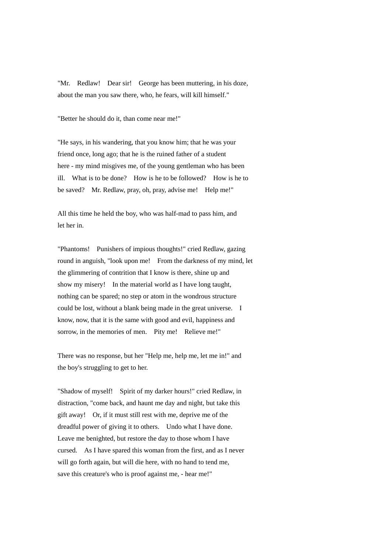"Mr. Redlaw! Dear sir! George has been muttering, in his doze, about the man you saw there, who, he fears, will kill himself."

"Better he should do it, than come near me!"

"He says, in his wandering, that you know him; that he was your friend once, long ago; that he is the ruined father of a student here - my mind misgives me, of the young gentleman who has been ill. What is to be done? How is he to be followed? How is he to be saved? Mr. Redlaw, pray, oh, pray, advise me! Help me!"

All this time he held the boy, who was half-mad to pass him, and let her in.

"Phantoms! Punishers of impious thoughts!" cried Redlaw, gazing round in anguish, "look upon me! From the darkness of my mind, let the glimmering of contrition that I know is there, shine up and show my misery! In the material world as I have long taught, nothing can be spared; no step or atom in the wondrous structure could be lost, without a blank being made in the great universe. I know, now, that it is the same with good and evil, happiness and sorrow, in the memories of men. Pity me! Relieve me!"

There was no response, but her "Help me, help me, let me in!" and the boy's struggling to get to her.

"Shadow of myself! Spirit of my darker hours!" cried Redlaw, in distraction, "come back, and haunt me day and night, but take this gift away! Or, if it must still rest with me, deprive me of the dreadful power of giving it to others. Undo what I have done. Leave me benighted, but restore the day to those whom I have cursed. As I have spared this woman from the first, and as I never will go forth again, but will die here, with no hand to tend me, save this creature's who is proof against me, - hear me!"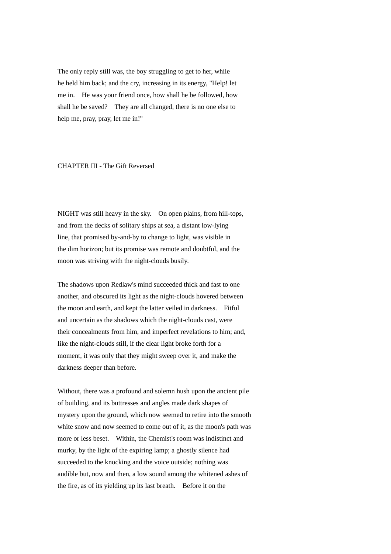The only reply still was, the boy struggling to get to her, while he held him back; and the cry, increasing in its energy, "Help! let me in. He was your friend once, how shall he be followed, how shall he be saved? They are all changed, there is no one else to help me, pray, pray, let me in!"

## CHAPTER III - The Gift Reversed

NIGHT was still heavy in the sky. On open plains, from hill-tops, and from the decks of solitary ships at sea, a distant low-lying line, that promised by-and-by to change to light, was visible in the dim horizon; but its promise was remote and doubtful, and the moon was striving with the night-clouds busily.

The shadows upon Redlaw's mind succeeded thick and fast to one another, and obscured its light as the night-clouds hovered between the moon and earth, and kept the latter veiled in darkness. Fitful and uncertain as the shadows which the night-clouds cast, were their concealments from him, and imperfect revelations to him; and, like the night-clouds still, if the clear light broke forth for a moment, it was only that they might sweep over it, and make the darkness deeper than before.

Without, there was a profound and solemn hush upon the ancient pile of building, and its buttresses and angles made dark shapes of mystery upon the ground, which now seemed to retire into the smooth white snow and now seemed to come out of it, as the moon's path was more or less beset. Within, the Chemist's room was indistinct and murky, by the light of the expiring lamp; a ghostly silence had succeeded to the knocking and the voice outside; nothing was audible but, now and then, a low sound among the whitened ashes of the fire, as of its yielding up its last breath. Before it on the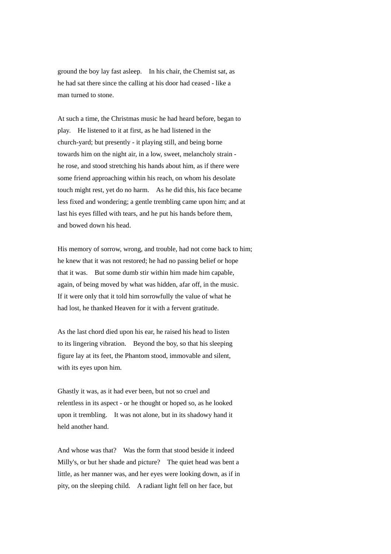ground the boy lay fast asleep. In his chair, the Chemist sat, as he had sat there since the calling at his door had ceased - like a man turned to stone.

At such a time, the Christmas music he had heard before, began to play. He listened to it at first, as he had listened in the church-yard; but presently - it playing still, and being borne towards him on the night air, in a low, sweet, melancholy strain he rose, and stood stretching his hands about him, as if there were some friend approaching within his reach, on whom his desolate touch might rest, yet do no harm. As he did this, his face became less fixed and wondering; a gentle trembling came upon him; and at last his eyes filled with tears, and he put his hands before them, and bowed down his head.

His memory of sorrow, wrong, and trouble, had not come back to him; he knew that it was not restored; he had no passing belief or hope that it was. But some dumb stir within him made him capable, again, of being moved by what was hidden, afar off, in the music. If it were only that it told him sorrowfully the value of what he had lost, he thanked Heaven for it with a fervent gratitude.

As the last chord died upon his ear, he raised his head to listen to its lingering vibration. Beyond the boy, so that his sleeping figure lay at its feet, the Phantom stood, immovable and silent, with its eyes upon him.

Ghastly it was, as it had ever been, but not so cruel and relentless in its aspect - or he thought or hoped so, as he looked upon it trembling. It was not alone, but in its shadowy hand it held another hand.

And whose was that? Was the form that stood beside it indeed Milly's, or but her shade and picture? The quiet head was bent a little, as her manner was, and her eyes were looking down, as if in pity, on the sleeping child. A radiant light fell on her face, but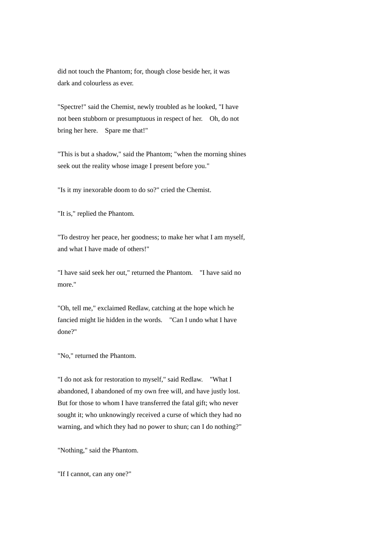did not touch the Phantom; for, though close beside her, it was dark and colourless as ever.

"Spectre!" said the Chemist, newly troubled as he looked, "I have not been stubborn or presumptuous in respect of her. Oh, do not bring her here. Spare me that!"

"This is but a shadow," said the Phantom; "when the morning shines seek out the reality whose image I present before you."

"Is it my inexorable doom to do so?" cried the Chemist.

"It is," replied the Phantom.

"To destroy her peace, her goodness; to make her what I am myself, and what I have made of others!"

"I have said seek her out," returned the Phantom. "I have said no more."

"Oh, tell me," exclaimed Redlaw, catching at the hope which he fancied might lie hidden in the words. "Can I undo what I have done?"

"No," returned the Phantom.

"I do not ask for restoration to myself," said Redlaw. "What I abandoned, I abandoned of my own free will, and have justly lost. But for those to whom I have transferred the fatal gift; who never sought it; who unknowingly received a curse of which they had no warning, and which they had no power to shun; can I do nothing?"

"Nothing," said the Phantom.

"If I cannot, can any one?"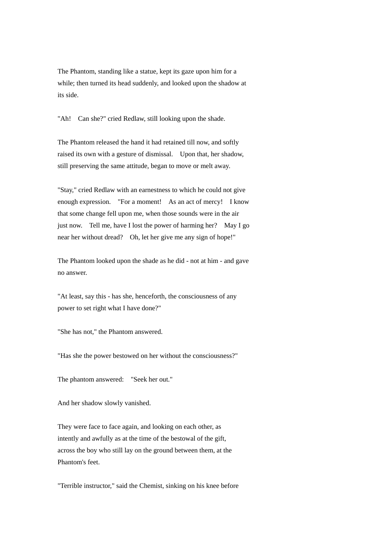The Phantom, standing like a statue, kept its gaze upon him for a while; then turned its head suddenly, and looked upon the shadow at its side.

"Ah! Can she?" cried Redlaw, still looking upon the shade.

The Phantom released the hand it had retained till now, and softly raised its own with a gesture of dismissal. Upon that, her shadow, still preserving the same attitude, began to move or melt away.

"Stay," cried Redlaw with an earnestness to which he could not give enough expression. "For a moment! As an act of mercy! I know that some change fell upon me, when those sounds were in the air just now. Tell me, have I lost the power of harming her? May I go near her without dread? Oh, let her give me any sign of hope!"

The Phantom looked upon the shade as he did - not at him - and gave no answer.

"At least, say this - has she, henceforth, the consciousness of any power to set right what I have done?"

"She has not," the Phantom answered.

"Has she the power bestowed on her without the consciousness?"

The phantom answered: "Seek her out."

And her shadow slowly vanished.

They were face to face again, and looking on each other, as intently and awfully as at the time of the bestowal of the gift, across the boy who still lay on the ground between them, at the Phantom's feet.

"Terrible instructor," said the Chemist, sinking on his knee before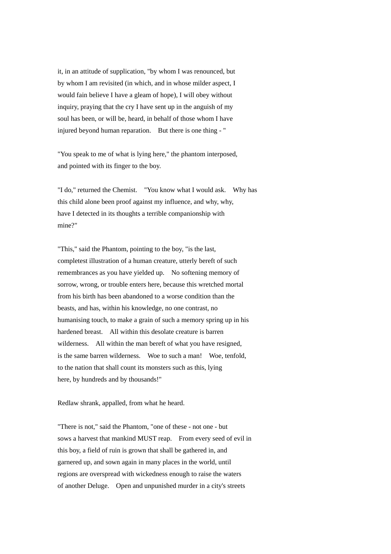it, in an attitude of supplication, "by whom I was renounced, but by whom I am revisited (in which, and in whose milder aspect, I would fain believe I have a gleam of hope), I will obey without inquiry, praying that the cry I have sent up in the anguish of my soul has been, or will be, heard, in behalf of those whom I have injured beyond human reparation. But there is one thing - "

"You speak to me of what is lying here," the phantom interposed, and pointed with its finger to the boy.

"I do," returned the Chemist. "You know what I would ask. Why has this child alone been proof against my influence, and why, why, have I detected in its thoughts a terrible companionship with mine?"

"This," said the Phantom, pointing to the boy, "is the last, completest illustration of a human creature, utterly bereft of such remembrances as you have yielded up. No softening memory of sorrow, wrong, or trouble enters here, because this wretched mortal from his birth has been abandoned to a worse condition than the beasts, and has, within his knowledge, no one contrast, no humanising touch, to make a grain of such a memory spring up in his hardened breast. All within this desolate creature is barren wilderness. All within the man bereft of what you have resigned. is the same barren wilderness. Woe to such a man! Woe, tenfold, to the nation that shall count its monsters such as this, lying here, by hundreds and by thousands!"

Redlaw shrank, appalled, from what he heard.

"There is not," said the Phantom, "one of these - not one - but sows a harvest that mankind MUST reap. From every seed of evil in this boy, a field of ruin is grown that shall be gathered in, and garnered up, and sown again in many places in the world, until regions are overspread with wickedness enough to raise the waters of another Deluge. Open and unpunished murder in a city's streets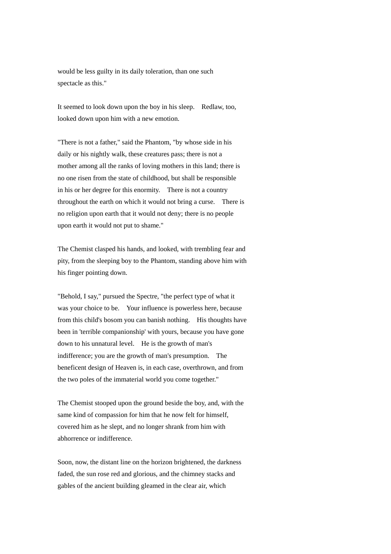would be less guilty in its daily toleration, than one such spectacle as this."

It seemed to look down upon the boy in his sleep. Redlaw, too, looked down upon him with a new emotion.

"There is not a father," said the Phantom, "by whose side in his daily or his nightly walk, these creatures pass; there is not a mother among all the ranks of loving mothers in this land; there is no one risen from the state of childhood, but shall be responsible in his or her degree for this enormity. There is not a country throughout the earth on which it would not bring a curse. There is no religion upon earth that it would not deny; there is no people upon earth it would not put to shame."

The Chemist clasped his hands, and looked, with trembling fear and pity, from the sleeping boy to the Phantom, standing above him with his finger pointing down.

"Behold, I say," pursued the Spectre, "the perfect type of what it was your choice to be. Your influence is powerless here, because from this child's bosom you can banish nothing. His thoughts have been in 'terrible companionship' with yours, because you have gone down to his unnatural level. He is the growth of man's indifference; you are the growth of man's presumption. The beneficent design of Heaven is, in each case, overthrown, and from the two poles of the immaterial world you come together."

The Chemist stooped upon the ground beside the boy, and, with the same kind of compassion for him that he now felt for himself, covered him as he slept, and no longer shrank from him with abhorrence or indifference.

Soon, now, the distant line on the horizon brightened, the darkness faded, the sun rose red and glorious, and the chimney stacks and gables of the ancient building gleamed in the clear air, which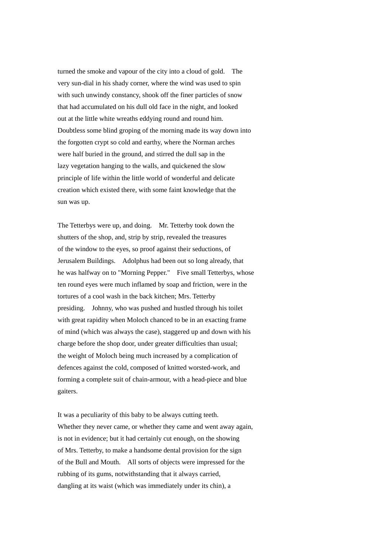turned the smoke and vapour of the city into a cloud of gold. The very sun-dial in his shady corner, where the wind was used to spin with such unwindy constancy, shook off the finer particles of snow that had accumulated on his dull old face in the night, and looked out at the little white wreaths eddying round and round him. Doubtless some blind groping of the morning made its way down into the forgotten crypt so cold and earthy, where the Norman arches were half buried in the ground, and stirred the dull sap in the lazy vegetation hanging to the walls, and quickened the slow principle of life within the little world of wonderful and delicate creation which existed there, with some faint knowledge that the sun was up.

The Tetterbys were up, and doing. Mr. Tetterby took down the shutters of the shop, and, strip by strip, revealed the treasures of the window to the eyes, so proof against their seductions, of Jerusalem Buildings. Adolphus had been out so long already, that he was halfway on to "Morning Pepper." Five small Tetterbys, whose ten round eyes were much inflamed by soap and friction, were in the tortures of a cool wash in the back kitchen; Mrs. Tetterby presiding. Johnny, who was pushed and hustled through his toilet with great rapidity when Moloch chanced to be in an exacting frame of mind (which was always the case), staggered up and down with his charge before the shop door, under greater difficulties than usual; the weight of Moloch being much increased by a complication of defences against the cold, composed of knitted worsted-work, and forming a complete suit of chain-armour, with a head-piece and blue gaiters.

It was a peculiarity of this baby to be always cutting teeth. Whether they never came, or whether they came and went away again, is not in evidence; but it had certainly cut enough, on the showing of Mrs. Tetterby, to make a handsome dental provision for the sign of the Bull and Mouth. All sorts of objects were impressed for the rubbing of its gums, notwithstanding that it always carried, dangling at its waist (which was immediately under its chin), a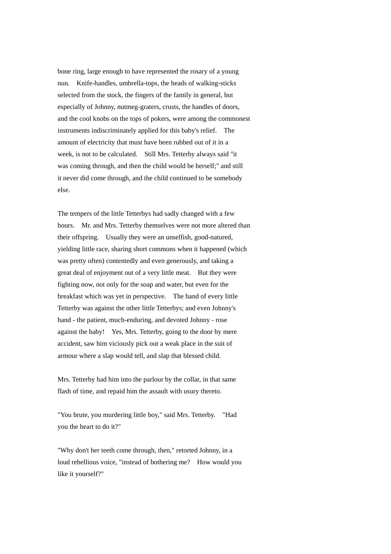bone ring, large enough to have represented the rosary of a young nun. Knife-handles, umbrella-tops, the heads of walking-sticks selected from the stock, the fingers of the family in general, but especially of Johnny, nutmeg-graters, crusts, the handles of doors, and the cool knobs on the tops of pokers, were among the commonest instruments indiscriminately applied for this baby's relief. The amount of electricity that must have been rubbed out of it in a week, is not to be calculated. Still Mrs. Tetterby always said "it was coming through, and then the child would be herself;" and still it never did come through, and the child continued to be somebody else.

The tempers of the little Tetterbys had sadly changed with a few hours. Mr. and Mrs. Tetterby themselves were not more altered than their offspring. Usually they were an unselfish, good-natured, yielding little race, sharing short commons when it happened (which was pretty often) contentedly and even generously, and taking a great deal of enjoyment out of a very little meat. But they were fighting now, not only for the soap and water, but even for the breakfast which was yet in perspective. The hand of every little Tetterby was against the other little Tetterbys; and even Johnny's hand - the patient, much-enduring, and devoted Johnny - rose against the baby! Yes, Mrs. Tetterby, going to the door by mere accident, saw him viciously pick out a weak place in the suit of armour where a slap would tell, and slap that blessed child.

Mrs. Tetterby had him into the parlour by the collar, in that same flash of time, and repaid him the assault with usury thereto.

"You brute, you murdering little boy," said Mrs. Tetterby. "Had you the heart to do it?"

"Why don't her teeth come through, then," retorted Johnny, in a loud rebellious voice, "instead of bothering me? How would you like it yourself?"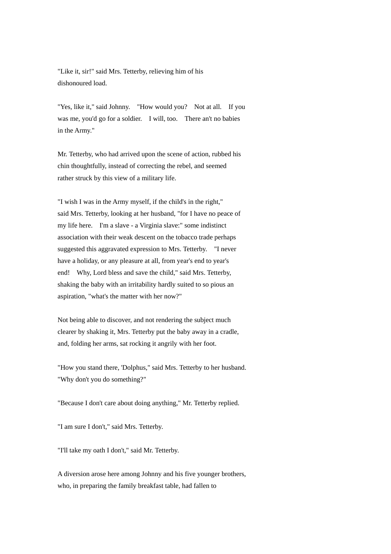"Like it, sir!" said Mrs. Tetterby, relieving him of his dishonoured load.

"Yes, like it," said Johnny. "How would you? Not at all. If you was me, you'd go for a soldier. I will, too. There an't no babies in the Army."

Mr. Tetterby, who had arrived upon the scene of action, rubbed his chin thoughtfully, instead of correcting the rebel, and seemed rather struck by this view of a military life.

"I wish I was in the Army myself, if the child's in the right," said Mrs. Tetterby, looking at her husband, "for I have no peace of my life here. I'm a slave - a Virginia slave:" some indistinct association with their weak descent on the tobacco trade perhaps suggested this aggravated expression to Mrs. Tetterby. "I never have a holiday, or any pleasure at all, from year's end to year's end! Why, Lord bless and save the child," said Mrs. Tetterby, shaking the baby with an irritability hardly suited to so pious an aspiration, "what's the matter with her now?"

Not being able to discover, and not rendering the subject much clearer by shaking it, Mrs. Tetterby put the baby away in a cradle, and, folding her arms, sat rocking it angrily with her foot.

"How you stand there, 'Dolphus," said Mrs. Tetterby to her husband. "Why don't you do something?"

"Because I don't care about doing anything," Mr. Tetterby replied.

"I am sure I don't," said Mrs. Tetterby.

"I'll take my oath I don't," said Mr. Tetterby.

A diversion arose here among Johnny and his five younger brothers, who, in preparing the family breakfast table, had fallen to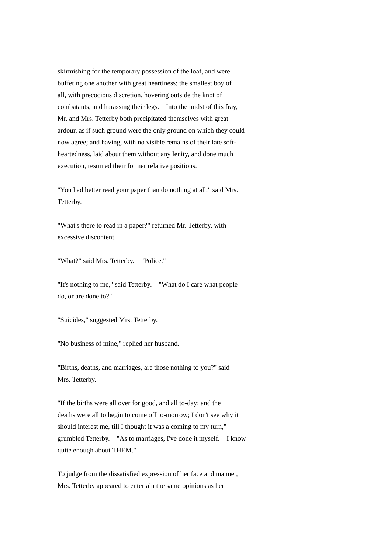skirmishing for the temporary possession of the loaf, and were buffeting one another with great heartiness; the smallest boy of all, with precocious discretion, hovering outside the knot of combatants, and harassing their legs. Into the midst of this fray, Mr. and Mrs. Tetterby both precipitated themselves with great ardour, as if such ground were the only ground on which they could now agree; and having, with no visible remains of their late softheartedness, laid about them without any lenity, and done much execution, resumed their former relative positions.

"You had better read your paper than do nothing at all," said Mrs. Tetterby.

"What's there to read in a paper?" returned Mr. Tetterby, with excessive discontent.

"What?" said Mrs. Tetterby. "Police."

"It's nothing to me," said Tetterby. "What do I care what people do, or are done to?"

"Suicides," suggested Mrs. Tetterby.

"No business of mine," replied her husband.

"Births, deaths, and marriages, are those nothing to you?" said Mrs. Tetterby.

"If the births were all over for good, and all to-day; and the deaths were all to begin to come off to-morrow; I don't see why it should interest me, till I thought it was a coming to my turn," grumbled Tetterby. "As to marriages, I've done it myself. I know quite enough about THEM."

To judge from the dissatisfied expression of her face and manner, Mrs. Tetterby appeared to entertain the same opinions as her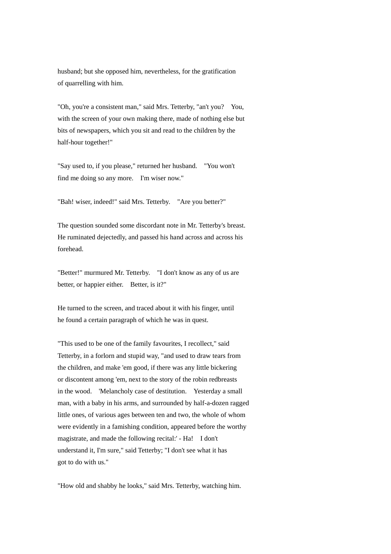husband; but she opposed him, nevertheless, for the gratification of quarrelling with him.

"Oh, you're a consistent man," said Mrs. Tetterby, "an't you? You, with the screen of your own making there, made of nothing else but bits of newspapers, which you sit and read to the children by the half-hour together!"

"Say used to, if you please," returned her husband. "You won't find me doing so any more. I'm wiser now."

"Bah! wiser, indeed!" said Mrs. Tetterby. "Are you better?"

The question sounded some discordant note in Mr. Tetterby's breast. He ruminated dejectedly, and passed his hand across and across his forehead.

"Better!" murmured Mr. Tetterby. "I don't know as any of us are better, or happier either. Better, is it?"

He turned to the screen, and traced about it with his finger, until he found a certain paragraph of which he was in quest.

"This used to be one of the family favourites, I recollect," said Tetterby, in a forlorn and stupid way, "and used to draw tears from the children, and make 'em good, if there was any little bickering or discontent among 'em, next to the story of the robin redbreasts in the wood. 'Melancholy case of destitution. Yesterday a small man, with a baby in his arms, and surrounded by half-a-dozen ragged little ones, of various ages between ten and two, the whole of whom were evidently in a famishing condition, appeared before the worthy magistrate, and made the following recital:' - Ha! I don't understand it, I'm sure," said Tetterby; "I don't see what it has got to do with us."

"How old and shabby he looks," said Mrs. Tetterby, watching him.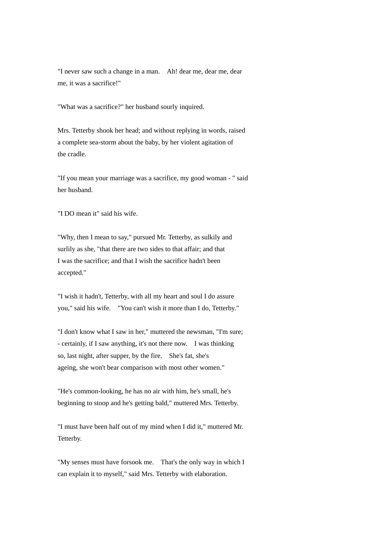"I never saw such a change in a man. Ah! dear me, dear me, dear me, it was a sacrifice!"

"What was a sacrifice?" her husband sourly inquired.

Mrs. Tetterby shook her head; and without replying in words, raised a complete sea-storm about the baby, by her violent agitation of the cradle.

"If you mean your marriage was a sacrifice, my good woman - " said her husband.

"I DO mean it" said his wife.

"Why, then I mean to say," pursued Mr. Tetterby, as sulkily and surlily as she, "that there are two sides to that affair; and that I was the sacrifice; and that I wish the sacrifice hadn't been accepted."

"I wish it hadn't, Tetterby, with all my heart and soul I do assure you," said his wife. "You can't wish it more than I do, Tetterby."

"I don't know what I saw in her," muttered the newsman, "I'm sure; - certainly, if I saw anything, it's not there now. I was thinking so, last night, after supper, by the fire. She's fat, she's ageing, she won't bear comparison with most other women."

"He's common-looking, he has no air with him, he's small, he's beginning to stoop and he's getting bald," muttered Mrs. Tetterby.

"I must have been half out of my mind when I did it," muttered Mr. Tetterby.

"My senses must have forsook me. That's the only way in which I can explain it to myself," said Mrs. Tetterby with elaboration.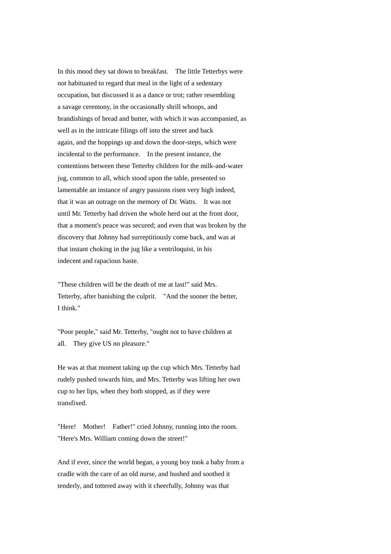In this mood they sat down to breakfast. The little Tetterbys were not habituated to regard that meal in the light of a sedentary occupation, but discussed it as a dance or trot; rather resembling a savage ceremony, in the occasionally shrill whoops, and brandishings of bread and butter, with which it was accompanied, as well as in the intricate filings off into the street and back again, and the hoppings up and down the door-steps, which were incidental to the performance. In the present instance, the contentions between these Tetterby children for the milk-and-water jug, common to all, which stood upon the table, presented so lamentable an instance of angry passions risen very high indeed, that it was an outrage on the memory of Dr. Watts. It was not until Mr. Tetterby had driven the whole herd out at the front door, that a moment's peace was secured; and even that was broken by the discovery that Johnny had surreptitiously come back, and was at that instant choking in the jug like a ventriloquist, in his indecent and rapacious haste.

"These children will be the death of me at last!" said Mrs. Tetterby, after banishing the culprit. "And the sooner the better, I think."

"Poor people," said Mr. Tetterby, "ought not to have children at all. They give US no pleasure."

He was at that moment taking up the cup which Mrs. Tetterby had rudely pushed towards him, and Mrs. Tetterby was lifting her own cup to her lips, when they both stopped, as if they were transfixed.

"Here! Mother! Father!" cried Johnny, running into the room. "Here's Mrs. William coming down the street!"

And if ever, since the world began, a young boy took a baby from a cradle with the care of an old nurse, and hushed and soothed it tenderly, and tottered away with it cheerfully, Johnny was that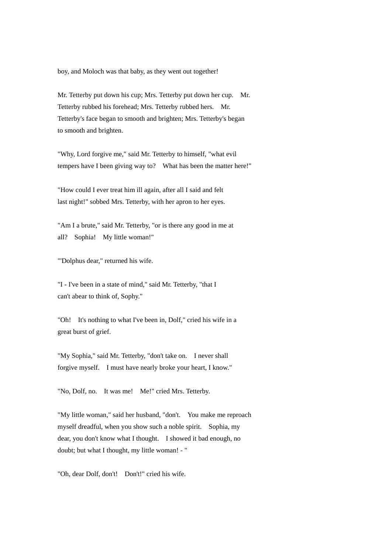boy, and Moloch was that baby, as they went out together!

Mr. Tetterby put down his cup; Mrs. Tetterby put down her cup. Mr. Tetterby rubbed his forehead; Mrs. Tetterby rubbed hers. Mr. Tetterby's face began to smooth and brighten; Mrs. Tetterby's began to smooth and brighten.

"Why, Lord forgive me," said Mr. Tetterby to himself, "what evil tempers have I been giving way to? What has been the matter here!"

"How could I ever treat him ill again, after all I said and felt last night!" sobbed Mrs. Tetterby, with her apron to her eyes.

"Am I a brute," said Mr. Tetterby, "or is there any good in me at all? Sophia! My little woman!"

"'Dolphus dear," returned his wife.

"I - I've been in a state of mind," said Mr. Tetterby, "that I can't abear to think of, Sophy."

"Oh! It's nothing to what I've been in, Dolf," cried his wife in a great burst of grief.

"My Sophia," said Mr. Tetterby, "don't take on. I never shall forgive myself. I must have nearly broke your heart, I know."

"No, Dolf, no. It was me! Me!" cried Mrs. Tetterby.

"My little woman," said her husband, "don't. You make me reproach myself dreadful, when you show such a noble spirit. Sophia, my dear, you don't know what I thought. I showed it bad enough, no doubt; but what I thought, my little woman! - "

"Oh, dear Dolf, don't! Don't!" cried his wife.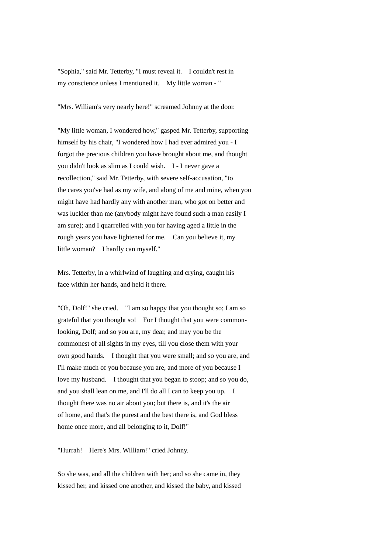"Sophia," said Mr. Tetterby, "I must reveal it. I couldn't rest in my conscience unless I mentioned it. My little woman - "

"Mrs. William's very nearly here!" screamed Johnny at the door.

"My little woman, I wondered how," gasped Mr. Tetterby, supporting himself by his chair, "I wondered how I had ever admired you - I forgot the precious children you have brought about me, and thought you didn't look as slim as I could wish. I - I never gave a recollection," said Mr. Tetterby, with severe self-accusation, "to the cares you've had as my wife, and along of me and mine, when you might have had hardly any with another man, who got on better and was luckier than me (anybody might have found such a man easily I am sure); and I quarrelled with you for having aged a little in the rough years you have lightened for me. Can you believe it, my little woman? I hardly can myself."

Mrs. Tetterby, in a whirlwind of laughing and crying, caught his face within her hands, and held it there.

"Oh, Dolf!" she cried. "I am so happy that you thought so; I am so grateful that you thought so! For I thought that you were commonlooking, Dolf; and so you are, my dear, and may you be the commonest of all sights in my eyes, till you close them with your own good hands. I thought that you were small; and so you are, and I'll make much of you because you are, and more of you because I love my husband. I thought that you began to stoop; and so you do, and you shall lean on me, and I'll do all I can to keep you up. I thought there was no air about you; but there is, and it's the air of home, and that's the purest and the best there is, and God bless home once more, and all belonging to it, Dolf!"

"Hurrah! Here's Mrs. William!" cried Johnny.

So she was, and all the children with her; and so she came in, they kissed her, and kissed one another, and kissed the baby, and kissed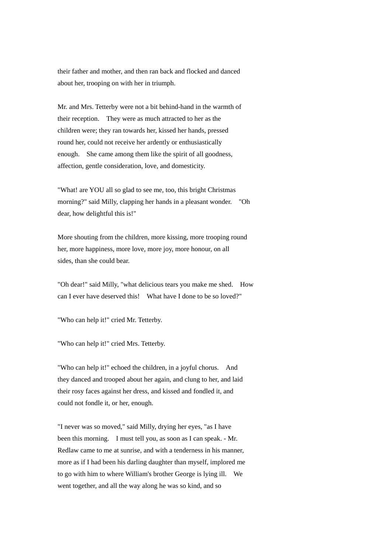their father and mother, and then ran back and flocked and danced about her, trooping on with her in triumph.

Mr. and Mrs. Tetterby were not a bit behind-hand in the warmth of their reception. They were as much attracted to her as the children were; they ran towards her, kissed her hands, pressed round her, could not receive her ardently or enthusiastically enough. She came among them like the spirit of all goodness, affection, gentle consideration, love, and domesticity.

"What! are YOU all so glad to see me, too, this bright Christmas morning?" said Milly, clapping her hands in a pleasant wonder. "Oh dear, how delightful this is!"

More shouting from the children, more kissing, more trooping round her, more happiness, more love, more joy, more honour, on all sides, than she could bear.

"Oh dear!" said Milly, "what delicious tears you make me shed. How can I ever have deserved this! What have I done to be so loved?"

"Who can help it!" cried Mr. Tetterby.

"Who can help it!" cried Mrs. Tetterby.

"Who can help it!" echoed the children, in a joyful chorus. And they danced and trooped about her again, and clung to her, and laid their rosy faces against her dress, and kissed and fondled it, and could not fondle it, or her, enough.

"I never was so moved," said Milly, drying her eyes, "as I have been this morning. I must tell you, as soon as I can speak. - Mr. Redlaw came to me at sunrise, and with a tenderness in his manner, more as if I had been his darling daughter than myself, implored me to go with him to where William's brother George is lying ill. We went together, and all the way along he was so kind, and so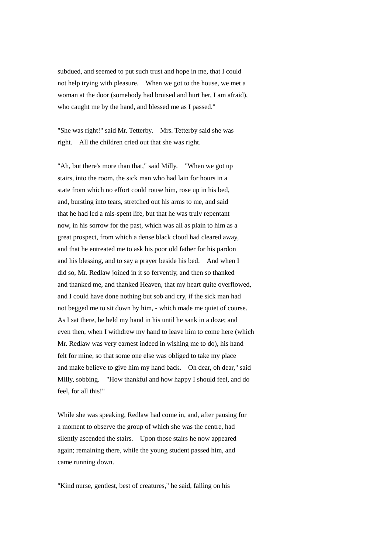subdued, and seemed to put such trust and hope in me, that I could not help trying with pleasure. When we got to the house, we met a woman at the door (somebody had bruised and hurt her, I am afraid), who caught me by the hand, and blessed me as I passed."

"She was right!" said Mr. Tetterby. Mrs. Tetterby said she was right. All the children cried out that she was right.

"Ah, but there's more than that," said Milly. "When we got up stairs, into the room, the sick man who had lain for hours in a state from which no effort could rouse him, rose up in his bed, and, bursting into tears, stretched out his arms to me, and said that he had led a mis-spent life, but that he was truly repentant now, in his sorrow for the past, which was all as plain to him as a great prospect, from which a dense black cloud had cleared away, and that he entreated me to ask his poor old father for his pardon and his blessing, and to say a prayer beside his bed. And when I did so, Mr. Redlaw joined in it so fervently, and then so thanked and thanked me, and thanked Heaven, that my heart quite overflowed, and I could have done nothing but sob and cry, if the sick man had not begged me to sit down by him, - which made me quiet of course. As I sat there, he held my hand in his until he sank in a doze; and even then, when I withdrew my hand to leave him to come here (which Mr. Redlaw was very earnest indeed in wishing me to do), his hand felt for mine, so that some one else was obliged to take my place and make believe to give him my hand back. Oh dear, oh dear," said Milly, sobbing. "How thankful and how happy I should feel, and do feel, for all this!"

While she was speaking, Redlaw had come in, and, after pausing for a moment to observe the group of which she was the centre, had silently ascended the stairs. Upon those stairs he now appeared again; remaining there, while the young student passed him, and came running down.

"Kind nurse, gentlest, best of creatures," he said, falling on his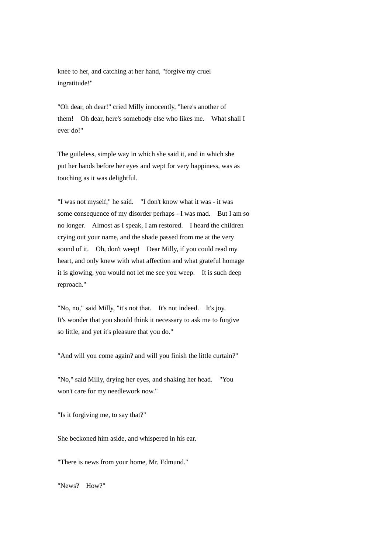knee to her, and catching at her hand, "forgive my cruel ingratitude!"

"Oh dear, oh dear!" cried Milly innocently, "here's another of them! Oh dear, here's somebody else who likes me. What shall I ever do!"

The guileless, simple way in which she said it, and in which she put her hands before her eyes and wept for very happiness, was as touching as it was delightful.

"I was not myself," he said. "I don't know what it was - it was some consequence of my disorder perhaps - I was mad. But I am so no longer. Almost as I speak, I am restored. I heard the children crying out your name, and the shade passed from me at the very sound of it. Oh, don't weep! Dear Milly, if you could read my heart, and only knew with what affection and what grateful homage it is glowing, you would not let me see you weep. It is such deep reproach."

"No, no," said Milly, "it's not that. It's not indeed. It's joy. It's wonder that you should think it necessary to ask me to forgive so little, and yet it's pleasure that you do."

"And will you come again? and will you finish the little curtain?"

"No," said Milly, drying her eyes, and shaking her head. "You won't care for my needlework now."

"Is it forgiving me, to say that?"

She beckoned him aside, and whispered in his ear.

"There is news from your home, Mr. Edmund."

"News? How?"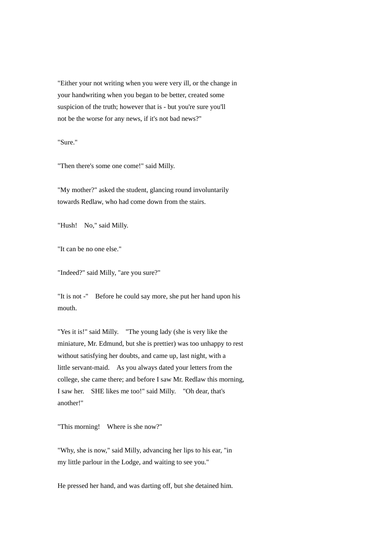"Either your not writing when you were very ill, or the change in your handwriting when you began to be better, created some suspicion of the truth; however that is - but you're sure you'll not be the worse for any news, if it's not bad news?"

"Sure."

"Then there's some one come!" said Milly.

"My mother?" asked the student, glancing round involuntarily towards Redlaw, who had come down from the stairs.

"Hush! No," said Milly.

"It can be no one else."

"Indeed?" said Milly, "are you sure?"

"It is not -" Before he could say more, she put her hand upon his mouth.

"Yes it is!" said Milly. "The young lady (she is very like the miniature, Mr. Edmund, but she is prettier) was too unhappy to rest without satisfying her doubts, and came up, last night, with a little servant-maid. As you always dated your letters from the college, she came there; and before I saw Mr. Redlaw this morning, I saw her. SHE likes me too!" said Milly. "Oh dear, that's another!"

"This morning! Where is she now?"

"Why, she is now," said Milly, advancing her lips to his ear, "in my little parlour in the Lodge, and waiting to see you."

He pressed her hand, and was darting off, but she detained him.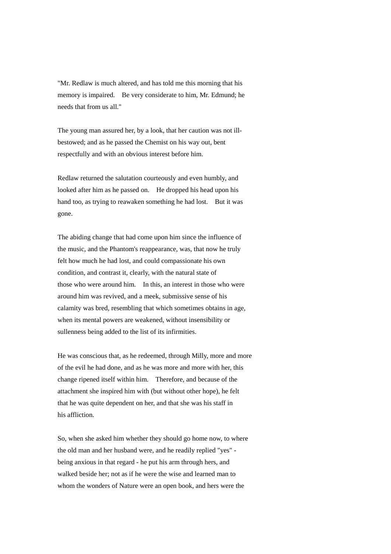"Mr. Redlaw is much altered, and has told me this morning that his memory is impaired. Be very considerate to him, Mr. Edmund; he needs that from us all."

The young man assured her, by a look, that her caution was not illbestowed; and as he passed the Chemist on his way out, bent respectfully and with an obvious interest before him.

Redlaw returned the salutation courteously and even humbly, and looked after him as he passed on. He dropped his head upon his hand too, as trying to reawaken something he had lost. But it was gone.

The abiding change that had come upon him since the influence of the music, and the Phantom's reappearance, was, that now he truly felt how much he had lost, and could compassionate his own condition, and contrast it, clearly, with the natural state of those who were around him. In this, an interest in those who were around him was revived, and a meek, submissive sense of his calamity was bred, resembling that which sometimes obtains in age, when its mental powers are weakened, without insensibility or sullenness being added to the list of its infirmities.

He was conscious that, as he redeemed, through Milly, more and more of the evil he had done, and as he was more and more with her, this change ripened itself within him. Therefore, and because of the attachment she inspired him with (but without other hope), he felt that he was quite dependent on her, and that she was his staff in his affliction.

So, when she asked him whether they should go home now, to where the old man and her husband were, and he readily replied "yes" being anxious in that regard - he put his arm through hers, and walked beside her; not as if he were the wise and learned man to whom the wonders of Nature were an open book, and hers were the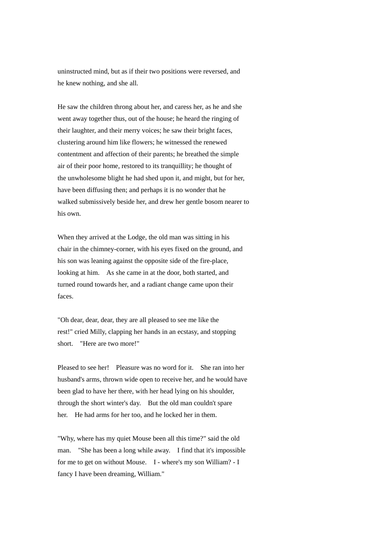uninstructed mind, but as if their two positions were reversed, and he knew nothing, and she all.

He saw the children throng about her, and caress her, as he and she went away together thus, out of the house; he heard the ringing of their laughter, and their merry voices; he saw their bright faces, clustering around him like flowers; he witnessed the renewed contentment and affection of their parents; he breathed the simple air of their poor home, restored to its tranquillity; he thought of the unwholesome blight he had shed upon it, and might, but for her, have been diffusing then; and perhaps it is no wonder that he walked submissively beside her, and drew her gentle bosom nearer to his own.

When they arrived at the Lodge, the old man was sitting in his chair in the chimney-corner, with his eyes fixed on the ground, and his son was leaning against the opposite side of the fire-place, looking at him. As she came in at the door, both started, and turned round towards her, and a radiant change came upon their faces.

"Oh dear, dear, dear, they are all pleased to see me like the rest!" cried Milly, clapping her hands in an ecstasy, and stopping short. "Here are two more!"

Pleased to see her! Pleasure was no word for it. She ran into her husband's arms, thrown wide open to receive her, and he would have been glad to have her there, with her head lying on his shoulder, through the short winter's day. But the old man couldn't spare her. He had arms for her too, and he locked her in them.

"Why, where has my quiet Mouse been all this time?" said the old man. "She has been a long while away. I find that it's impossible for me to get on without Mouse. I - where's my son William? - I fancy I have been dreaming, William."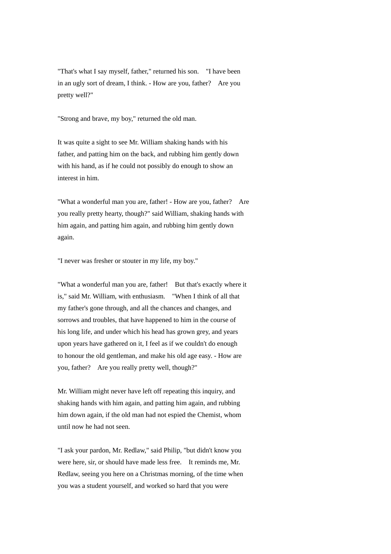"That's what I say myself, father," returned his son. "I have been in an ugly sort of dream, I think. - How are you, father? Are you pretty well?"

"Strong and brave, my boy," returned the old man.

It was quite a sight to see Mr. William shaking hands with his father, and patting him on the back, and rubbing him gently down with his hand, as if he could not possibly do enough to show an interest in him.

"What a wonderful man you are, father! - How are you, father? Are you really pretty hearty, though?" said William, shaking hands with him again, and patting him again, and rubbing him gently down again.

"I never was fresher or stouter in my life, my boy."

"What a wonderful man you are, father! But that's exactly where it is," said Mr. William, with enthusiasm. "When I think of all that my father's gone through, and all the chances and changes, and sorrows and troubles, that have happened to him in the course of his long life, and under which his head has grown grey, and years upon years have gathered on it, I feel as if we couldn't do enough to honour the old gentleman, and make his old age easy. - How are you, father? Are you really pretty well, though?"

Mr. William might never have left off repeating this inquiry, and shaking hands with him again, and patting him again, and rubbing him down again, if the old man had not espied the Chemist, whom until now he had not seen.

"I ask your pardon, Mr. Redlaw," said Philip, "but didn't know you were here, sir, or should have made less free. It reminds me, Mr. Redlaw, seeing you here on a Christmas morning, of the time when you was a student yourself, and worked so hard that you were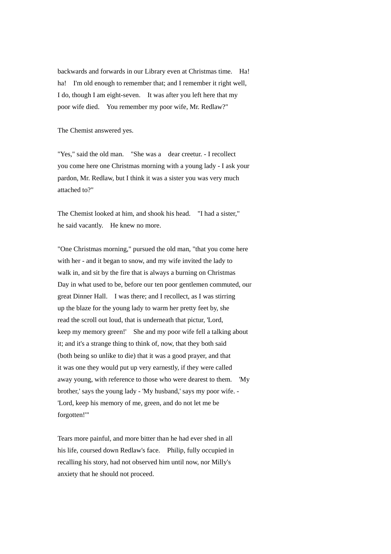backwards and forwards in our Library even at Christmas time. Ha! ha! I'm old enough to remember that; and I remember it right well, I do, though I am eight-seven. It was after you left here that my poor wife died. You remember my poor wife, Mr. Redlaw?"

The Chemist answered yes.

"Yes," said the old man. "She was a dear creetur. - I recollect you come here one Christmas morning with a young lady - I ask your pardon, Mr. Redlaw, but I think it was a sister you was very much attached to?"

The Chemist looked at him, and shook his head. "I had a sister," he said vacantly. He knew no more.

"One Christmas morning," pursued the old man, "that you come here with her - and it began to snow, and my wife invited the lady to walk in, and sit by the fire that is always a burning on Christmas Day in what used to be, before our ten poor gentlemen commuted, our great Dinner Hall. I was there; and I recollect, as I was stirring up the blaze for the young lady to warm her pretty feet by, she read the scroll out loud, that is underneath that pictur, 'Lord, keep my memory green!' She and my poor wife fell a talking about it; and it's a strange thing to think of, now, that they both said (both being so unlike to die) that it was a good prayer, and that it was one they would put up very earnestly, if they were called away young, with reference to those who were dearest to them. 'My brother,' says the young lady - 'My husband,' says my poor wife. - 'Lord, keep his memory of me, green, and do not let me be forgotten!'"

Tears more painful, and more bitter than he had ever shed in all his life, coursed down Redlaw's face. Philip, fully occupied in recalling his story, had not observed him until now, nor Milly's anxiety that he should not proceed.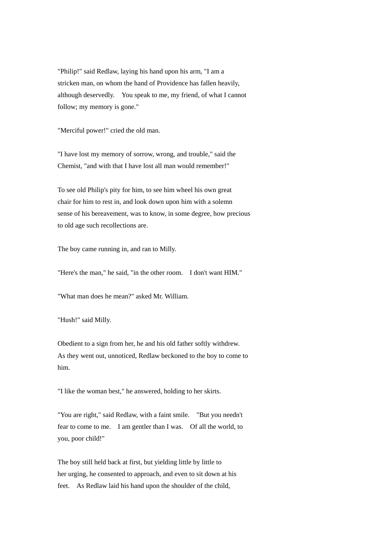"Philip!" said Redlaw, laying his hand upon his arm, "I am a stricken man, on whom the hand of Providence has fallen heavily, although deservedly. You speak to me, my friend, of what I cannot follow; my memory is gone."

"Merciful power!" cried the old man.

"I have lost my memory of sorrow, wrong, and trouble," said the Chemist, "and with that I have lost all man would remember!"

To see old Philip's pity for him, to see him wheel his own great chair for him to rest in, and look down upon him with a solemn sense of his bereavement, was to know, in some degree, how precious to old age such recollections are.

The boy came running in, and ran to Milly.

"Here's the man," he said, "in the other room. I don't want HIM."

"What man does he mean?" asked Mr. William.

"Hush!" said Milly.

Obedient to a sign from her, he and his old father softly withdrew. As they went out, unnoticed, Redlaw beckoned to the boy to come to him.

"I like the woman best," he answered, holding to her skirts.

"You are right," said Redlaw, with a faint smile. "But you needn't fear to come to me. I am gentler than I was. Of all the world, to you, poor child!"

The boy still held back at first, but yielding little by little to her urging, he consented to approach, and even to sit down at his feet. As Redlaw laid his hand upon the shoulder of the child,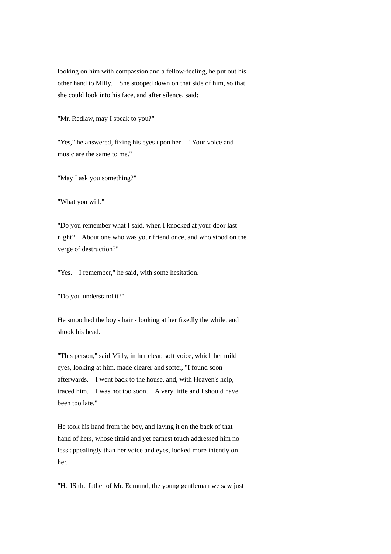looking on him with compassion and a fellow-feeling, he put out his other hand to Milly. She stooped down on that side of him, so that she could look into his face, and after silence, said:

"Mr. Redlaw, may I speak to you?"

"Yes," he answered, fixing his eyes upon her. "Your voice and music are the same to me."

"May I ask you something?"

"What you will."

"Do you remember what I said, when I knocked at your door last night? About one who was your friend once, and who stood on the verge of destruction?"

"Yes. I remember," he said, with some hesitation.

"Do you understand it?"

He smoothed the boy's hair - looking at her fixedly the while, and shook his head.

"This person," said Milly, in her clear, soft voice, which her mild eyes, looking at him, made clearer and softer, "I found soon afterwards. I went back to the house, and, with Heaven's help, traced him. I was not too soon. A very little and I should have been too late."

He took his hand from the boy, and laying it on the back of that hand of hers, whose timid and yet earnest touch addressed him no less appealingly than her voice and eyes, looked more intently on her.

"He IS the father of Mr. Edmund, the young gentleman we saw just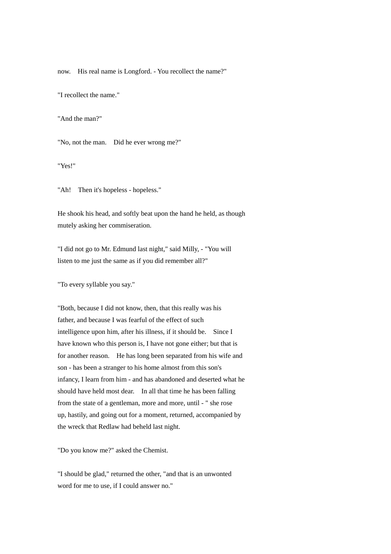now. His real name is Longford. - You recollect the name?"

"I recollect the name."

"And the man?"

"No, not the man. Did he ever wrong me?"

"Yes!"

"Ah! Then it's hopeless - hopeless."

He shook his head, and softly beat upon the hand he held, as though mutely asking her commiseration.

"I did not go to Mr. Edmund last night," said Milly, - "You will listen to me just the same as if you did remember all?"

"To every syllable you say."

"Both, because I did not know, then, that this really was his father, and because I was fearful of the effect of such intelligence upon him, after his illness, if it should be. Since I have known who this person is, I have not gone either; but that is for another reason. He has long been separated from his wife and son - has been a stranger to his home almost from this son's infancy, I learn from him - and has abandoned and deserted what he should have held most dear. In all that time he has been falling from the state of a gentleman, more and more, until - " she rose up, hastily, and going out for a moment, returned, accompanied by the wreck that Redlaw had beheld last night.

"Do you know me?" asked the Chemist.

"I should be glad," returned the other, "and that is an unwonted word for me to use, if I could answer no."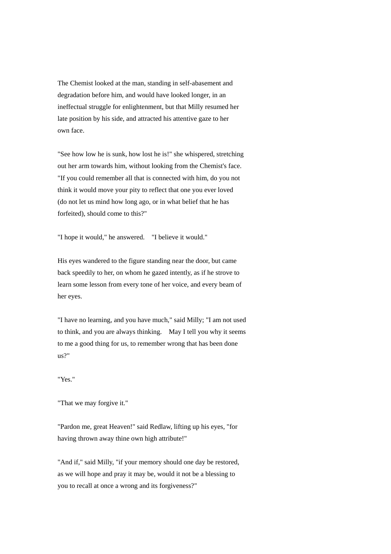The Chemist looked at the man, standing in self-abasement and degradation before him, and would have looked longer, in an ineffectual struggle for enlightenment, but that Milly resumed her late position by his side, and attracted his attentive gaze to her own face.

"See how low he is sunk, how lost he is!" she whispered, stretching out her arm towards him, without looking from the Chemist's face. "If you could remember all that is connected with him, do you not think it would move your pity to reflect that one you ever loved (do not let us mind how long ago, or in what belief that he has forfeited), should come to this?"

"I hope it would," he answered. "I believe it would."

His eyes wandered to the figure standing near the door, but came back speedily to her, on whom he gazed intently, as if he strove to learn some lesson from every tone of her voice, and every beam of her eyes.

"I have no learning, and you have much," said Milly; "I am not used to think, and you are always thinking. May I tell you why it seems to me a good thing for us, to remember wrong that has been done us?"

## "Yes."

"That we may forgive it."

"Pardon me, great Heaven!" said Redlaw, lifting up his eyes, "for having thrown away thine own high attribute!"

"And if," said Milly, "if your memory should one day be restored, as we will hope and pray it may be, would it not be a blessing to you to recall at once a wrong and its forgiveness?"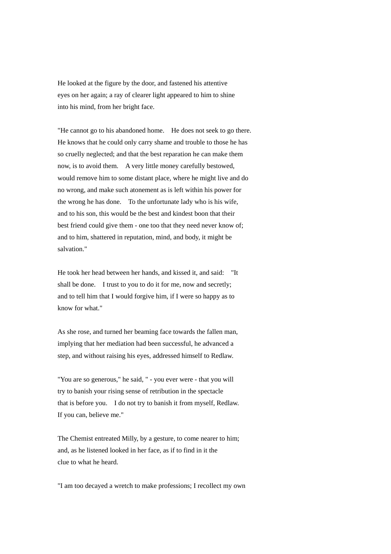He looked at the figure by the door, and fastened his attentive eyes on her again; a ray of clearer light appeared to him to shine into his mind, from her bright face.

"He cannot go to his abandoned home. He does not seek to go there. He knows that he could only carry shame and trouble to those he has so cruelly neglected; and that the best reparation he can make them now, is to avoid them. A very little money carefully bestowed, would remove him to some distant place, where he might live and do no wrong, and make such atonement as is left within his power for the wrong he has done. To the unfortunate lady who is his wife, and to his son, this would be the best and kindest boon that their best friend could give them - one too that they need never know of; and to him, shattered in reputation, mind, and body, it might be salvation."

He took her head between her hands, and kissed it, and said: "It shall be done. I trust to you to do it for me, now and secretly; and to tell him that I would forgive him, if I were so happy as to know for what."

As she rose, and turned her beaming face towards the fallen man, implying that her mediation had been successful, he advanced a step, and without raising his eyes, addressed himself to Redlaw.

"You are so generous," he said, " - you ever were - that you will try to banish your rising sense of retribution in the spectacle that is before you. I do not try to banish it from myself, Redlaw. If you can, believe me."

The Chemist entreated Milly, by a gesture, to come nearer to him; and, as he listened looked in her face, as if to find in it the clue to what he heard.

"I am too decayed a wretch to make professions; I recollect my own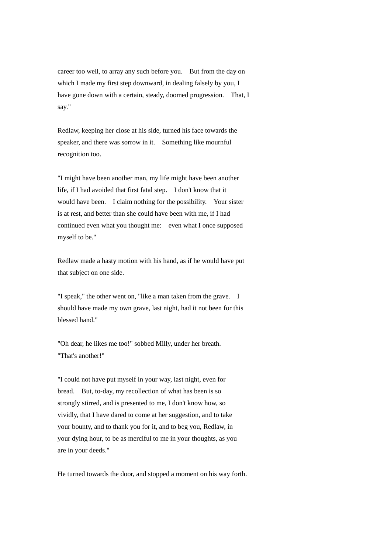career too well, to array any such before you. But from the day on which I made my first step downward, in dealing falsely by you, I have gone down with a certain, steady, doomed progression. That, I say."

Redlaw, keeping her close at his side, turned his face towards the speaker, and there was sorrow in it. Something like mournful recognition too.

"I might have been another man, my life might have been another life, if I had avoided that first fatal step. I don't know that it would have been. I claim nothing for the possibility. Your sister is at rest, and better than she could have been with me, if I had continued even what you thought me: even what I once supposed myself to be."

Redlaw made a hasty motion with his hand, as if he would have put that subject on one side.

"I speak," the other went on, "like a man taken from the grave. I should have made my own grave, last night, had it not been for this blessed hand."

"Oh dear, he likes me too!" sobbed Milly, under her breath. "That's another!"

"I could not have put myself in your way, last night, even for bread. But, to-day, my recollection of what has been is so strongly stirred, and is presented to me, I don't know how, so vividly, that I have dared to come at her suggestion, and to take your bounty, and to thank you for it, and to beg you, Redlaw, in your dying hour, to be as merciful to me in your thoughts, as you are in your deeds."

He turned towards the door, and stopped a moment on his way forth.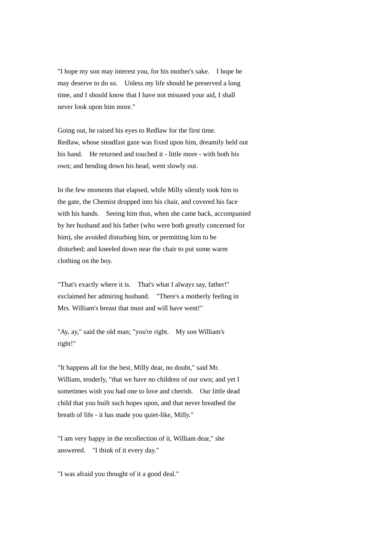"I hope my son may interest you, for his mother's sake. I hope he may deserve to do so. Unless my life should be preserved a long time, and I should know that I have not misused your aid, I shall never look upon him more."

Going out, he raised his eyes to Redlaw for the first time. Redlaw, whose steadfast gaze was fixed upon him, dreamily held out his hand. He returned and touched it - little more - with both his own; and bending down his head, went slowly out.

In the few moments that elapsed, while Milly silently took him to the gate, the Chemist dropped into his chair, and covered his face with his hands. Seeing him thus, when she came back, accompanied by her husband and his father (who were both greatly concerned for him), she avoided disturbing him, or permitting him to be disturbed; and kneeled down near the chair to put some warm clothing on the boy.

"That's exactly where it is. That's what I always say, father!" exclaimed her admiring husband. "There's a motherly feeling in Mrs. William's breast that must and will have went!"

"Ay, ay," said the old man; "you're right. My son William's right!"

"It happens all for the best, Milly dear, no doubt," said Mr. William, tenderly, "that we have no children of our own; and yet I sometimes wish you had one to love and cherish. Our little dead child that you built such hopes upon, and that never breathed the breath of life - it has made you quiet-like, Milly."

"I am very happy in the recollection of it, William dear," she answered. "I think of it every day."

"I was afraid you thought of it a good deal."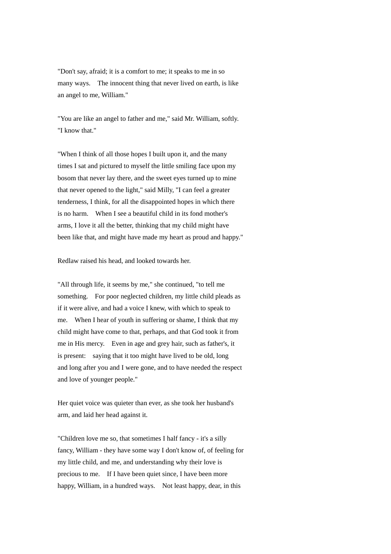"Don't say, afraid; it is a comfort to me; it speaks to me in so many ways. The innocent thing that never lived on earth, is like an angel to me, William."

"You are like an angel to father and me," said Mr. William, softly. "I know that."

"When I think of all those hopes I built upon it, and the many times I sat and pictured to myself the little smiling face upon my bosom that never lay there, and the sweet eyes turned up to mine that never opened to the light," said Milly, "I can feel a greater tenderness, I think, for all the disappointed hopes in which there is no harm. When I see a beautiful child in its fond mother's arms, I love it all the better, thinking that my child might have been like that, and might have made my heart as proud and happy."

Redlaw raised his head, and looked towards her.

"All through life, it seems by me," she continued, "to tell me something. For poor neglected children, my little child pleads as if it were alive, and had a voice I knew, with which to speak to me. When I hear of youth in suffering or shame, I think that my child might have come to that, perhaps, and that God took it from me in His mercy. Even in age and grey hair, such as father's, it is present: saying that it too might have lived to be old, long and long after you and I were gone, and to have needed the respect and love of younger people."

Her quiet voice was quieter than ever, as she took her husband's arm, and laid her head against it.

"Children love me so, that sometimes I half fancy - it's a silly fancy, William - they have some way I don't know of, of feeling for my little child, and me, and understanding why their love is precious to me. If I have been quiet since, I have been more happy, William, in a hundred ways. Not least happy, dear, in this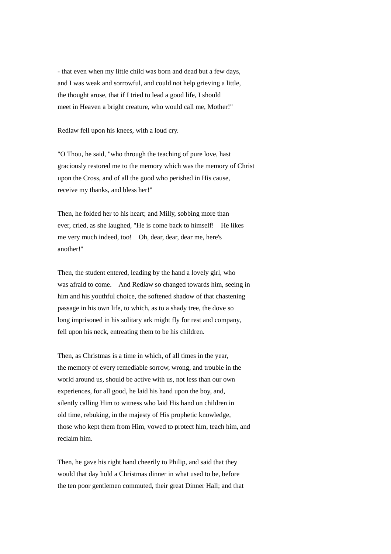- that even when my little child was born and dead but a few days, and I was weak and sorrowful, and could not help grieving a little, the thought arose, that if I tried to lead a good life, I should meet in Heaven a bright creature, who would call me, Mother!"

Redlaw fell upon his knees, with a loud cry.

"O Thou, he said, "who through the teaching of pure love, hast graciously restored me to the memory which was the memory of Christ upon the Cross, and of all the good who perished in His cause, receive my thanks, and bless her!"

Then, he folded her to his heart; and Milly, sobbing more than ever, cried, as she laughed, "He is come back to himself! He likes me very much indeed, too! Oh, dear, dear, dear me, here's another!"

Then, the student entered, leading by the hand a lovely girl, who was afraid to come. And Redlaw so changed towards him, seeing in him and his youthful choice, the softened shadow of that chastening passage in his own life, to which, as to a shady tree, the dove so long imprisoned in his solitary ark might fly for rest and company, fell upon his neck, entreating them to be his children.

Then, as Christmas is a time in which, of all times in the year, the memory of every remediable sorrow, wrong, and trouble in the world around us, should be active with us, not less than our own experiences, for all good, he laid his hand upon the boy, and, silently calling Him to witness who laid His hand on children in old time, rebuking, in the majesty of His prophetic knowledge, those who kept them from Him, vowed to protect him, teach him, and reclaim him.

Then, he gave his right hand cheerily to Philip, and said that they would that day hold a Christmas dinner in what used to be, before the ten poor gentlemen commuted, their great Dinner Hall; and that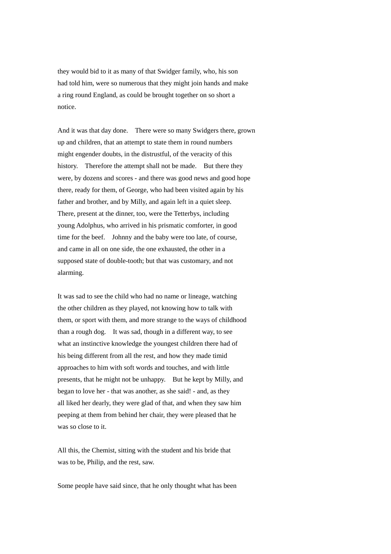they would bid to it as many of that Swidger family, who, his son had told him, were so numerous that they might join hands and make a ring round England, as could be brought together on so short a notice.

And it was that day done. There were so many Swidgers there, grown up and children, that an attempt to state them in round numbers might engender doubts, in the distrustful, of the veracity of this history. Therefore the attempt shall not be made. But there they were, by dozens and scores - and there was good news and good hope there, ready for them, of George, who had been visited again by his father and brother, and by Milly, and again left in a quiet sleep. There, present at the dinner, too, were the Tetterbys, including young Adolphus, who arrived in his prismatic comforter, in good time for the beef. Johnny and the baby were too late, of course, and came in all on one side, the one exhausted, the other in a supposed state of double-tooth; but that was customary, and not alarming.

It was sad to see the child who had no name or lineage, watching the other children as they played, not knowing how to talk with them, or sport with them, and more strange to the ways of childhood than a rough dog. It was sad, though in a different way, to see what an instinctive knowledge the youngest children there had of his being different from all the rest, and how they made timid approaches to him with soft words and touches, and with little presents, that he might not be unhappy. But he kept by Milly, and began to love her - that was another, as she said! - and, as they all liked her dearly, they were glad of that, and when they saw him peeping at them from behind her chair, they were pleased that he was so close to it.

All this, the Chemist, sitting with the student and his bride that was to be, Philip, and the rest, saw.

Some people have said since, that he only thought what has been